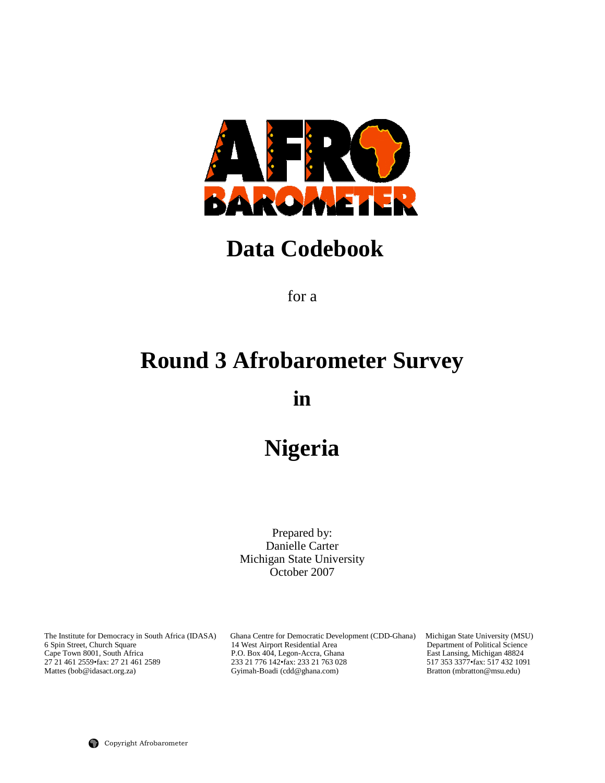

# **Data Codebook**

for a

# **Round 3 Afrobarometer Survey**

**in** 

# **Nigeria**

Prepared by: Danielle Carter Michigan State University October 2007

The Institute for Democracy in South Africa (IDASA) Ghana Centre for Democratic Development (CDD-Ghana) Michigan State University (MSU) 6 Spin Street, Church Square 14 West Airport Residential Area Department of Political 6 Spin Street, Church Square 14 West Airport Residential Area Department of Political Science<br>
Cape Town 8001, South Africa P.O. Box 404, Legon-Accra, Ghana East Lansing, Michigan 48824<br>
27 21 461 2559 fax: 27 21 461 2559 Cape Town 8001, South Africa P.O. Box 404, Legon-Accra, Ghana East Lansing, Michigan 48824 27 21 461 2559•fax: 27 21 461 2589 233 21 776 142•fax: 233 21 763 028 517 353 3377•fax: 517 432 1091 Mattes (bob@idasact.org.za) Gyimah-Boadi (cdd@ghana.com) Bratton (mbratton@msu.edu)

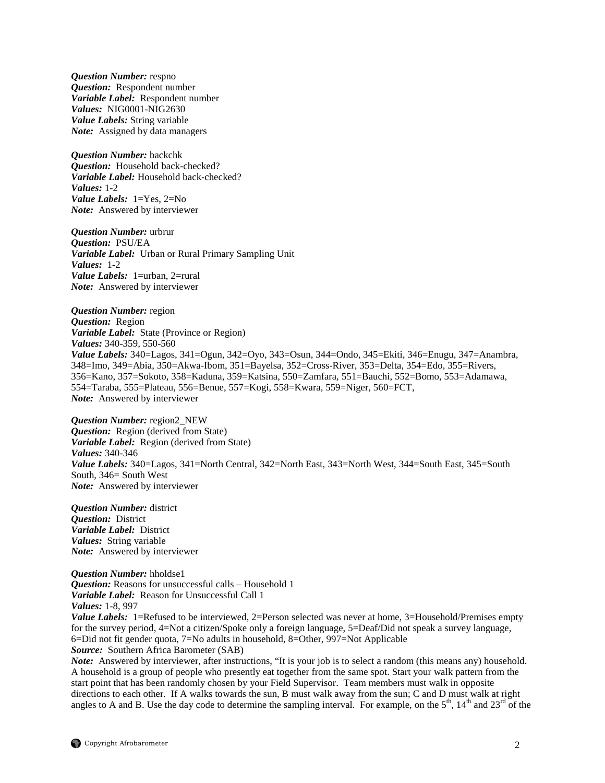*Question Number:* respno *Question:* Respondent number *Variable Label:* Respondent number *Values:* NIG0001-NIG2630 *Value Labels:* String variable *Note:* Assigned by data managers

*Question Number:* backchk *Question:* Household back-checked? *Variable Label:* Household back-checked? *Values:* 1-2 *Value Labels:* 1=Yes, 2=No *Note:* Answered by interviewer

*Question Number:* urbrur *Question:* PSU/EA *Variable Label:* Urban or Rural Primary Sampling Unit *Values:* 1-2 *Value Labels:* 1=urban, 2=rural *Note:* Answered by interviewer

*Question Number:* region *Question:* Region *Variable Label:* State (Province or Region) *Values:* 340-359, 550-560 *Value Labels:* 340=Lagos, 341=Ogun, 342=Oyo, 343=Osun, 344=Ondo, 345=Ekiti, 346=Enugu, 347=Anambra, 348=Imo, 349=Abia, 350=Akwa-Ibom, 351=Bayelsa, 352=Cross-River, 353=Delta, 354=Edo, 355=Rivers, 356=Kano, 357=Sokoto, 358=Kaduna, 359=Katsina, 550=Zamfara, 551=Bauchi, 552=Bomo, 553=Adamawa, 554=Taraba, 555=Plateau, 556=Benue, 557=Kogi, 558=Kwara, 559=Niger, 560=FCT, *Note:* Answered by interviewer

*Question Number:* region2\_NEW *Question:* Region (derived from State) *Variable Label:* Region (derived from State) *Values:* 340-346 *Value Labels:* 340=Lagos, 341=North Central, 342=North East, 343=North West, 344=South East, 345=South South, 346= South West *Note:* Answered by interviewer

*Question Number:* district *Question:* District *Variable Label:* District *Values:* String variable *Note:* Answered by interviewer

*Question Number:* hholdse1 *Question:* Reasons for unsuccessful calls – Household 1 *Variable Label:* Reason for Unsuccessful Call 1 *Values:* 1-8, 997 *Value Labels:* 1=Refused to be interviewed, 2=Person selected was never at home, 3=Household/Premises empty for the survey period, 4=Not a citizen/Spoke only a foreign language, 5=Deaf/Did not speak a survey language, 6=Did not fit gender quota, 7=No adults in household, 8=Other, 997=Not Applicable *Source:* Southern Africa Barometer (SAB)

*Note:* Answered by interviewer, after instructions, "It is your job is to select a random (this means any) household. A household is a group of people who presently eat together from the same spot. Start your walk pattern from the start point that has been randomly chosen by your Field Supervisor. Team members must walk in opposite directions to each other. If A walks towards the sun, B must walk away from the sun; C and D must walk at right angles to A and B. Use the day code to determine the sampling interval. For example, on the  $5<sup>th</sup>$ ,  $14<sup>th</sup>$  and  $23<sup>rd</sup>$  of the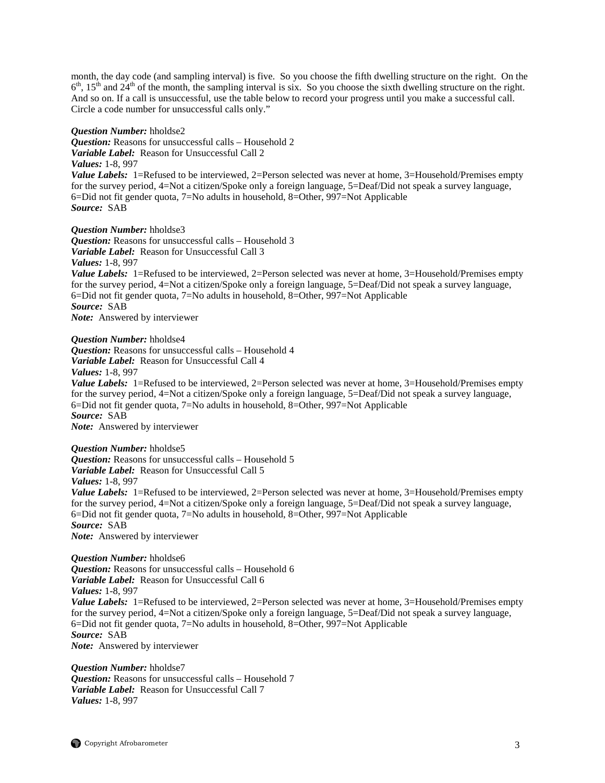month, the day code (and sampling interval) is five. So you choose the fifth dwelling structure on the right. On the  $6<sup>th</sup>$ ,  $15<sup>th</sup>$  and  $24<sup>th</sup>$  of the month, the sampling interval is six. So you choose the sixth dwelling structure on the right. And so on. If a call is unsuccessful, use the table below to record your progress until you make a successful call. Circle a code number for unsuccessful calls only."

#### *Question Number:* hholdse2

*Question:* Reasons for unsuccessful calls – Household 2 *Variable Label:* Reason for Unsuccessful Call 2

#### *Values:* 1-8, 997

*Value Labels:* 1=Refused to be interviewed, 2=Person selected was never at home, 3=Household/Premises empty for the survey period, 4=Not a citizen/Spoke only a foreign language, 5=Deaf/Did not speak a survey language, 6=Did not fit gender quota, 7=No adults in household, 8=Other, 997=Not Applicable *Source:* SAB

*Question Number:* hholdse3

*Question:* Reasons for unsuccessful calls – Household 3 *Variable Label:* Reason for Unsuccessful Call 3 *Values:* 1-8, 997

*Value Labels:* 1=Refused to be interviewed, 2=Person selected was never at home, 3=Household/Premises empty for the survey period, 4=Not a citizen/Spoke only a foreign language, 5=Deaf/Did not speak a survey language, 6=Did not fit gender quota, 7=No adults in household, 8=Other, 997=Not Applicable *Source:* SAB *Note:* Answered by interviewer

*Question Number:* hholdse4 *Question:* Reasons for unsuccessful calls – Household 4 *Variable Label:* Reason for Unsuccessful Call 4 *Values:* 1-8, 997

*Value Labels:* 1=Refused to be interviewed, 2=Person selected was never at home, 3=Household/Premises empty for the survey period, 4=Not a citizen/Spoke only a foreign language, 5=Deaf/Did not speak a survey language, 6=Did not fit gender quota, 7=No adults in household, 8=Other, 997=Not Applicable *Source:* SAB

*Note:* Answered by interviewer

*Question Number:* hholdse5 *Question:* Reasons for unsuccessful calls – Household 5 *Variable Label:* Reason for Unsuccessful Call 5 *Values:* 1-8, 997 *Value Labels:* 1=Refused to be interviewed, 2=Person selected was never at home, 3=Household/Premises empty for the survey period, 4=Not a citizen/Spoke only a foreign language, 5=Deaf/Did not speak a survey language, 6=Did not fit gender quota, 7=No adults in household, 8=Other, 997=Not Applicable *Source:* SAB *Note:* Answered by interviewer

*Question Number:* hholdse6 *Question:* Reasons for unsuccessful calls – Household 6 *Variable Label:* Reason for Unsuccessful Call 6 *Values:* 1-8, 997 *Value Labels:* 1=Refused to be interviewed, 2=Person selected was never at home, 3=Household/Premises empty for the survey period, 4=Not a citizen/Spoke only a foreign language, 5=Deaf/Did not speak a survey language, 6=Did not fit gender quota, 7=No adults in household, 8=Other, 997=Not Applicable *Source:* SAB *Note:* Answered by interviewer

*Question Number:* hholdse7 *Question:* Reasons for unsuccessful calls – Household 7 *Variable Label:* Reason for Unsuccessful Call 7 *Values:* 1-8, 997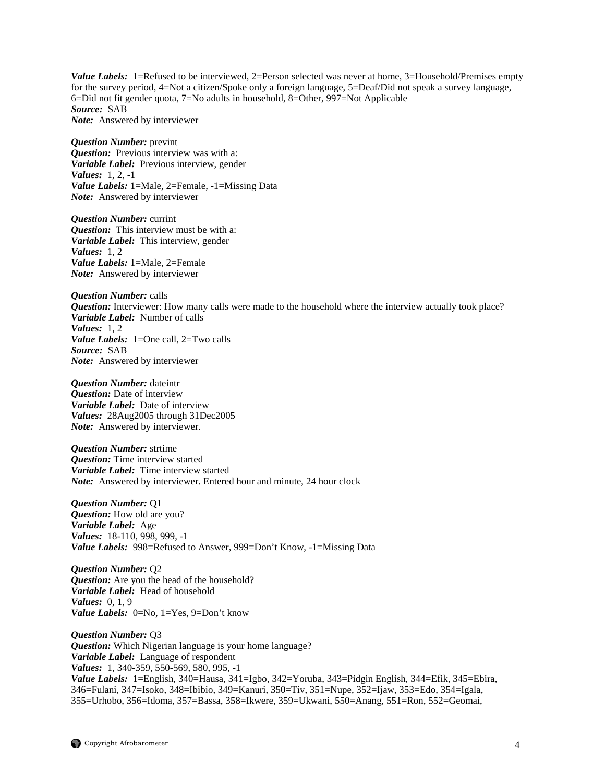*Value Labels:* 1=Refused to be interviewed, 2=Person selected was never at home, 3=Household/Premises empty for the survey period, 4=Not a citizen/Spoke only a foreign language, 5=Deaf/Did not speak a survey language, 6=Did not fit gender quota, 7=No adults in household, 8=Other, 997=Not Applicable *Source:* SAB *Note:* Answered by interviewer

*Question Number:* prevint *Question:* Previous interview was with a: *Variable Label:* Previous interview, gender *Values:* 1, 2, -1 *Value Labels:* 1=Male, 2=Female, -1=Missing Data *Note:* Answered by interviewer

*Question Number:* currint *Question:* This interview must be with a: *Variable Label:* This interview, gender *Values:* 1, 2 *Value Labels:* 1=Male, 2=Female *Note:* Answered by interviewer

*Question Number:* calls *Question:* Interviewer: How many calls were made to the household where the interview actually took place? *Variable Label:* Number of calls *Values:* 1, 2 *Value Labels:* 1=One call, 2=Two calls *Source:* SAB *Note:* Answered by interviewer

*Question Number:* dateintr *Question:* Date of interview *Variable Label:* Date of interview *Values:* 28Aug2005 through 31Dec2005 *Note:* Answered by interviewer.

*Question Number:* strtime *Question:* Time interview started *Variable Label:* Time interview started *Note:* Answered by interviewer. Entered hour and minute, 24 hour clock

*Question Number:* Q1 *Question:* How old are you? *Variable Label:* Age *Values:* 18-110, 998, 999, -1 *Value Labels:* 998=Refused to Answer, 999=Don't Know, -1=Missing Data

*Question Number:* Q2 *Question:* Are you the head of the household? *Variable Label:* Head of household *Values:* 0, 1, 9 *Value Labels:* 0=No, 1=Yes, 9=Don't know

*Question Number:* Q3 *Question:* Which Nigerian language is your home language? *Variable Label:* Language of respondent *Values:* 1, 340-359, 550-569, 580, 995, -1 *Value Labels:* 1=English, 340=Hausa, 341=Igbo, 342=Yoruba, 343=Pidgin English, 344=Efik, 345=Ebira, 346=Fulani, 347=Isoko, 348=Ibibio, 349=Kanuri, 350=Tiv, 351=Nupe, 352=Ijaw, 353=Edo, 354=Igala, 355=Urhobo, 356=Idoma*,* 357=Bassa, 358=Ikwere, 359=Ukwani, 550=Anang, 551=Ron, 552=Geomai,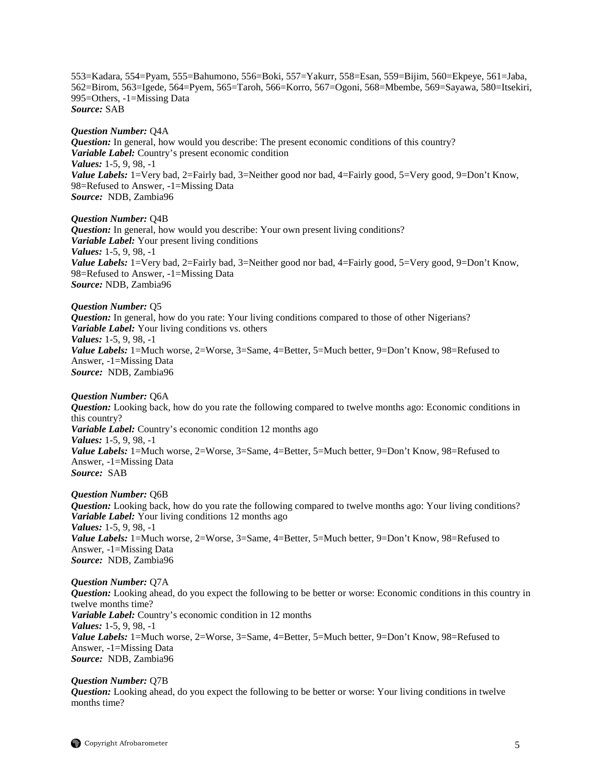553=Kadara, 554=Pyam, 555=Bahumono, 556=Boki, 557=Yakurr, 558=Esan, 559=Bijim, 560=Ekpeye, 561=Jaba, 562=Birom, 563=Igede, 564=Pyem, 565=Taroh, 566=Korro, 567=Ogoni, 568=Mbembe, 569=Sayawa, 580=Itsekiri, 995=Others, -1=Missing Data *Source:* SAB

*Question Number:* Q4A *Question:* In general, how would you describe: The present economic conditions of this country? *Variable Label:* Country's present economic condition *Values:* 1-5, 9, 98, -1 *Value Labels:* 1=Very bad, 2=Fairly bad, 3=Neither good nor bad, 4=Fairly good, 5=Very good, 9=Don't Know, 98=Refused to Answer, -1=Missing Data *Source:* NDB, Zambia96

*Question Number:* Q4B *Question:* In general, how would you describe: Your own present living conditions? *Variable Label:* Your present living conditions *Values:* 1-5, 9, 98, -1 *Value Labels:* 1=Very bad, 2=Fairly bad, 3=Neither good nor bad, 4=Fairly good, 5=Very good, 9=Don't Know, 98=Refused to Answer, -1=Missing Data *Source:* NDB, Zambia96

*Question Number:* Q5 *Question:* In general, how do you rate: Your living conditions compared to those of other Nigerians? *Variable Label:* Your living conditions vs. others *Values:* 1-5, 9, 98, -1 *Value Labels:* 1=Much worse, 2=Worse, 3=Same, 4=Better, 5=Much better, 9=Don't Know, 98=Refused to Answer, -1=Missing Data *Source:* NDB, Zambia96

*Question Number:* Q6A *Question:* Looking back, how do you rate the following compared to twelve months ago: Economic conditions in this country? *Variable Label:* Country's economic condition 12 months ago *Values:* 1-5, 9, 98, -1 Value Labels: 1=Much worse, 2=Worse, 3=Same, 4=Better, 5=Much better, 9=Don't Know, 98=Refused to Answer, -1=Missing Data *Source:* SAB

*Question Number:* Q6B *Question:* Looking back, how do you rate the following compared to twelve months ago: Your living conditions? *Variable Label:* Your living conditions 12 months ago *Values:* 1-5, 9, 98, -1 Value Labels: 1=Much worse, 2=Worse, 3=Same, 4=Better, 5=Much better, 9=Don't Know, 98=Refused to Answer, -1=Missing Data *Source:* NDB, Zambia96

*Question Number:* Q7A *Question:* Looking ahead, do you expect the following to be better or worse: Economic conditions in this country in twelve months time? *Variable Label:* Country's economic condition in 12 months *Values:* 1-5, 9, 98, -1 Value Labels: 1=Much worse, 2=Worse, 3=Same, 4=Better, 5=Much better, 9=Don't Know, 98=Refused to Answer, -1=Missing Data *Source:* NDB, Zambia96

*Question Number:* Q7B *Question:* Looking ahead, do you expect the following to be better or worse: Your living conditions in twelve months time?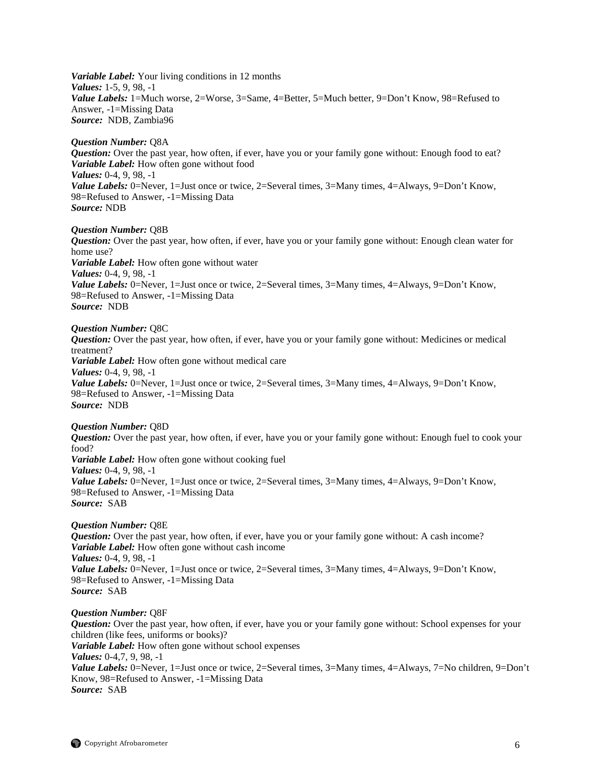*Variable Label:* Your living conditions in 12 months *Values:* 1-5, 9, 98, -1 Value Labels: 1=Much worse, 2=Worse, 3=Same, 4=Better, 5=Much better, 9=Don't Know, 98=Refused to Answer, -1=Missing Data *Source:* NDB, Zambia96

#### *Question Number:* Q8A

*Question:* Over the past year, how often, if ever, have you or your family gone without: Enough food to eat? *Variable Label:* How often gone without food *Values:* 0-4, 9, 98, -1 *Value Labels:* 0=Never, 1=Just once or twice, 2=Several times, 3=Many times, 4=Always, 9=Don't Know, 98=Refused to Answer, -1=Missing Data *Source:* NDB

# *Question Number:* Q8B

*Question:* Over the past year, how often, if ever, have you or your family gone without: Enough clean water for home use? *Variable Label:* How often gone without water *Values:* 0-4, 9, 98, -1 *Value Labels:* 0=Never, 1=Just once or twice, 2=Several times, 3=Many times, 4=Always, 9=Don't Know, 98=Refused to Answer, -1=Missing Data *Source:* NDB

#### *Question Number:* Q8C

*Question:* Over the past year, how often, if ever, have you or your family gone without: Medicines or medical treatment? *Variable Label:* How often gone without medical care *Values:* 0-4, 9, 98, -1 *Value Labels:* 0=Never, 1=Just once or twice, 2=Several times, 3=Many times, 4=Always, 9=Don't Know, 98=Refused to Answer, -1=Missing Data *Source:* NDB

#### *Question Number:* Q8D

*Question:* Over the past year, how often, if ever, have you or your family gone without: Enough fuel to cook your food? *Variable Label:* How often gone without cooking fuel *Values:* 0-4, 9, 98, -1 *Value Labels:* 0=Never, 1=Just once or twice, 2=Several times, 3=Many times, 4=Always, 9=Don't Know, 98=Refused to Answer, -1=Missing Data *Source:* SAB

#### *Question Number:* Q8E

*Question:* Over the past year, how often, if ever, have you or your family gone without: A cash income? *Variable Label:* How often gone without cash income *Values:* 0-4, 9, 98, -1 *Value Labels:* 0=Never, 1=Just once or twice, 2=Several times, 3=Many times, 4=Always, 9=Don't Know, 98=Refused to Answer, -1=Missing Data *Source:* SAB

#### *Question Number:* Q8F

*Question:* Over the past year, how often, if ever, have you or your family gone without: School expenses for your children (like fees, uniforms or books)? *Variable Label:* How often gone without school expenses *Values:* 0-4,7, 9, 98, -1 *Value Labels:* 0=Never, 1=Just once or twice, 2=Several times, 3=Many times, 4=Always, 7=No children, 9=Don't Know, 98=Refused to Answer, -1=Missing Data *Source:* SAB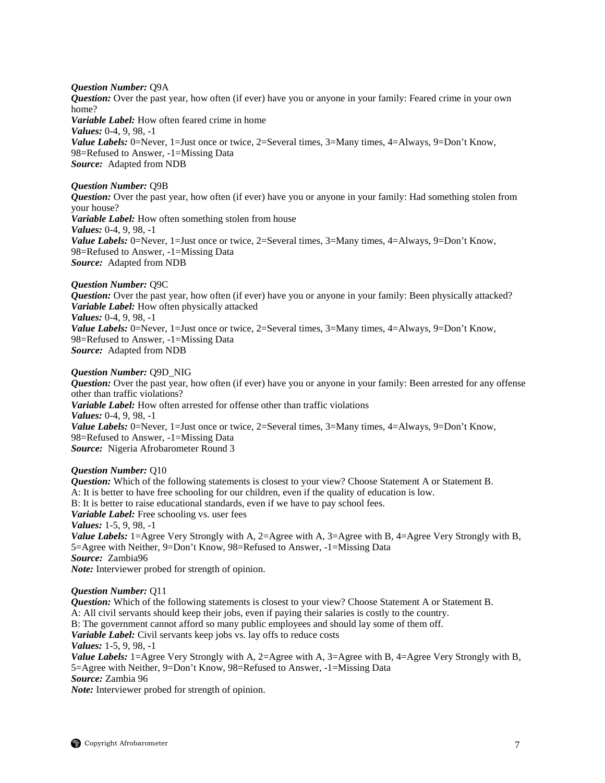### *Question Number:* Q9A

*Question:* Over the past year, how often (if ever) have you or anyone in your family: Feared crime in your own home?

*Variable Label:* How often feared crime in home *Values:* 0-4, 9, 98, -1 *Value Labels:* 0=Never, 1=Just once or twice, 2=Several times, 3=Many times, 4=Always, 9=Don't Know, 98=Refused to Answer, -1=Missing Data *Source:* Adapted from NDB

# *Question Number:* Q9B

*Question:* Over the past year, how often (if ever) have you or anyone in your family: Had something stolen from your house? *Variable Label:* How often something stolen from house *Values:* 0-4, 9, 98, -1 *Value Labels:* 0=Never, 1=Just once or twice, 2=Several times, 3=Many times, 4=Always, 9=Don't Know, 98=Refused to Answer, -1=Missing Data *Source:* Adapted from NDB

### *Question Number:* Q9C

*Question:* Over the past year, how often (if ever) have you or anyone in your family: Been physically attacked? *Variable Label:* How often physically attacked *Values:* 0-4, 9, 98, -1 *Value Labels:* 0=Never, 1=Just once or twice, 2=Several times, 3=Many times, 4=Always, 9=Don't Know, 98=Refused to Answer, -1=Missing Data *Source:* Adapted from NDB

#### *Question Number:* Q9D\_NIG

*Question:* Over the past year, how often (if ever) have you or anyone in your family: Been arrested for any offense other than traffic violations? *Variable Label:* How often arrested for offense other than traffic violations *Values:* 0-4, 9, 98, -1 *Value Labels:* 0=Never, 1=Just once or twice, 2=Several times, 3=Many times, 4=Always, 9=Don't Know, 98=Refused to Answer, -1=Missing Data *Source:* Nigeria Afrobarometer Round 3

#### *Question Number:* Q10

*Question:* Which of the following statements is closest to your view? Choose Statement A or Statement B. A: It is better to have free schooling for our children, even if the quality of education is low. B: It is better to raise educational standards, even if we have to pay school fees. *Variable Label:* Free schooling vs. user fees *Values:* 1-5, 9, 98, -1 *Value Labels:* 1=Agree Very Strongly with A, 2=Agree with A, 3=Agree with B, 4=Agree Very Strongly with B, 5=Agree with Neither, 9=Don't Know, 98=Refused to Answer, -1=Missing Data *Source:* Zambia96 *Note:* Interviewer probed for strength of opinion.

### *Question Number:* Q11

*Question:* Which of the following statements is closest to your view? Choose Statement A or Statement B. A: All civil servants should keep their jobs, even if paying their salaries is costly to the country. B: The government cannot afford so many public employees and should lay some of them off. *Variable Label:* Civil servants keep jobs vs. lay offs to reduce costs *Values:* 1-5, 9, 98, -1 *Value Labels:* 1=Agree Very Strongly with A, 2=Agree with A, 3=Agree with B, 4=Agree Very Strongly with B, 5=Agree with Neither, 9=Don't Know, 98=Refused to Answer, -1=Missing Data *Source:* Zambia 96

*Note:* Interviewer probed for strength of opinion.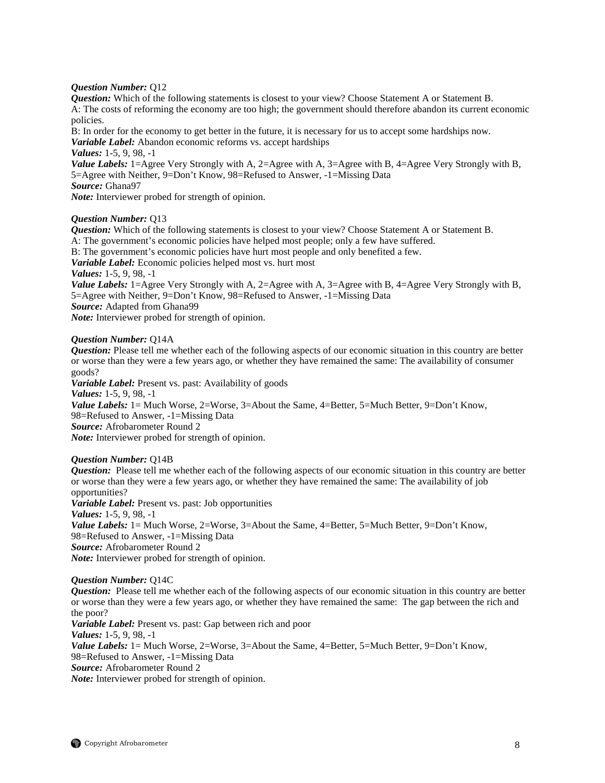# *Question Number:* Q12

*Question:* Which of the following statements is closest to your view? Choose Statement A or Statement B. A: The costs of reforming the economy are too high; the government should therefore abandon its current economic policies.

B: In order for the economy to get better in the future, it is necessary for us to accept some hardships now. *Variable Label:* Abandon economic reforms vs. accept hardships

*Values:* 1-5, 9, 98, -1

*Value Labels:* 1=Agree Very Strongly with A, 2=Agree with A, 3=Agree with B, 4=Agree Very Strongly with B, 5=Agree with Neither, 9=Don't Know, 98=Refused to Answer, -1=Missing Data

*Source:* Ghana97 *Note:* Interviewer probed for strength of opinion.

# *Question Number:* Q13

*Question:* Which of the following statements is closest to your view? Choose Statement A or Statement B. A: The government's economic policies have helped most people; only a few have suffered. B: The government's economic policies have hurt most people and only benefited a few. *Variable Label:* Economic policies helped most vs. hurt most *Values:* 1-5, 9, 98, -1 *Value Labels:* 1=Agree Very Strongly with A, 2=Agree with A, 3=Agree with B, 4=Agree Very Strongly with B, 5=Agree with Neither, 9=Don't Know, 98=Refused to Answer, -1=Missing Data *Source:* Adapted from Ghana99

*Note:* Interviewer probed for strength of opinion.

# *Question Number:* Q14A

*Question:* Please tell me whether each of the following aspects of our economic situation in this country are better or worse than they were a few years ago, or whether they have remained the same: The availability of consumer goods?

*Variable Label:* Present vs. past: Availability of goods *Values:* 1-5, 9, 98, -1 *Value Labels:* 1 = Much Worse, 2=Worse, 3=About the Same, 4=Better, 5=Much Better, 9=Don't Know, 98=Refused to Answer, -1=Missing Data *Source:* Afrobarometer Round 2 *Note:* Interviewer probed for strength of opinion.

### *Question Number:* Q14B

*Question:* Please tell me whether each of the following aspects of our economic situation in this country are better or worse than they were a few years ago, or whether they have remained the same: The availability of job opportunities? *Variable Label:* Present vs. past: Job opportunities *Values:* 1-5, 9, 98, -1 *Value Labels:* 1 = Much Worse, 2=Worse, 3=About the Same, 4=Better, 5=Much Better, 9=Don't Know, 98=Refused to Answer, -1=Missing Data *Source:* Afrobarometer Round 2 *Note:* Interviewer probed for strength of opinion.

#### *Question Number:* Q14C

*Question:* Please tell me whether each of the following aspects of our economic situation in this country are better or worse than they were a few years ago, or whether they have remained the same: The gap between the rich and the poor? *Variable Label:* Present vs. past: Gap between rich and poor *Values:* 1-5, 9, 98, -1 *Value Labels:* 1= Much Worse, 2=Worse, 3=About the Same, 4=Better, 5=Much Better, 9=Don't Know,

98=Refused to Answer, -1=Missing Data

*Source:* Afrobarometer Round 2

*Note:* Interviewer probed for strength of opinion.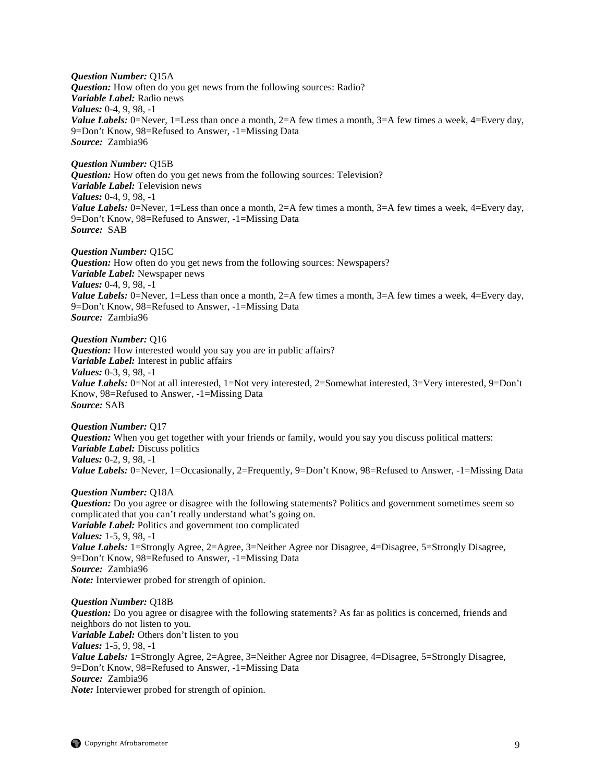*Question Number:* Q15A *Question:* How often do you get news from the following sources: Radio? *Variable Label:* Radio news *Values:* 0-4, 9, 98, -1 *Value Labels:* 0=Never, 1=Less than once a month, 2=A few times a month, 3=A few times a week, 4=Every day, 9=Don't Know, 98=Refused to Answer, -1=Missing Data *Source:* Zambia96

*Question Number:* Q15B *Question:* How often do you get news from the following sources: Television? *Variable Label:* Television news *Values:* 0-4, 9, 98, -1 *Value Labels:* 0=Never, 1=Less than once a month, 2=A few times a month, 3=A few times a week, 4=Every day, 9=Don't Know, 98=Refused to Answer, -1=Missing Data *Source:* SAB

*Question Number:* Q15C *Question:* How often do you get news from the following sources: Newspapers? *Variable Label:* Newspaper news *Values:* 0-4, 9, 98, -1 *Value Labels:* 0=Never, 1=Less than once a month, 2=A few times a month, 3=A few times a week, 4=Every day, 9=Don't Know, 98=Refused to Answer, -1=Missing Data *Source:* Zambia96

*Question Number:* Q16 *Question:* How interested would you say you are in public affairs? *Variable Label:* Interest in public affairs *Values:* 0-3, 9, 98, -1 *Value Labels:* 0=Not at all interested, 1=Not very interested, 2=Somewhat interested, 3=Very interested, 9=Don't Know, 98=Refused to Answer, -1=Missing Data *Source:* SAB

*Question Number:* Q17 *Question:* When you get together with your friends or family, would you say you discuss political matters: *Variable Label:* Discuss politics *Values:* 0-2, 9, 98, -1 *Value Labels:* 0=Never, 1=Occasionally, 2=Frequently, 9=Don't Know, 98=Refused to Answer, -1=Missing Data

#### *Question Number:* Q18A

*Question:* Do you agree or disagree with the following statements? Politics and government sometimes seem so complicated that you can't really understand what's going on. *Variable Label:* Politics and government too complicated *Values:* 1-5, 9, 98, -1 *Value Labels:* 1=Strongly Agree, 2=Agree, 3=Neither Agree nor Disagree, 4=Disagree, 5=Strongly Disagree, 9=Don't Know, 98=Refused to Answer, -1=Missing Data *Source:* Zambia96 *Note:* Interviewer probed for strength of opinion.

*Question Number:* Q18B *Question:* Do you agree or disagree with the following statements? As far as politics is concerned, friends and neighbors do not listen to you. *Variable Label:* Others don't listen to you *Values:* 1-5, 9, 98, -1 *Value Labels:* 1=Strongly Agree, 2=Agree, 3=Neither Agree nor Disagree, 4=Disagree, 5=Strongly Disagree, 9=Don't Know, 98=Refused to Answer, -1=Missing Data *Source:* Zambia96 *Note:* Interviewer probed for strength of opinion.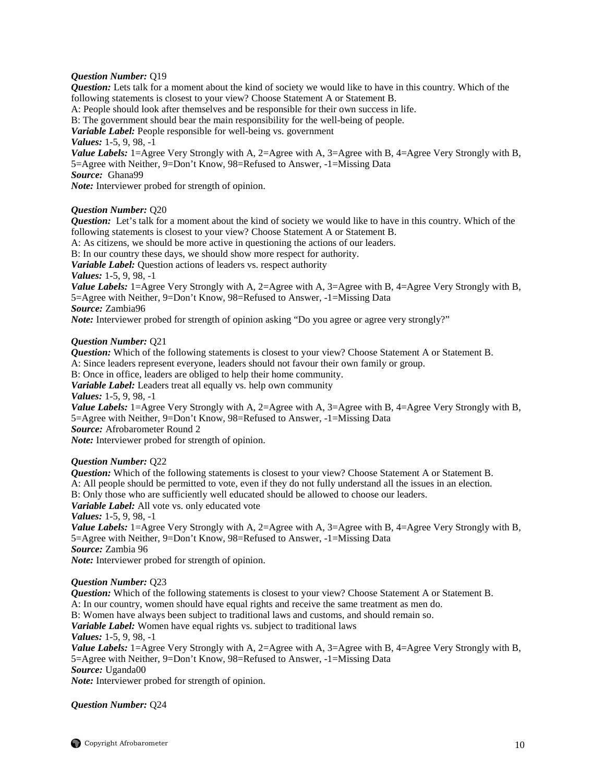#### *Question Number:* Q19

*Question:* Lets talk for a moment about the kind of society we would like to have in this country. Which of the following statements is closest to your view? Choose Statement A or Statement B. A: People should look after themselves and be responsible for their own success in life. B: The government should bear the main responsibility for the well-being of people. *Variable Label:* People responsible for well-being vs. government *Values:* 1-5, 9, 98, -1 *Value Labels:* 1=Agree Very Strongly with A, 2=Agree with A, 3=Agree with B, 4=Agree Very Strongly with B, 5=Agree with Neither, 9=Don't Know, 98=Refused to Answer, -1=Missing Data *Source:* Ghana99 *Note:* Interviewer probed for strength of opinion.

### *Question Number:* Q20

*Question:* Let's talk for a moment about the kind of society we would like to have in this country. Which of the following statements is closest to your view? Choose Statement A or Statement B.

A: As citizens, we should be more active in questioning the actions of our leaders.

B: In our country these days, we should show more respect for authority.

*Variable Label:* Question actions of leaders vs. respect authority

*Values:* 1-5, 9, 98, -1

*Value Labels:* 1=Agree Very Strongly with A, 2=Agree with A, 3=Agree with B, 4=Agree Very Strongly with B, 5=Agree with Neither, 9=Don't Know, 98=Refused to Answer, -1=Missing Data *Source:* Zambia96

*Note:* Interviewer probed for strength of opinion asking "Do you agree or agree very strongly?"

#### *Question Number:* Q21

*Question:* Which of the following statements is closest to your view? Choose Statement A or Statement B. A: Since leaders represent everyone, leaders should not favour their own family or group. B: Once in office, leaders are obliged to help their home community. *Variable Label:* Leaders treat all equally vs. help own community *Values:* 1-5, 9, 98, -1 *Value Labels:* 1=Agree Very Strongly with A, 2=Agree with A, 3=Agree with B, 4=Agree Very Strongly with B, 5=Agree with Neither, 9=Don't Know, 98=Refused to Answer, -1=Missing Data *Source:* Afrobarometer Round 2 *Note:* Interviewer probed for strength of opinion. *Question Number:* Q22

*Question:* Which of the following statements is closest to your view? Choose Statement A or Statement B. A: All people should be permitted to vote, even if they do not fully understand all the issues in an election. B: Only those who are sufficiently well educated should be allowed to choose our leaders. *Variable Label:* All vote vs. only educated vote *Values:* 1-5, 9, 98, -1 *Value Labels:* 1=Agree Very Strongly with A, 2=Agree with A, 3=Agree with B, 4=Agree Very Strongly with B, 5=Agree with Neither, 9=Don't Know, 98=Refused to Answer, -1=Missing Data *Source:* Zambia 96

*Note:* Interviewer probed for strength of opinion.

## *Question Number:* Q23

*Question:* Which of the following statements is closest to your view? Choose Statement A or Statement B. A: In our country, women should have equal rights and receive the same treatment as men do.

B: Women have always been subject to traditional laws and customs, and should remain so.

*Variable Label:* Women have equal rights vs. subject to traditional laws

*Values:* 1-5, 9, 98, -1

*Value Labels:* 1=Agree Very Strongly with A, 2=Agree with A, 3=Agree with B, 4=Agree Very Strongly with B, 5=Agree with Neither, 9=Don't Know, 98=Refused to Answer, -1=Missing Data

*Source:* Uganda00

*Note:* Interviewer probed for strength of opinion.

*Question Number:* Q24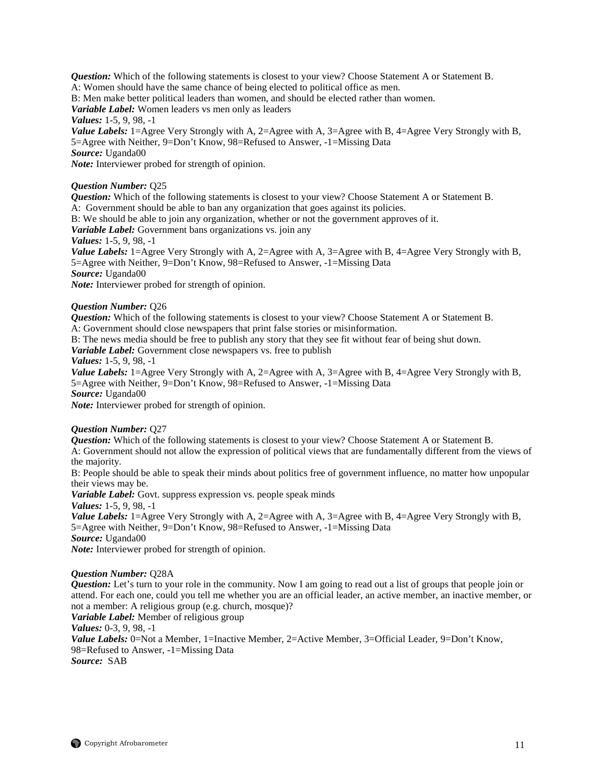*Question:* Which of the following statements is closest to your view? Choose Statement A or Statement B. A: Women should have the same chance of being elected to political office as men. B: Men make better political leaders than women, and should be elected rather than women. *Variable Label:* Women leaders vs men only as leaders *Values:* 1-5, 9, 98, -1 *Value Labels:* 1=Agree Very Strongly with A, 2=Agree with A, 3=Agree with B, 4=Agree Very Strongly with B, 5=Agree with Neither, 9=Don't Know, 98=Refused to Answer, -1=Missing Data *Source:* Uganda00 *Note:* Interviewer probed for strength of opinion.

#### *Question Number:* Q25

*Question:* Which of the following statements is closest to your view? Choose Statement A or Statement B.

A: Government should be able to ban any organization that goes against its policies.

B: We should be able to join any organization, whether or not the government approves of it.

*Variable Label:* Government bans organizations vs. join any

#### *Values:* 1-5, 9, 98, -1

*Value Labels:* 1=Agree Very Strongly with A, 2=Agree with A, 3=Agree with B, 4=Agree Very Strongly with B, 5=Agree with Neither, 9=Don't Know, 98=Refused to Answer, -1=Missing Data *Source:* Uganda00

*Note:* Interviewer probed for strength of opinion.

### *Question Number:* Q26

*Question:* Which of the following statements is closest to your view? Choose Statement A or Statement B.

A: Government should close newspapers that print false stories or misinformation.

B: The news media should be free to publish any story that they see fit without fear of being shut down.

*Variable Label:* Government close newspapers vs. free to publish

### *Values:* 1-5, 9, 98, -1

*Value Labels:* 1=Agree Very Strongly with A, 2=Agree with A, 3=Agree with B, 4=Agree Very Strongly with B, 5=Agree with Neither, 9=Don't Know, 98=Refused to Answer, -1=Missing Data

*Source:* Uganda00

*Note:* Interviewer probed for strength of opinion.

# *Question Number:* Q27

*Question:* Which of the following statements is closest to your view? Choose Statement A or Statement B. A: Government should not allow the expression of political views that are fundamentally different from the views of the majority.

B: People should be able to speak their minds about politics free of government influence, no matter how unpopular their views may be.

*Variable Label:* Govt. suppress expression vs. people speak minds

*Values:* 1-5, 9, 98, -1

*Value Labels:* 1=Agree Very Strongly with A, 2=Agree with A, 3=Agree with B, 4=Agree Very Strongly with B, 5=Agree with Neither, 9=Don't Know, 98=Refused to Answer, -1=Missing Data

*Source:* Uganda00

*Note:* Interviewer probed for strength of opinion.

# *Question Number:* Q28A

*Question:* Let's turn to your role in the community. Now I am going to read out a list of groups that people join or attend. For each one, could you tell me whether you are an official leader, an active member, an inactive member, or not a member: A religious group (e.g. church, mosque)?

*Variable Label:* Member of religious group

*Values:* 0-3, 9, 98, -1

*Value Labels:* 0=Not a Member, 1=Inactive Member, 2=Active Member, 3=Official Leader, 9=Don't Know, 98=Refused to Answer, -1=Missing Data *Source:* SAB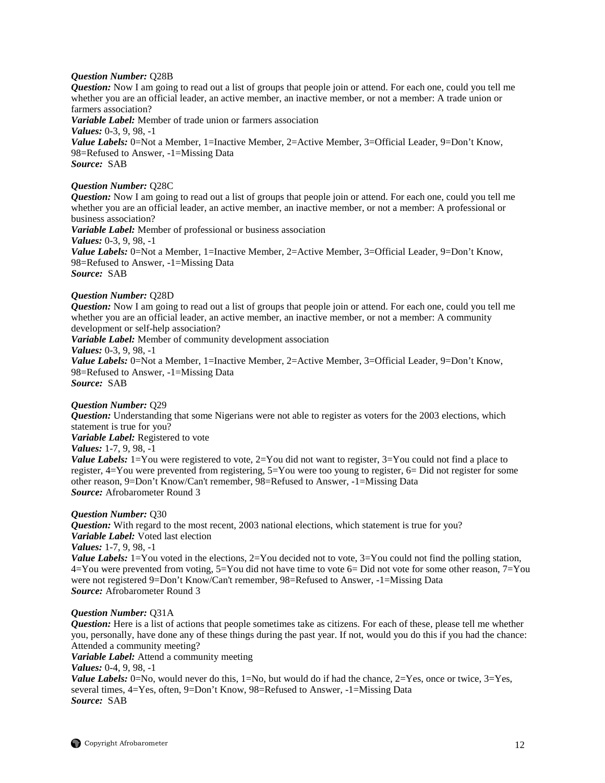#### *Question Number:* Q28B

*Question:* Now I am going to read out a list of groups that people join or attend. For each one, could you tell me whether you are an official leader, an active member, an inactive member, or not a member: A trade union or farmers association?

*Variable Label:* Member of trade union or farmers association *Values:* 0-3, 9, 98, -1 Value Labels: 0=Not a Member, 1=Inactive Member, 2=Active Member, 3=Official Leader, 9=Don't Know, 98=Refused to Answer, -1=Missing Data *Source:* SAB

#### *Question Number:* Q28C

*Question:* Now I am going to read out a list of groups that people join or attend. For each one, could you tell me whether you are an official leader, an active member, an inactive member, or not a member: A professional or business association? *Variable Label:* Member of professional or business association *Values:* 0-3, 9, 98, -1 *Value Labels:* 0=Not a Member, 1=Inactive Member, 2=Active Member, 3=Official Leader, 9=Don't Know, 98=Refused to Answer, -1=Missing Data *Source:* SAB

# *Question Number:* Q28D

*Question:* Now I am going to read out a list of groups that people join or attend. For each one, could you tell me whether you are an official leader, an active member, an inactive member, or not a member: A community development or self-help association? *Variable Label:* Member of community development association *Values:* 0-3, 9, 98, -1 *Value Labels:* 0=Not a Member, 1=Inactive Member, 2=Active Member, 3=Official Leader, 9=Don't Know, 98=Refused to Answer, -1=Missing Data *Source:* SAB

#### *Question Number:* Q29

*Question:* Understanding that some Nigerians were not able to register as voters for the 2003 elections, which statement is true for you? *Variable Label:* Registered to vote *Values:* 1-7, 9, 98, -1 *Value Labels:* 1=You were registered to vote, 2=You did not want to register, 3=You could not find a place to register, 4=You were prevented from registering, 5=You were too young to register, 6= Did not register for some other reason, 9=Don't Know/Can't remember, 98=Refused to Answer, -1=Missing Data *Source:* Afrobarometer Round 3

#### *Question Number:* Q30

*Question:* With regard to the most recent, 2003 national elections, which statement is true for you? *Variable Label:* Voted last election *Values:* 1-7, 9, 98, -1 *Value Labels:*  $1 = You$  voted in the elections,  $2 = You$  decided not to vote,  $3 = You$  could not find the polling station, 4=You were prevented from voting, 5=You did not have time to vote 6= Did not vote for some other reason, 7=You

were not registered 9=Don't Know/Can't remember, 98=Refused to Answer, -1=Missing Data *Source:* Afrobarometer Round 3

#### *Question Number:* Q31A

*Question:* Here is a list of actions that people sometimes take as citizens. For each of these, please tell me whether you, personally, have done any of these things during the past year. If not, would you do this if you had the chance: Attended a community meeting?

*Variable Label:* Attend a community meeting

*Values:* 0-4, 9, 98, -1

*Value Labels:*  $0 = No$ , would never do this,  $1 = No$ , but would do if had the chance,  $2 = Yes$ , once or twice,  $3 = Yes$ , several times, 4=Yes, often, 9=Don't Know, 98=Refused to Answer, -1=Missing Data *Source:* SAB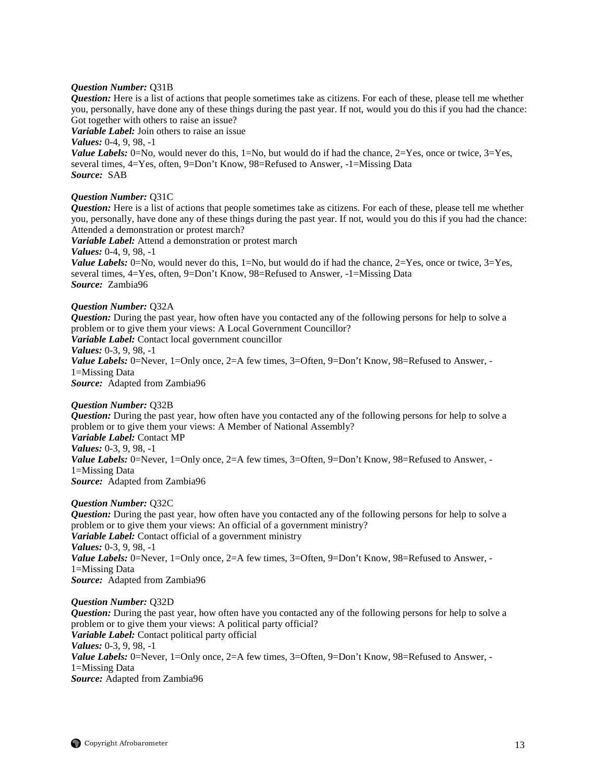# *Question Number:* Q31B

*Question:* Here is a list of actions that people sometimes take as citizens. For each of these, please tell me whether you, personally, have done any of these things during the past year. If not, would you do this if you had the chance: Got together with others to raise an issue?

*Variable Label:* Join others to raise an issue

*Values:* 0-4, 9, 98, -1

*Value Labels:* 0=No, would never do this,  $1=N_0$ , but would do if had the chance,  $2=Y$ es, once or twice,  $3=Yes$ , several times, 4=Yes, often, 9=Don't Know, 98=Refused to Answer, -1=Missing Data *Source:* SAB

#### *Question Number:* Q31C

*Question:* Here is a list of actions that people sometimes take as citizens. For each of these, please tell me whether you, personally, have done any of these things during the past year. If not, would you do this if you had the chance: Attended a demonstration or protest march?

*Variable Label:* Attend a demonstration or protest march

*Values:* 0-4, 9, 98, -1

*Value Labels:* 0=No, would never do this, 1=No, but would do if had the chance,  $2=Yes$ , once or twice,  $3=Yes$ , several times, 4=Yes, often, 9=Don't Know, 98=Refused to Answer, -1=Missing Data *Source:* Zambia96

#### *Question Number:* Q32A

*Question:* During the past year, how often have you contacted any of the following persons for help to solve a problem or to give them your views: A Local Government Councillor? *Variable Label:* Contact local government councillor *Values:* 0-3, 9, 98, -1

*Value Labels:* 0=Never, 1=Only once, 2=A few times, 3=Often, 9=Don't Know, 98=Refused to Answer, -1=Missing Data *Source:* Adapted from Zambia96

#### *Question Number:* Q32B

*Question:* During the past year, how often have you contacted any of the following persons for help to solve a problem or to give them your views: A Member of National Assembly? *Variable Label:* Contact MP *Values:* 0-3, 9, 98, -1 *Value Labels:* 0=Never, 1=Only once, 2=A few times, 3=Often, 9=Don't Know, 98=Refused to Answer, -1=Missing Data *Source:* Adapted from Zambia96

#### *Question Number:* Q32C

*Question:* During the past year, how often have you contacted any of the following persons for help to solve a problem or to give them your views: An official of a government ministry? *Variable Label:* Contact official of a government ministry *Values:* 0-3, 9, 98, -1 *Value Labels:* 0=Never, 1=Only once, 2=A few times, 3=Often, 9=Don't Know, 98=Refused to Answer, -1=Missing Data *Source:* Adapted from Zambia96

#### *Question Number:* Q32D

*Question:* During the past year, how often have you contacted any of the following persons for help to solve a problem or to give them your views: A political party official? *Variable Label:* Contact political party official *Values:* 0-3, 9, 98, -1 *Value Labels:* 0=Never, 1=Only once, 2=A few times, 3=Often, 9=Don't Know, 98=Refused to Answer, -1=Missing Data *Source:* Adapted from Zambia96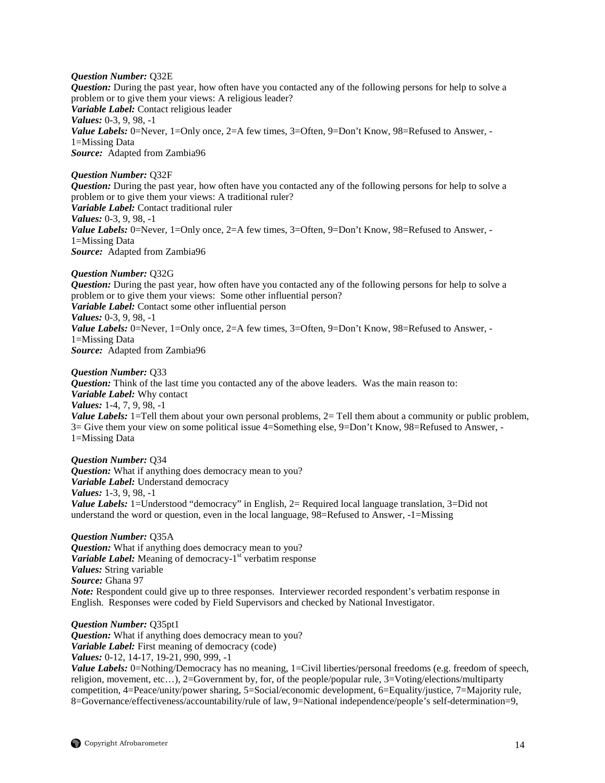#### *Question Number:* Q32E

*Question:* During the past year, how often have you contacted any of the following persons for help to solve a problem or to give them your views: A religious leader? *Variable Label:* Contact religious leader *Values:* 0-3, 9, 98, -1 Value Labels: 0=Never, 1=Only once, 2=A few times, 3=Often, 9=Don't Know, 98=Refused to Answer, -1=Missing Data *Source:* Adapted from Zambia96

#### *Question Number:* Q32F

*Question:* During the past year, how often have you contacted any of the following persons for help to solve a problem or to give them your views: A traditional ruler? *Variable Label:* Contact traditional ruler *Values:* 0-3, 9, 98, -1 *Value Labels:* 0=Never, 1=Only once, 2=A few times, 3=Often, 9=Don't Know, 98=Refused to Answer, -1=Missing Data *Source:* Adapted from Zambia96

#### *Question Number:* Q32G

*Question:* During the past year, how often have you contacted any of the following persons for help to solve a problem or to give them your views: Some other influential person? *Variable Label:* Contact some other influential person *Values:* 0-3, 9, 98, -1 *Value Labels:* 0=Never, 1=Only once, 2=A few times, 3=Often, 9=Don't Know, 98=Refused to Answer, -1=Missing Data *Source:* Adapted from Zambia96

#### *Question Number:* Q33

*Question:* Think of the last time you contacted any of the above leaders. Was the main reason to: *Variable Label:* Why contact *Values:* 1-4, 7, 9, 98, -1 *Value Labels:* 1=Tell them about your own personal problems, 2= Tell them about a community or public problem, 3= Give them your view on some political issue 4=Something else, 9=Don't Know, 98=Refused to Answer, - 1=Missing Data

*Question Number:* Q34 *Question:* What if anything does democracy mean to you? *Variable Label:* Understand democracy *Values:* 1-3, 9, 98, -1 *Value Labels:* 1=Understood "democracy" in English, 2= Required local language translation, 3=Did not understand the word or question, even in the local language, 98=Refused to Answer, -1=Missing

*Question Number:* Q35A *Question:* What if anything does democracy mean to you? *Variable Label:* Meaning of democracy-1<sup>st</sup> verbatim response *Values:* String variable *Source:* Ghana 97 *Note:* Respondent could give up to three responses. Interviewer recorded respondent's verbatim response in English. Responses were coded by Field Supervisors and checked by National Investigator.

*Question Number:* Q35pt1 *Question:* What if anything does democracy mean to you? *Variable Label:* First meaning of democracy (code) *Values:* 0-12, 14-17, 19-21, 990, 999, -1

*Value Labels:* 0=Nothing/Democracy has no meaning, 1=Civil liberties/personal freedoms (e.g. freedom of speech, religion, movement, etc…), 2=Government by, for, of the people/popular rule, 3=Voting/elections/multiparty competition, 4=Peace/unity/power sharing, 5=Social/economic development, 6=Equality/justice, 7=Majority rule, 8=Governance/effectiveness/accountability/rule of law, 9=National independence/people's self-determination=9,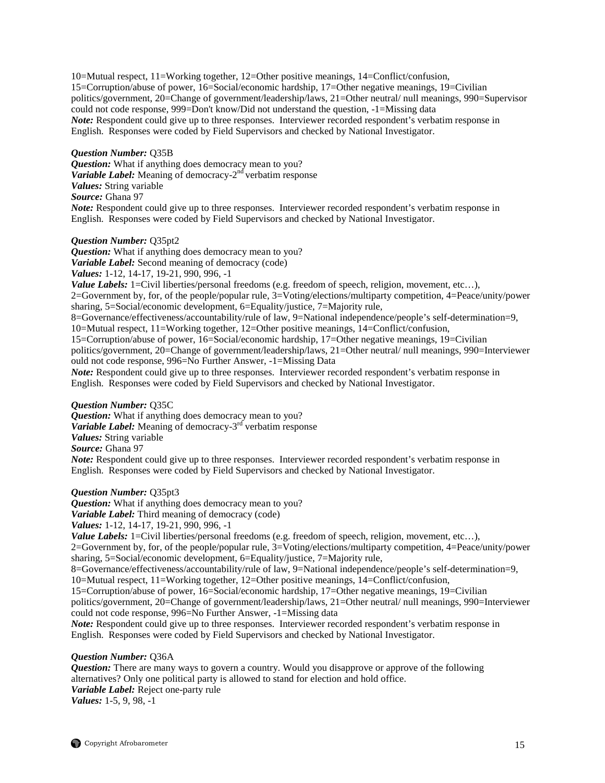10=Mutual respect, 11=Working together, 12=Other positive meanings, 14=Conflict/confusion, 15=Corruption/abuse of power, 16=Social/economic hardship, 17=Other negative meanings, 19=Civilian politics/government, 20=Change of government/leadership/laws, 21=Other neutral/ null meanings, 990=Supervisor could not code response, 999=Don't know/Did not understand the question, -1=Missing data *Note:* Respondent could give up to three responses. Interviewer recorded respondent's verbatim response in English. Responses were coded by Field Supervisors and checked by National Investigator.

#### *Question Number:* Q35B

*Question:* What if anything does democracy mean to you? *Variable Label:* Meaning of democracy- $2<sup>nd</sup>$  verbatim response *Values:* String variable *Source:* Ghana 97 *Note:* Respondent could give up to three responses. Interviewer recorded respondent's verbatim response in English. Responses were coded by Field Supervisors and checked by National Investigator.

#### *Question Number:* Q35pt2

*Question:* What if anything does democracy mean to you? *Variable Label:* Second meaning of democracy (code) *Values:* 1-12, 14-17, 19-21, 990, 996, -1 *Value Labels:* 1=Civil liberties/personal freedoms (e.g. freedom of speech, religion, movement, etc...). 2=Government by, for, of the people/popular rule, 3=Voting/elections/multiparty competition, 4=Peace/unity/power sharing, 5=Social/economic development, 6=Equality/justice, 7=Majority rule, 8=Governance/effectiveness/accountability/rule of law, 9=National independence/people's self-determination=9, 10=Mutual respect, 11=Working together, 12=Other positive meanings, 14=Conflict/confusion, 15=Corruption/abuse of power, 16=Social/economic hardship, 17=Other negative meanings, 19=Civilian politics/government, 20=Change of government/leadership/laws, 21=Other neutral/ null meanings, 990=Interviewer ould not code response, 996=No Further Answer, -1=Missing Data *Note:* Respondent could give up to three responses. Interviewer recorded respondent's verbatim response in English. Responses were coded by Field Supervisors and checked by National Investigator.

# *Question Number:* Q35C

*Question:* What if anything does democracy mean to you? *Variable Label:* Meaning of democracy-3<sup>rd</sup> verbatim response *Values:* String variable *Source:* Ghana 97 *Note:* Respondent could give up to three responses. Interviewer recorded respondent's verbatim response in English. Responses were coded by Field Supervisors and checked by National Investigator.

#### *Question Number:* Q35pt3

*Question:* What if anything does democracy mean to you? *Variable Label:* Third meaning of democracy (code)

*Values:* 1-12, 14-17, 19-21, 990, 996, -1

*Value Labels:* 1=Civil liberties/personal freedoms (e.g. freedom of speech, religion, movement, etc...), 2=Government by, for, of the people/popular rule, 3=Voting/elections/multiparty competition, 4=Peace/unity/power sharing, 5=Social/economic development, 6=Equality/justice, 7=Majority rule,

8=Governance/effectiveness/accountability/rule of law, 9=National independence/people's self-determination=9, 10=Mutual respect, 11=Working together, 12=Other positive meanings, 14=Conflict/confusion,

15=Corruption/abuse of power, 16=Social/economic hardship, 17=Other negative meanings, 19=Civilian

politics/government, 20=Change of government/leadership/laws, 21=Other neutral/ null meanings, 990=Interviewer could not code response, 996=No Further Answer, -1=Missing data

*Note:* Respondent could give up to three responses. Interviewer recorded respondent's verbatim response in English. Responses were coded by Field Supervisors and checked by National Investigator.

*Question Number:* Q36A

*Question:* There are many ways to govern a country. Would you disapprove or approve of the following alternatives? Only one political party is allowed to stand for election and hold office. *Variable Label:* Reject one-party rule *Values:* 1-5, 9, 98, -1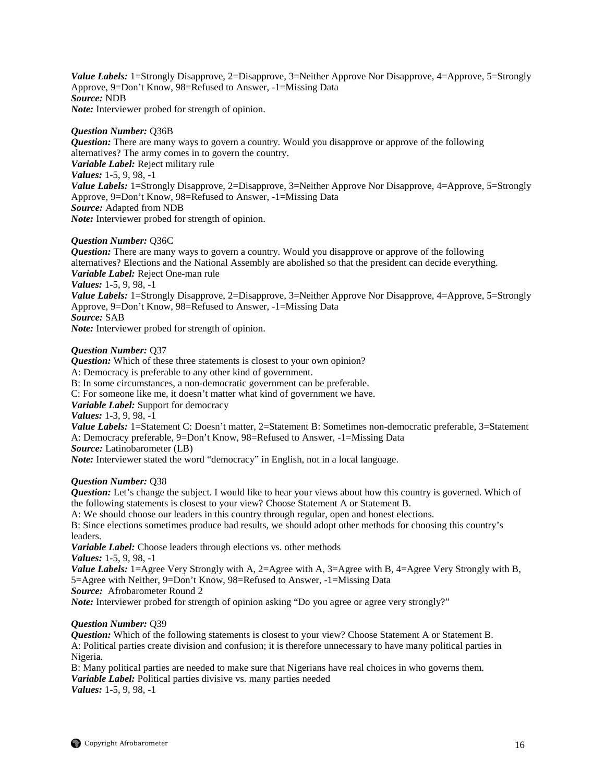*Value Labels:* 1=Strongly Disapprove, 2=Disapprove, 3=Neither Approve Nor Disapprove, 4=Approve, 5=Strongly Approve, 9=Don't Know, 98=Refused to Answer, -1=Missing Data *Source:* NDB *Note:* Interviewer probed for strength of opinion.

#### *Question Number:* Q36B

*Question:* There are many ways to govern a country. Would you disapprove or approve of the following alternatives? The army comes in to govern the country. *Variable Label:* Reject military rule *Values:* 1-5, 9, 98, -1 *Value Labels:* 1=Strongly Disapprove, 2=Disapprove, 3=Neither Approve Nor Disapprove, 4=Approve, 5=Strongly Approve, 9=Don't Know, 98=Refused to Answer, -1=Missing Data *Source:* Adapted from NDB *Note:* Interviewer probed for strength of opinion.

#### *Question Number:* Q36C

*Question:* There are many ways to govern a country. Would you disapprove or approve of the following alternatives? Elections and the National Assembly are abolished so that the president can decide everything. *Variable Label:* Reject One-man rule *Values:* 1-5, 9, 98, -1 *Value Labels:* 1=Strongly Disapprove, 2=Disapprove, 3=Neither Approve Nor Disapprove, 4=Approve, 5=Strongly Approve, 9=Don't Know, 98=Refused to Answer, -1=Missing Data *Source:* SAB *Note:* Interviewer probed for strength of opinion.

# *Question Number:* Q37

*Question:* Which of these three statements is closest to your own opinion? A: Democracy is preferable to any other kind of government. B: In some circumstances, a non-democratic government can be preferable. C: For someone like me, it doesn't matter what kind of government we have. *Variable Label:* Support for democracy *Values:* 1-3, 9, 98, -1 *Value Labels:* 1=Statement C: Doesn't matter, 2=Statement B: Sometimes non-democratic preferable, 3=Statement A: Democracy preferable, 9=Don't Know, 98=Refused to Answer, -1=Missing Data *Source:* Latinobarometer (LB) *Note:* Interviewer stated the word "democracy" in English, not in a local language.

#### *Question Number:* Q38

*Question:* Let's change the subject. I would like to hear your views about how this country is governed. Which of the following statements is closest to your view? Choose Statement A or Statement B.

A: We should choose our leaders in this country through regular, open and honest elections.

B: Since elections sometimes produce bad results, we should adopt other methods for choosing this country's leaders.

*Variable Label:* Choose leaders through elections vs. other methods

*Values:* 1-5, 9, 98, -1

*Value Labels:* 1=Agree Very Strongly with A, 2=Agree with A, 3=Agree with B, 4=Agree Very Strongly with B, 5=Agree with Neither, 9=Don't Know, 98=Refused to Answer, -1=Missing Data

*Source:* Afrobarometer Round 2

*Note:* Interviewer probed for strength of opinion asking "Do you agree or agree very strongly?"

# *Question Number:* Q39

*Question:* Which of the following statements is closest to your view? Choose Statement A or Statement B. A: Political parties create division and confusion; it is therefore unnecessary to have many political parties in Nigeria.

B: Many political parties are needed to make sure that Nigerians have real choices in who governs them. *Variable Label:* Political parties divisive vs. many parties needed *Values:* 1-5, 9, 98, -1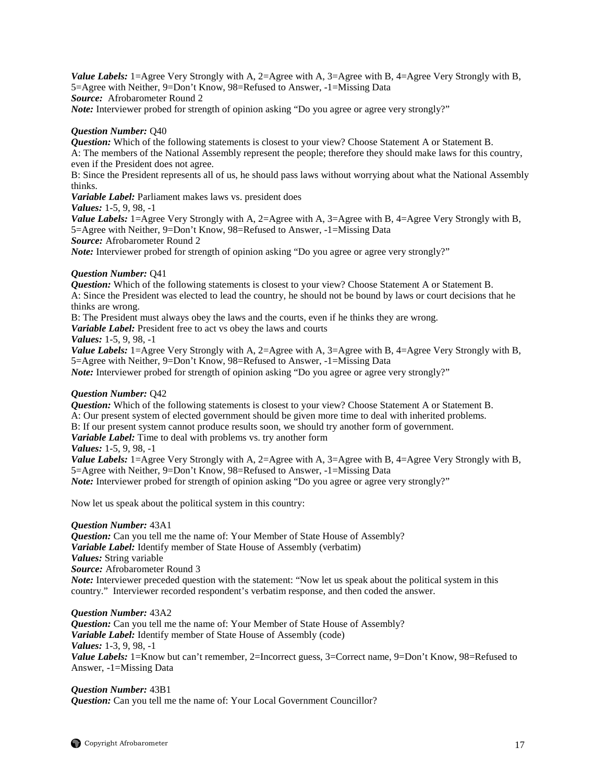*Value Labels:* 1=Agree Very Strongly with A, 2=Agree with A, 3=Agree with B, 4=Agree Very Strongly with B, 5=Agree with Neither, 9=Don't Know, 98=Refused to Answer, -1=Missing Data *Source:* Afrobarometer Round 2

*Note:* Interviewer probed for strength of opinion asking "Do you agree or agree very strongly?"

#### *Question Number:* Q40

*Question:* Which of the following statements is closest to your view? Choose Statement A or Statement B. A: The members of the National Assembly represent the people; therefore they should make laws for this country, even if the President does not agree.

B: Since the President represents all of us, he should pass laws without worrying about what the National Assembly thinks.

*Variable Label:* Parliament makes laws vs. president does

*Values:* 1-5, 9, 98, -1

*Value Labels:* 1=Agree Very Strongly with A, 2=Agree with A, 3=Agree with B, 4=Agree Very Strongly with B, 5=Agree with Neither, 9=Don't Know, 98=Refused to Answer, -1=Missing Data

*Source:* Afrobarometer Round 2

*Note:* Interviewer probed for strength of opinion asking "Do you agree or agree very strongly?"

### *Question Number:* Q41

*Question:* Which of the following statements is closest to your view? Choose Statement A or Statement B. A: Since the President was elected to lead the country, he should not be bound by laws or court decisions that he thinks are wrong.

B: The President must always obey the laws and the courts, even if he thinks they are wrong.

*Variable Label:* President free to act vs obey the laws and courts

*Values:* 1-5, 9, 98, -1

*Value Labels:* 1=Agree Very Strongly with A, 2=Agree with A, 3=Agree with B, 4=Agree Very Strongly with B, 5=Agree with Neither, 9=Don't Know, 98=Refused to Answer, -1=Missing Data

*Note:* Interviewer probed for strength of opinion asking "Do you agree or agree very strongly?"

# *Question Number:* Q42

*Question:* Which of the following statements is closest to your view? Choose Statement A or Statement B. A: Our present system of elected government should be given more time to deal with inherited problems. B: If our present system cannot produce results soon, we should try another form of government. *Variable Label:* Time to deal with problems vs. try another form

*Values:* 1-5, 9, 98, -1

*Value Labels:* 1=Agree Very Strongly with A, 2=Agree with A, 3=Agree with B, 4=Agree Very Strongly with B, 5=Agree with Neither, 9=Don't Know, 98=Refused to Answer, -1=Missing Data *Note:* Interviewer probed for strength of opinion asking "Do you agree or agree very strongly?"

Now let us speak about the political system in this country:

# *Question Number:* 43A1

*Question:* Can you tell me the name of: Your Member of State House of Assembly? *Variable Label:* Identify member of State House of Assembly (verbatim) *Values:* String variable *Source:* Afrobarometer Round 3

*Note:* Interviewer preceded question with the statement: "Now let us speak about the political system in this country." Interviewer recorded respondent's verbatim response, and then coded the answer.

# *Question Number:* 43A2

*Question:* Can you tell me the name of: Your Member of State House of Assembly? *Variable Label:* Identify member of State House of Assembly (code) *Values:* 1-3, 9, 98, -1 *Value Labels:* 1=Know but can't remember, 2=Incorrect guess, 3=Correct name, 9=Don't Know, 98=Refused to Answer, -1=Missing Data

# *Question Number:* 43B1 *Question:* Can you tell me the name of: Your Local Government Councillor?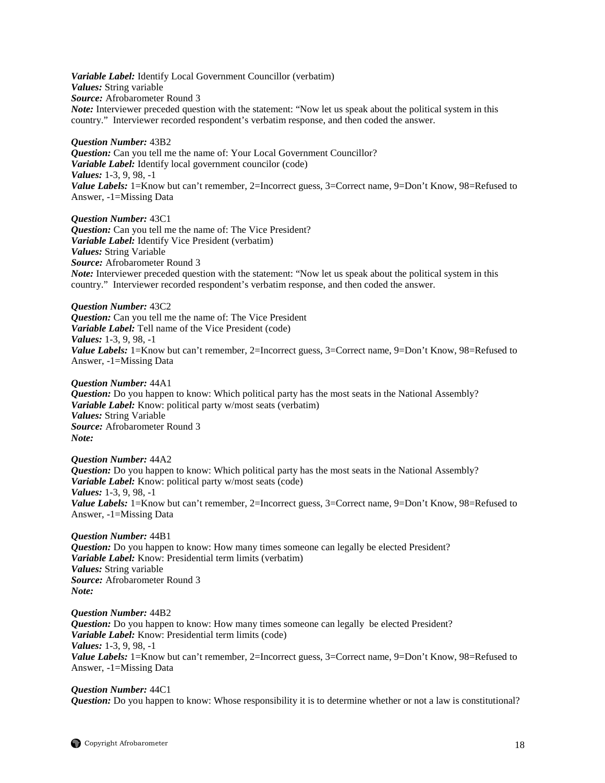*Variable Label:* Identify Local Government Councillor (verbatim) *Values:* String variable *Source:* Afrobarometer Round 3 *Note:* Interviewer preceded question with the statement: "Now let us speak about the political system in this country." Interviewer recorded respondent's verbatim response, and then coded the answer.

*Question Number:* 43B2 *Question:* Can you tell me the name of: Your Local Government Councillor? *Variable Label:* Identify local government councilor (code) *Values:* 1-3, 9, 98, -1 *Value Labels:* 1=Know but can't remember, 2=Incorrect guess, 3=Correct name, 9=Don't Know, 98=Refused to Answer, -1=Missing Data

*Question Number:* 43C1 *Question:* Can you tell me the name of: The Vice President? *Variable Label:* Identify Vice President (verbatim) *Values:* String Variable *Source:* Afrobarometer Round 3 *Note:* Interviewer preceded question with the statement: "Now let us speak about the political system in this country." Interviewer recorded respondent's verbatim response, and then coded the answer.

*Question Number:* 43C2 *Question:* Can you tell me the name of: The Vice President *Variable Label:* Tell name of the Vice President (code) *Values:* 1-3, 9, 98, -1 *Value Labels:* 1=Know but can't remember, 2=Incorrect guess, 3=Correct name, 9=Don't Know, 98=Refused to Answer, -1=Missing Data

*Question Number:* 44A1 *Question:* Do you happen to know: Which political party has the most seats in the National Assembly? *Variable Label:* Know: political party w/most seats (verbatim) *Values:* String Variable *Source:* Afrobarometer Round 3 *Note:*

*Question Number:* 44A2 *Question:* Do you happen to know: Which political party has the most seats in the National Assembly? *Variable Label:* Know: political party w/most seats (code) *Values:* 1-3, 9, 98, -1 *Value Labels:* 1=Know but can't remember, 2=Incorrect guess, 3=Correct name, 9=Don't Know, 98=Refused to Answer, -1=Missing Data

*Question Number:* 44B1 *Question:* Do you happen to know: How many times someone can legally be elected President? *Variable Label:* Know: Presidential term limits (verbatim) *Values:* String variable *Source:* Afrobarometer Round 3 *Note:*

*Question Number:* 44B2 *Question:* Do you happen to know: How many times someone can legally be elected President? *Variable Label:* Know: Presidential term limits (code) *Values:* 1-3, 9, 98, -1 *Value Labels:* 1=Know but can't remember, 2=Incorrect guess, 3=Correct name, 9=Don't Know, 98=Refused to Answer, -1=Missing Data

*Question Number:* 44C1 *Question:* Do you happen to know: Whose responsibility it is to determine whether or not a law is constitutional?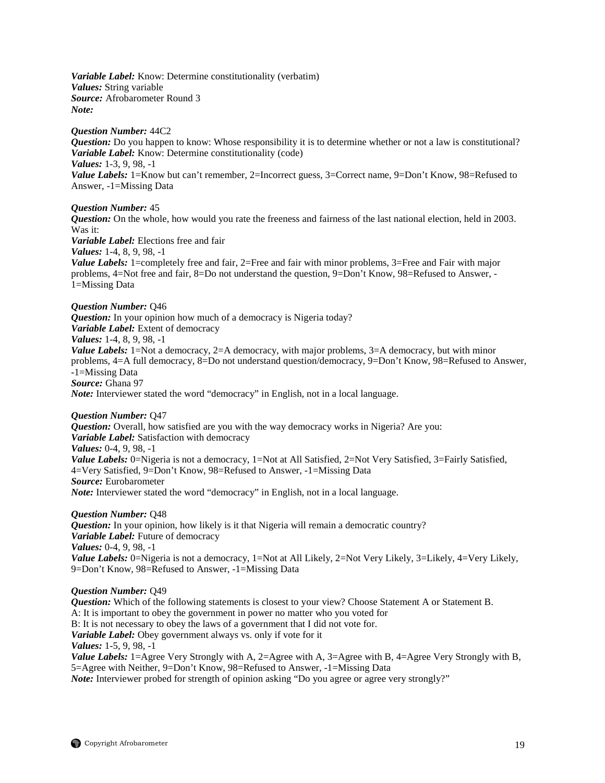*Variable Label:* Know: Determine constitutionality (verbatim) *Values:* String variable *Source:* Afrobarometer Round 3 *Note:*

*Question Number:* 44C2 *Question:* Do you happen to know: Whose responsibility it is to determine whether or not a law is constitutional? *Variable Label:* Know: Determine constitutionality (code) *Values:* 1-3, 9, 98, -1 *Value Labels:* 1=Know but can't remember, 2=Incorrect guess, 3=Correct name, 9=Don't Know, 98=Refused to Answer, -1=Missing Data

*Question Number:* 45 *Question:* On the whole, how would you rate the freeness and fairness of the last national election, held in 2003. Was it: *Variable Label:* Elections free and fair *Values:* 1-4, 8, 9, 98, -1 *Value Labels:* 1=completely free and fair, 2=Free and fair with minor problems, 3=Free and Fair with major problems, 4=Not free and fair, 8=Do not understand the question, 9=Don't Know, 98=Refused to Answer, - 1=Missing Data

*Question Number:* Q46 *Question:* In your opinion how much of a democracy is Nigeria today? *Variable Label:* Extent of democracy *Values:* 1-4, 8, 9, 98, -1 *Value Labels:* 1=Not a democracy, 2=A democracy, with major problems, 3=A democracy, but with minor problems, 4=A full democracy, 8=Do not understand question/democracy, 9=Don't Know, 98=Refused to Answer, -1=Missing Data *Source:* Ghana 97 *Note:* Interviewer stated the word "democracy" in English, not in a local language.

*Question Number:* Q47

*Question:* Overall, how satisfied are you with the way democracy works in Nigeria? Are you: *Variable Label:* Satisfaction with democracy *Values:* 0-4, 9, 98, -1 *Value Labels:* 0=Nigeria is not a democracy, 1=Not at All Satisfied, 2=Not Very Satisfied, 3=Fairly Satisfied, 4=Very Satisfied, 9=Don't Know, 98=Refused to Answer, -1=Missing Data *Source:* Eurobarometer *Note:* Interviewer stated the word "democracy" in English, not in a local language.

*Question Number:* Q48 *Question:* In your opinion, how likely is it that Nigeria will remain a democratic country? *Variable Label:* Future of democracy *Values:* 0-4, 9, 98, -1 *Value Labels:* 0=Nigeria is not a democracy, 1=Not at All Likely, 2=Not Very Likely, 3=Likely, 4=Very Likely, 9=Don't Know, 98=Refused to Answer, -1=Missing Data

*Question Number:* Q49

*Question:* Which of the following statements is closest to your view? Choose Statement A or Statement B. A: It is important to obey the government in power no matter who you voted for B: It is not necessary to obey the laws of a government that I did not vote for. *Variable Label:* Obey government always vs. only if vote for it *Values:* 1-5, 9, 98, -1 *Value Labels:* 1=Agree Very Strongly with A, 2=Agree with A, 3=Agree with B, 4=Agree Very Strongly with B, 5=Agree with Neither, 9=Don't Know, 98=Refused to Answer, -1=Missing Data

*Note:* Interviewer probed for strength of opinion asking "Do you agree or agree very strongly?"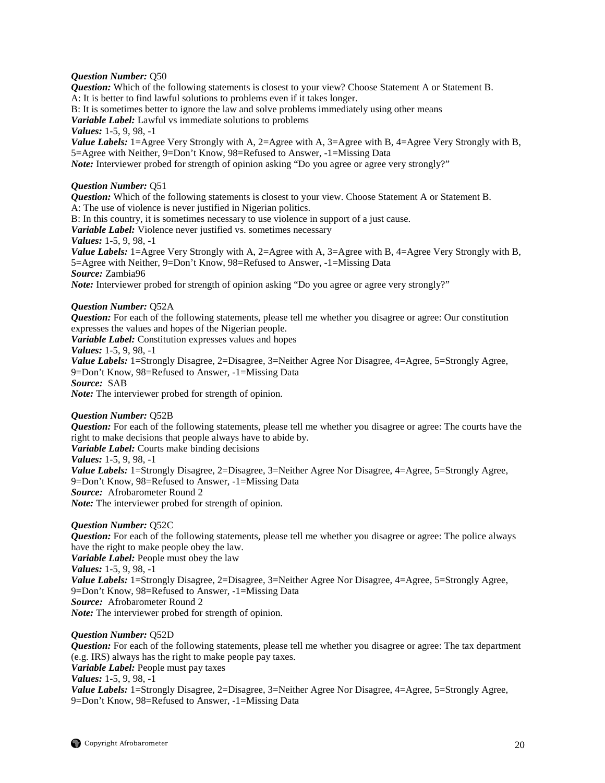#### *Question Number:* Q50

*Question:* Which of the following statements is closest to your view? Choose Statement A or Statement B. A: It is better to find lawful solutions to problems even if it takes longer.

B: It is sometimes better to ignore the law and solve problems immediately using other means

*Variable Label:* Lawful vs immediate solutions to problems

*Values:* 1-5, 9, 98, -1

*Value Labels:* 1=Agree Very Strongly with A, 2=Agree with A, 3=Agree with B, 4=Agree Very Strongly with B, 5=Agree with Neither, 9=Don't Know, 98=Refused to Answer, -1=Missing Data *Note:* Interviewer probed for strength of opinion asking "Do you agree or agree very strongly?"

### *Question Number:* Q51

*Question:* Which of the following statements is closest to your view. Choose Statement A or Statement B. A: The use of violence is never justified in Nigerian politics.

B: In this country, it is sometimes necessary to use violence in support of a just cause.

*Variable Label:* Violence never justified vs. sometimes necessary

*Values:* 1-5, 9, 98, -1

*Value Labels:* 1=Agree Very Strongly with A, 2=Agree with A, 3=Agree with B, 4=Agree Very Strongly with B, 5=Agree with Neither, 9=Don't Know, 98=Refused to Answer, -1=Missing Data *Source:* Zambia96

*Note:* Interviewer probed for strength of opinion asking "Do you agree or agree very strongly?"

### *Question Number:* Q52A

*Question:* For each of the following statements, please tell me whether you disagree or agree: Our constitution expresses the values and hopes of the Nigerian people.

*Variable Label:* Constitution expresses values and hopes

*Values:* 1-5, 9, 98, -1

*Value Labels:* 1=Strongly Disagree, 2=Disagree, 3=Neither Agree Nor Disagree, 4=Agree, 5=Strongly Agree, 9=Don't Know, 98=Refused to Answer, -1=Missing Data *Source:* SAB

*Note:* The interviewer probed for strength of opinion.

#### *Question Number:* Q52B

*Question:* For each of the following statements, please tell me whether you disagree or agree: The courts have the right to make decisions that people always have to abide by.

*Variable Label:* Courts make binding decisions

*Values:* 1-5, 9, 98, -1

*Value Labels:* 1=Strongly Disagree, 2=Disagree, 3=Neither Agree Nor Disagree, 4=Agree, 5=Strongly Agree, 9=Don't Know, 98=Refused to Answer, -1=Missing Data *Source:* Afrobarometer Round 2

*Note:* The interviewer probed for strength of opinion.

# *Question Number:* Q52C

*Question:* For each of the following statements, please tell me whether you disagree or agree: The police always have the right to make people obey the law. *Variable Label:* People must obey the law *Values:* 1-5, 9, 98, -1 *Value Labels:* 1=Strongly Disagree, 2=Disagree, 3=Neither Agree Nor Disagree, 4=Agree, 5=Strongly Agree, 9=Don't Know, 98=Refused to Answer, -1=Missing Data *Source:* Afrobarometer Round 2 *Note:* The interviewer probed for strength of opinion.

# *Question Number:* Q52D

*Question:* For each of the following statements, please tell me whether you disagree or agree: The tax department (e.g. IRS) always has the right to make people pay taxes. *Variable Label:* People must pay taxes

*Values:* 1-5, 9, 98, -1

*Value Labels:* 1=Strongly Disagree, 2=Disagree, 3=Neither Agree Nor Disagree, 4=Agree, 5=Strongly Agree, 9=Don't Know, 98=Refused to Answer, -1=Missing Data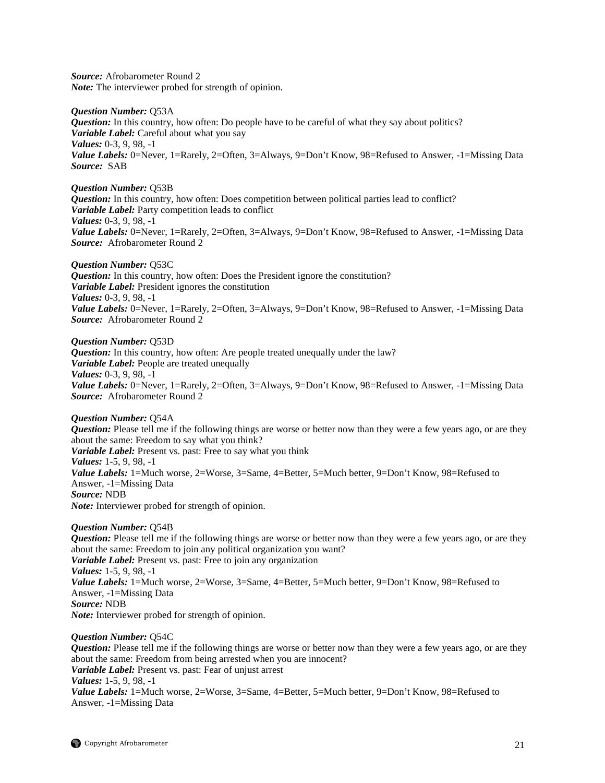*Source:* Afrobarometer Round 2 *Note:* The interviewer probed for strength of opinion.

*Question Number:* Q53A *Question:* In this country, how often: Do people have to be careful of what they say about politics? *Variable Label:* Careful about what you say *Values:* 0-3, 9, 98, -1 *Value Labels:* 0=Never, 1=Rarely, 2=Often, 3=Always, 9=Don't Know, 98=Refused to Answer, -1=Missing Data *Source:* SAB

*Question Number:* Q53B *Question:* In this country, how often: Does competition between political parties lead to conflict? *Variable Label:* Party competition leads to conflict *Values:* 0-3, 9, 98, -1 *Value Labels:* 0=Never, 1=Rarely, 2=Often, 3=Always, 9=Don't Know, 98=Refused to Answer, -1=Missing Data *Source:* Afrobarometer Round 2

*Question Number:* Q53C *Question:* In this country, how often: Does the President ignore the constitution? *Variable Label:* President ignores the constitution *Values:* 0-3, 9, 98, -1 *Value Labels:* 0=Never, 1=Rarely, 2=Often, 3=Always, 9=Don't Know, 98=Refused to Answer, -1=Missing Data *Source:* Afrobarometer Round 2

*Question Number:* Q53D *Question:* In this country, how often: Are people treated unequally under the law? *Variable Label:* People are treated unequally *Values:* 0-3, 9, 98, -1 Value Labels: 0=Never, 1=Rarely, 2=Often, 3=Always, 9=Don't Know, 98=Refused to Answer, -1=Missing Data *Source:* Afrobarometer Round 2

*Question Number:* Q54A *Question:* Please tell me if the following things are worse or better now than they were a few years ago, or are they about the same: Freedom to say what you think? *Variable Label:* Present vs. past: Free to say what you think *Values:* 1-5, 9, 98, -1 Value Labels: 1=Much worse, 2=Worse, 3=Same, 4=Better, 5=Much better, 9=Don't Know, 98=Refused to Answer, -1=Missing Data *Source:* NDB *Note:* Interviewer probed for strength of opinion.

*Question Number:* Q54B *Question:* Please tell me if the following things are worse or better now than they were a few years ago, or are they about the same: Freedom to join any political organization you want? *Variable Label:* Present vs. past: Free to join any organization *Values:* 1-5, 9, 98, -1 Value Labels: 1=Much worse, 2=Worse, 3=Same, 4=Better, 5=Much better, 9=Don't Know, 98=Refused to Answer, -1=Missing Data *Source:* NDB *Note:* Interviewer probed for strength of opinion.

*Question Number:* Q54C *Question:* Please tell me if the following things are worse or better now than they were a few years ago, or are they about the same: Freedom from being arrested when you are innocent? *Variable Label:* Present vs. past: Fear of unjust arrest *Values:* 1-5, 9, 98, -1 *Value Labels:* 1=Much worse, 2=Worse, 3=Same, 4=Better, 5=Much better, 9=Don't Know, 98=Refused to Answer, -1=Missing Data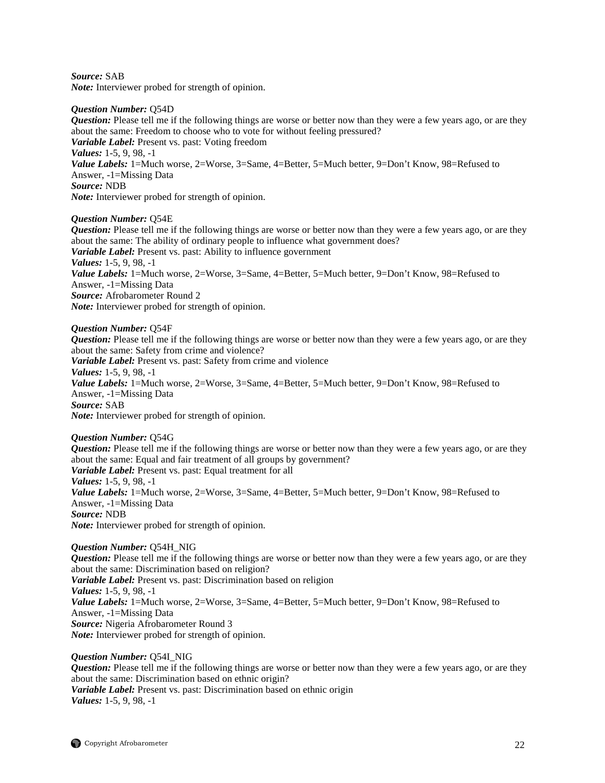*Source:* SAB *Note:* Interviewer probed for strength of opinion.

#### *Question Number:* Q54D

*Question:* Please tell me if the following things are worse or better now than they were a few years ago, or are they about the same: Freedom to choose who to vote for without feeling pressured? *Variable Label:* Present vs. past: Voting freedom *Values:* 1-5, 9, 98, -1 *Value Labels:* 1=Much worse, 2=Worse, 3=Same, 4=Better, 5=Much better, 9=Don't Know, 98=Refused to Answer, -1=Missing Data *Source:* NDB *Note:* Interviewer probed for strength of opinion.

# *Question Number:* Q54E

*Question:* Please tell me if the following things are worse or better now than they were a few years ago, or are they about the same: The ability of ordinary people to influence what government does? *Variable Label:* Present vs. past: Ability to influence government *Values:* 1-5, 9, 98, -1 *Value Labels:* 1=Much worse, 2=Worse, 3=Same, 4=Better, 5=Much better, 9=Don't Know, 98=Refused to Answer, -1=Missing Data *Source:* Afrobarometer Round 2 *Note:* Interviewer probed for strength of opinion.

*Question Number:* Q54F

*Question:* Please tell me if the following things are worse or better now than they were a few years ago, or are they about the same: Safety from crime and violence? *Variable Label:* Present vs. past: Safety from crime and violence *Values:* 1-5, 9, 98, -1 *Value Labels:* 1=Much worse, 2=Worse, 3=Same, 4=Better, 5=Much better, 9=Don't Know, 98=Refused to Answer, -1=Missing Data *Source:* SAB *Note:* Interviewer probed for strength of opinion.

*Question Number:* Q54G *Question:* Please tell me if the following things are worse or better now than they were a few years ago, or are they about the same: Equal and fair treatment of all groups by government? *Variable Label:* Present vs. past: Equal treatment for all *Values:* 1-5, 9, 98, -1 *Value Labels:* 1=Much worse, 2=Worse, 3=Same, 4=Better, 5=Much better, 9=Don't Know, 98=Refused to Answer, -1=Missing Data *Source:* NDB *Note:* Interviewer probed for strength of opinion.

*Question Number:* Q54H\_NIG *Question:* Please tell me if the following things are worse or better now than they were a few years ago, or are they about the same: Discrimination based on religion? *Variable Label:* Present vs. past: Discrimination based on religion *Values:* 1-5, 9, 98, -1 Value Labels: 1=Much worse, 2=Worse, 3=Same, 4=Better, 5=Much better, 9=Don't Know, 98=Refused to Answer, -1=Missing Data *Source:* Nigeria Afrobarometer Round 3 *Note:* Interviewer probed for strength of opinion.

*Question Number:* Q54I\_NIG *Question:* Please tell me if the following things are worse or better now than they were a few years ago, or are they about the same: Discrimination based on ethnic origin? *Variable Label:* Present vs. past: Discrimination based on ethnic origin *Values:* 1-5, 9, 98, -1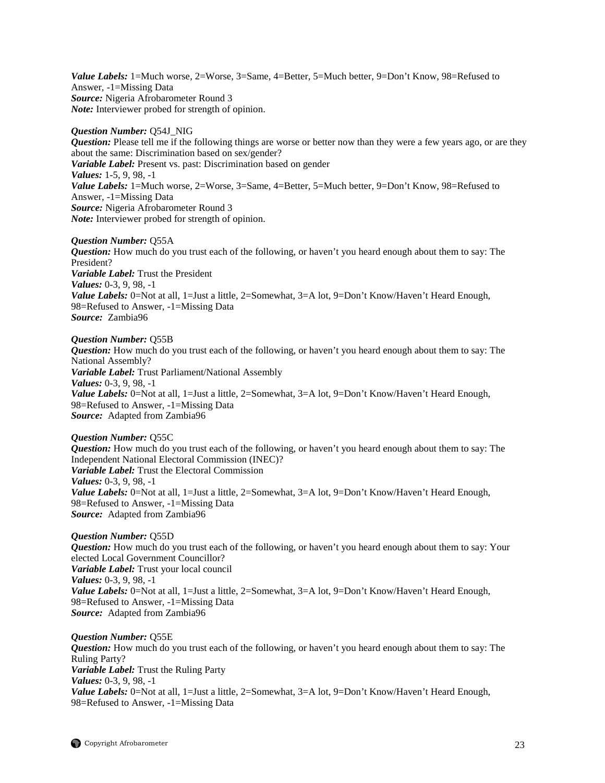Value Labels: 1=Much worse, 2=Worse, 3=Same, 4=Better, 5=Much better, 9=Don't Know, 98=Refused to Answer, -1=Missing Data *Source:* Nigeria Afrobarometer Round 3 *Note:* Interviewer probed for strength of opinion.

#### *Question Number:* Q54J\_NIG

*Question:* Please tell me if the following things are worse or better now than they were a few years ago, or are they about the same: Discrimination based on sex/gender? *Variable Label:* Present vs. past: Discrimination based on gender *Values:* 1-5, 9, 98, -1 *Value Labels:* 1=Much worse, 2=Worse, 3=Same, 4=Better, 5=Much better, 9=Don't Know, 98=Refused to Answer, -1=Missing Data *Source:* Nigeria Afrobarometer Round 3 *Note:* Interviewer probed for strength of opinion.

#### *Question Number:* Q55A

*Question:* How much do you trust each of the following, or haven't you heard enough about them to say: The President? *Variable Label:* Trust the President *Values:* 0-3, 9, 98, -1 *Value Labels:* 0=Not at all, 1=Just a little, 2=Somewhat, 3=A lot, 9=Don't Know/Haven't Heard Enough, 98=Refused to Answer, -1=Missing Data *Source:* Zambia96

# *Question Number:* Q55B

*Question:* How much do you trust each of the following, or haven't you heard enough about them to say: The National Assembly? *Variable Label:* Trust Parliament/National Assembly *Values:* 0-3, 9, 98, -1 *Value Labels:* 0=Not at all, 1=Just a little, 2=Somewhat, 3=A lot, 9=Don't Know/Haven't Heard Enough, 98=Refused to Answer, -1=Missing Data *Source:* Adapted from Zambia96

#### *Question Number:* Q55C *Question:* How much do you trust each of the following, or haven't you heard enough about them to say: The Independent National Electoral Commission (INEC)? *Variable Label:* Trust the Electoral Commission *Values:* 0-3, 9, 98, -1 *Value Labels:* 0=Not at all, 1=Just a little, 2=Somewhat, 3=A lot, 9=Don't Know/Haven't Heard Enough, 98=Refused to Answer, -1=Missing Data *Source:* Adapted from Zambia96

*Question Number:* Q55D *Question:* How much do you trust each of the following, or haven't you heard enough about them to say: Your elected Local Government Councillor? *Variable Label:* Trust your local council *Values:* 0-3, 9, 98, -1 *Value Labels:* 0=Not at all, 1=Just a little, 2=Somewhat, 3=A lot, 9=Don't Know/Haven't Heard Enough, 98=Refused to Answer, -1=Missing Data *Source:* Adapted from Zambia96

*Question Number:* Q55E *Question:* How much do you trust each of the following, or haven't you heard enough about them to say: The Ruling Party? *Variable Label:* Trust the Ruling Party *Values:* 0-3, 9, 98, -1 Value Labels: 0=Not at all, 1=Just a little, 2=Somewhat, 3=A lot, 9=Don't Know/Haven't Heard Enough, 98=Refused to Answer, -1=Missing Data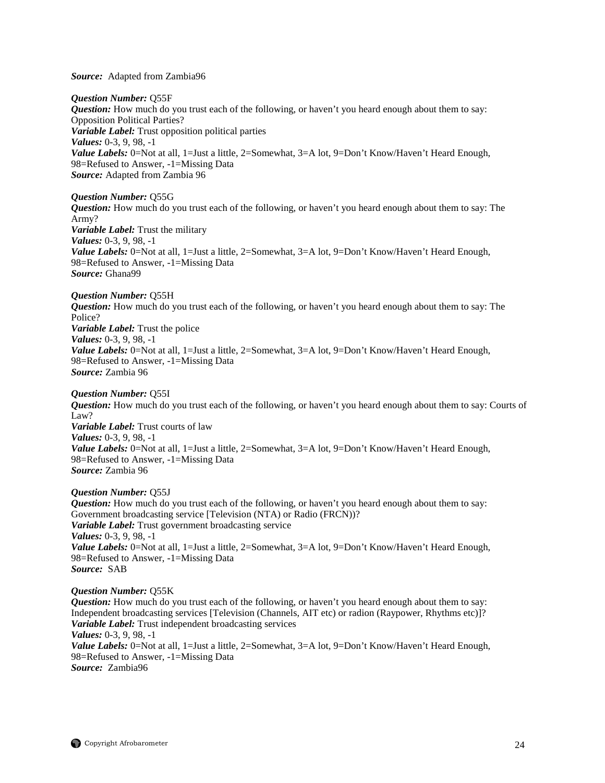*Source:* Adapted from Zambia96

*Question Number:* Q55F *Question:* How much do you trust each of the following, or haven't you heard enough about them to say: Opposition Political Parties? *Variable Label:* Trust opposition political parties *Values:* 0-3, 9, 98, -1 *Value Labels:* 0=Not at all, 1=Just a little, 2=Somewhat, 3=A lot, 9=Don't Know/Haven't Heard Enough, 98=Refused to Answer, -1=Missing Data *Source:* Adapted from Zambia 96

*Question Number:* Q55G *Question:* How much do you trust each of the following, or haven't you heard enough about them to say: The Army? *Variable Label:* Trust the military *Values:* 0-3, 9, 98, -1 *Value Labels:* 0=Not at all, 1=Just a little, 2=Somewhat, 3=A lot, 9=Don't Know/Haven't Heard Enough, 98=Refused to Answer, -1=Missing Data *Source:* Ghana99

*Question Number:* Q55H *Question:* How much do you trust each of the following, or haven't you heard enough about them to say: The Police? *Variable Label:* Trust the police *Values:* 0-3, 9, 98, -1 Value Labels: 0=Not at all, 1=Just a little, 2=Somewhat, 3=A lot, 9=Don't Know/Haven't Heard Enough, 98=Refused to Answer, -1=Missing Data *Source:* Zambia 96

#### *Question Number:* Q55I

*Question:* How much do you trust each of the following, or haven't you heard enough about them to say: Courts of Law? *Variable Label:* Trust courts of law *Values:* 0-3, 9, 98, -1 *Value Labels:* 0=Not at all, 1=Just a little, 2=Somewhat, 3=A lot, 9=Don't Know/Haven't Heard Enough, 98=Refused to Answer, -1=Missing Data *Source:* Zambia 96

*Question Number:* Q55J

*Question:* How much do you trust each of the following, or haven't you heard enough about them to say: Government broadcasting service [Television (NTA) or Radio (FRCN))? *Variable Label:* Trust government broadcasting service *Values:* 0-3, 9, 98, -1 *Value Labels:* 0=Not at all, 1=Just a little, 2=Somewhat, 3=A lot, 9=Don't Know/Haven't Heard Enough, 98=Refused to Answer, -1=Missing Data *Source:* SAB

#### *Question Number:* Q55K

*Question:* How much do you trust each of the following, or haven't you heard enough about them to say: Independent broadcasting services [Television (Channels, AIT etc) or radion (Raypower, Rhythms etc)]? *Variable Label:* Trust independent broadcasting services *Values:* 0-3, 9, 98, -1 *Value Labels:* 0=Not at all, 1=Just a little, 2=Somewhat, 3=A lot, 9=Don't Know/Haven't Heard Enough, 98=Refused to Answer, -1=Missing Data *Source:* Zambia96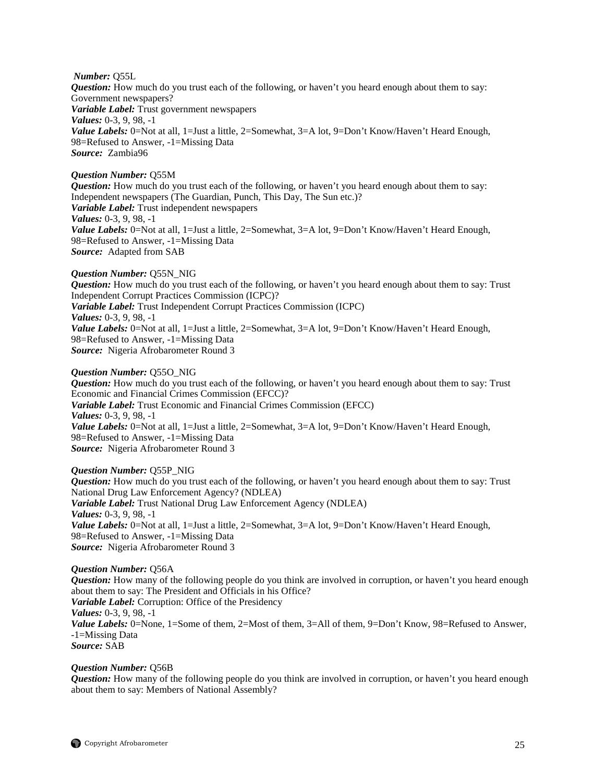*Number:* Q55L

*Question:* How much do you trust each of the following, or haven't you heard enough about them to say: Government newspapers? *Variable Label:* Trust government newspapers *Values:* 0-3, 9, 98, -1 Value Labels: 0=Not at all, 1=Just a little, 2=Somewhat, 3=A lot, 9=Don't Know/Haven't Heard Enough, 98=Refused to Answer, -1=Missing Data *Source:* Zambia96

# *Question Number:* Q55M

*Question:* How much do you trust each of the following, or haven't you heard enough about them to say: Independent newspapers (The Guardian, Punch, This Day, The Sun etc.)? *Variable Label:* Trust independent newspapers *Values:* 0-3, 9, 98, -1 *Value Labels:* 0=Not at all, 1=Just a little, 2=Somewhat, 3=A lot, 9=Don't Know/Haven't Heard Enough, 98=Refused to Answer, -1=Missing Data *Source:* Adapted from SAB

# *Question Number:* Q55N\_NIG

*Question:* How much do you trust each of the following, or haven't you heard enough about them to say: Trust Independent Corrupt Practices Commission (ICPC)? *Variable Label:* Trust Independent Corrupt Practices Commission (ICPC) *Values:* 0-3, 9, 98, -1 *Value Labels:* 0=Not at all, 1=Just a little, 2=Somewhat, 3=A lot, 9=Don't Know/Haven't Heard Enough, 98=Refused to Answer, -1=Missing Data *Source:* Nigeria Afrobarometer Round 3

# *Question Number:* Q55O\_NIG

*Question:* How much do you trust each of the following, or haven't you heard enough about them to say: Trust Economic and Financial Crimes Commission (EFCC)? *Variable Label:* Trust Economic and Financial Crimes Commission (EFCC) *Values:* 0-3, 9, 98, -1 *Value Labels:* 0=Not at all, 1=Just a little, 2=Somewhat, 3=A lot, 9=Don't Know/Haven't Heard Enough, 98=Refused to Answer, -1=Missing Data *Source:* Nigeria Afrobarometer Round 3

*Question Number:* Q55P\_NIG *Question:* How much do you trust each of the following, or haven't you heard enough about them to say: Trust National Drug Law Enforcement Agency? (NDLEA) *Variable Label:* Trust National Drug Law Enforcement Agency (NDLEA) *Values:* 0-3, 9, 98, -1 *Value Labels:* 0=Not at all, 1=Just a little, 2=Somewhat, 3=A lot, 9=Don't Know/Haven't Heard Enough, 98=Refused to Answer, -1=Missing Data *Source:* Nigeria Afrobarometer Round 3

# *Question Number:* Q56A

*Question:* How many of the following people do you think are involved in corruption, or haven't you heard enough about them to say: The President and Officials in his Office? *Variable Label:* Corruption: Office of the Presidency *Values:* 0-3, 9, 98, -1 *Value Labels:* 0=None, 1=Some of them, 2=Most of them, 3=All of them, 9=Don't Know, 98=Refused to Answer, -1=Missing Data *Source:* SAB

# *Question Number:* Q56B

*Question:* How many of the following people do you think are involved in corruption, or haven't you heard enough about them to say: Members of National Assembly?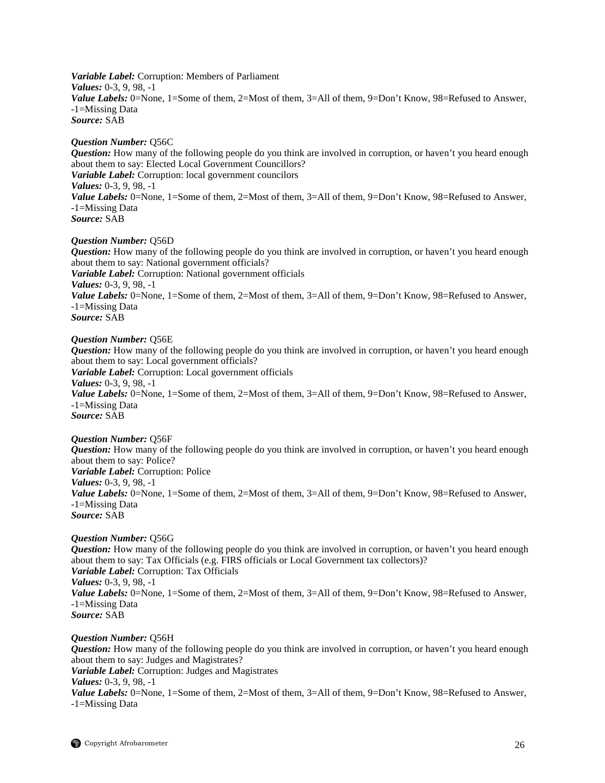*Variable Label:* Corruption: Members of Parliament *Values:* 0-3, 9, 98, -1 Value Labels: 0=None, 1=Some of them, 2=Most of them, 3=All of them, 9=Don't Know, 98=Refused to Answer, -1=Missing Data *Source:* SAB

## *Question Number:* Q56C

*Question:* How many of the following people do you think are involved in corruption, or haven't you heard enough about them to say: Elected Local Government Councillors? *Variable Label:* Corruption: local government councilors *Values:* 0-3, 9, 98, -1 *Value Labels:* 0=None, 1=Some of them, 2=Most of them, 3=All of them, 9=Don't Know, 98=Refused to Answer, -1=Missing Data *Source:* SAB

#### *Question Number:* Q56D

*Question:* How many of the following people do you think are involved in corruption, or haven't you heard enough about them to say: National government officials? *Variable Label:* Corruption: National government officials *Values:* 0-3, 9, 98, -1 *Value Labels:* 0=None, 1=Some of them, 2=Most of them, 3=All of them, 9=Don't Know, 98=Refused to Answer, -1=Missing Data *Source:* SAB

# *Question Number:* Q56E

*Question:* How many of the following people do you think are involved in corruption, or haven't you heard enough about them to say: Local government officials? *Variable Label:* Corruption: Local government officials *Values:* 0-3, 9, 98, -1 *Value Labels:* 0=None, 1=Some of them, 2=Most of them, 3=All of them, 9=Don't Know, 98=Refused to Answer, -1=Missing Data *Source:* SAB

#### *Question Number:* Q56F

*Question:* How many of the following people do you think are involved in corruption, or haven't you heard enough about them to say: Police? *Variable Label:* Corruption: Police *Values:* 0-3, 9, 98, -1 *Value Labels:* 0=None, 1=Some of them, 2=Most of them, 3=All of them, 9=Don't Know, 98=Refused to Answer, -1=Missing Data *Source:* SAB

#### *Question Number:* Q56G

*Question:* How many of the following people do you think are involved in corruption, or haven't you heard enough about them to say: Tax Officials (e.g. FIRS officials or Local Government tax collectors)? *Variable Label:* Corruption: Tax Officials *Values:* 0-3, 9, 98, -1 Value Labels: 0=None, 1=Some of them, 2=Most of them, 3=All of them, 9=Don't Know, 98=Refused to Answer, -1=Missing Data *Source:* SAB

#### *Question Number:* Q56H

*Question:* How many of the following people do you think are involved in corruption, or haven't you heard enough about them to say: Judges and Magistrates? *Variable Label:* Corruption: Judges and Magistrates *Values:* 0-3, 9, 98, -1 *Value Labels:* 0=None, 1=Some of them, 2=Most of them, 3=All of them, 9=Don't Know, 98=Refused to Answer, -1=Missing Data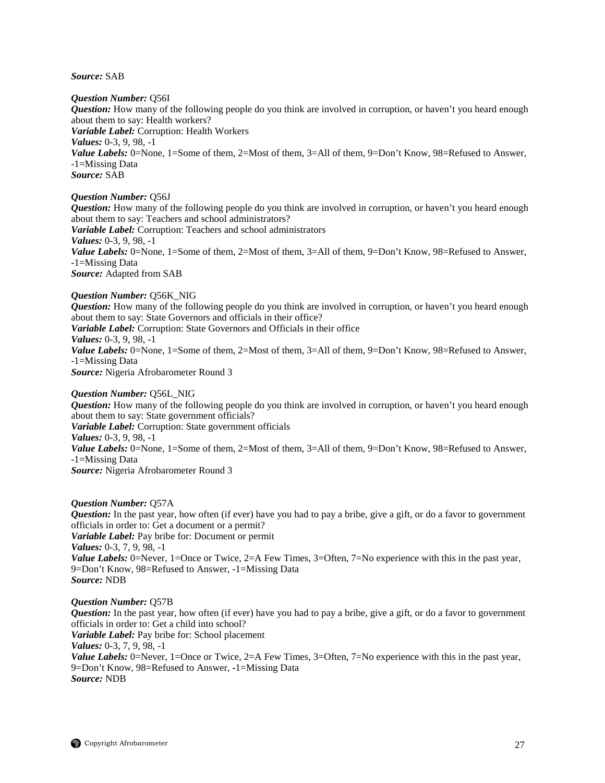*Source:* SAB

*Question Number:* Q56I

*Question:* How many of the following people do you think are involved in corruption, or haven't you heard enough about them to say: Health workers? *Variable Label:* Corruption: Health Workers *Values:* 0-3, 9, 98, -1 *Value Labels:* 0=None, 1=Some of them, 2=Most of them, 3=All of them, 9=Don't Know, 98=Refused to Answer, -1=Missing Data *Source:* SAB

*Question Number:* Q56J

*Question:* How many of the following people do you think are involved in corruption, or haven't you heard enough about them to say: Teachers and school administrators?

*Variable Label:* Corruption: Teachers and school administrators *Values:* 0-3, 9, 98, -1 *Value Labels:* 0=None, 1=Some of them, 2=Most of them, 3=All of them, 9=Don't Know, 98=Refused to Answer,

-1=Missing Data

*Source:* Adapted from SAB

### *Question Number:* Q56K\_NIG

*Question:* How many of the following people do you think are involved in corruption, or haven't you heard enough about them to say: State Governors and officials in their office?

*Variable Label:* Corruption: State Governors and Officials in their office *Values:* 0-3, 9, 98, -1

Value Labels: 0=None, 1=Some of them, 2=Most of them, 3=All of them, 9=Don't Know, 98=Refused to Answer, -1=Missing Data *Source:* Nigeria Afrobarometer Round 3

#### *Question Number:* Q56L\_NIG

*Question:* How many of the following people do you think are involved in corruption, or haven't you heard enough about them to say: State government officials? *Variable Label:* Corruption: State government officials *Values:* 0-3, 9, 98, -1 *Value Labels:* 0=None, 1=Some of them, 2=Most of them, 3=All of them, 9=Don't Know, 98=Refused to Answer,

-1=Missing Data

*Source:* Nigeria Afrobarometer Round 3

#### *Question Number:* Q57A

*Question:* In the past year, how often (if ever) have you had to pay a bribe, give a gift, or do a favor to government officials in order to: Get a document or a permit? *Variable Label:* Pay bribe for: Document or permit *Values:* 0-3, 7, 9, 98, -1 *Value Labels:* 0=Never, 1=Once or Twice, 2=A Few Times, 3=Often, 7=No experience with this in the past year, 9=Don't Know, 98=Refused to Answer, -1=Missing Data *Source:* NDB

#### *Question Number:* Q57B

*Question:* In the past year, how often (if ever) have you had to pay a bribe, give a gift, or do a favor to government officials in order to: Get a child into school? *Variable Label:* Pay bribe for: School placement *Values:* 0-3, 7, 9, 98, -1 *Value Labels:* 0=Never, 1=Once or Twice, 2=A Few Times, 3=Often, 7=No experience with this in the past year, 9=Don't Know, 98=Refused to Answer, -1=Missing Data *Source:* NDB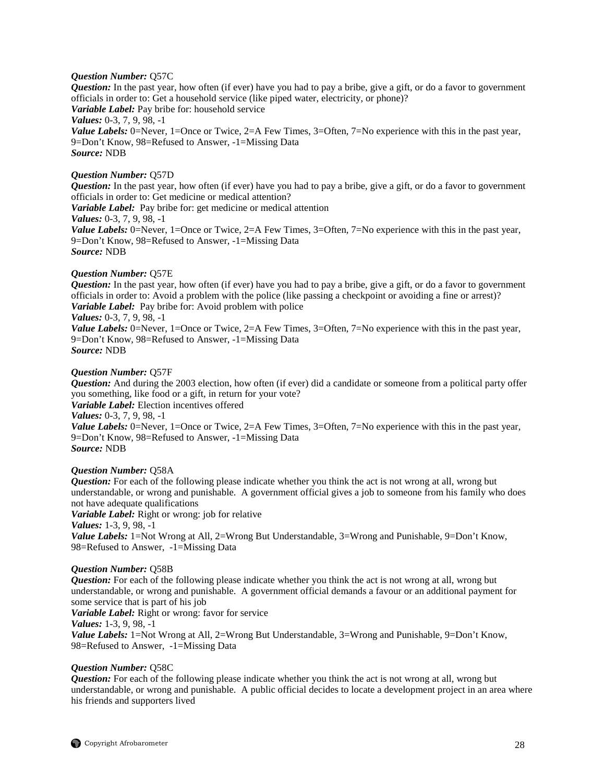#### *Question Number:* Q57C

*Question:* In the past year, how often (if ever) have you had to pay a bribe, give a gift, or do a favor to government officials in order to: Get a household service (like piped water, electricity, or phone)? *Variable Label:* Pay bribe for: household service *Values:* 0-3, 7, 9, 98, -1 *Value Labels:* 0=Never, 1=Once or Twice, 2=A Few Times, 3=Often, 7=No experience with this in the past year, 9=Don't Know, 98=Refused to Answer, -1=Missing Data *Source:* NDB

#### *Question Number:* Q57D

*Question:* In the past year, how often (if ever) have you had to pay a bribe, give a gift, or do a favor to government officials in order to: Get medicine or medical attention?

*Variable Label:* Pay bribe for: get medicine or medical attention *Values:* 0-3, 7, 9, 98, -1

*Value Labels:* 0=Never, 1=Once or Twice, 2=A Few Times, 3=Often, 7=No experience with this in the past year, 9=Don't Know, 98=Refused to Answer, -1=Missing Data *Source:* NDB

#### *Question Number:* Q57E

*Question:* In the past year, how often (if ever) have you had to pay a bribe, give a gift, or do a favor to government officials in order to: Avoid a problem with the police (like passing a checkpoint or avoiding a fine or arrest)? *Variable Label:* Pay bribe for: Avoid problem with police *Values:* 0-3, 7, 9, 98, -1

*Value Labels:* 0=Never, 1=Once or Twice, 2=A Few Times, 3=Often, 7=No experience with this in the past year, 9=Don't Know, 98=Refused to Answer, -1=Missing Data *Source:* NDB

#### *Question Number:* Q57F

*Question:* And during the 2003 election, how often (if ever) did a candidate or someone from a political party offer you something, like food or a gift, in return for your vote?

*Variable Label:* Election incentives offered

*Values:* 0-3, 7, 9, 98, -1

*Value Labels:* 0=Never, 1=Once or Twice, 2=A Few Times, 3=Often, 7=No experience with this in the past year, 9=Don't Know, 98=Refused to Answer, -1=Missing Data *Source:* NDB

#### *Question Number:* Q58A

*Question:* For each of the following please indicate whether you think the act is not wrong at all, wrong but understandable, or wrong and punishable. A government official gives a job to someone from his family who does not have adequate qualifications

*Variable Label:* Right or wrong: job for relative

*Values:* 1-3, 9, 98, -1

*Value Labels:* 1=Not Wrong at All, 2=Wrong But Understandable, 3=Wrong and Punishable, 9=Don't Know, 98=Refused to Answer, -1=Missing Data

#### *Question Number:* Q58B

*Question:* For each of the following please indicate whether you think the act is not wrong at all, wrong but understandable, or wrong and punishable. A government official demands a favour or an additional payment for some service that is part of his job

*Variable Label:* Right or wrong: favor for service

*Values:* 1-3, 9, 98, -1

*Value Labels:* 1=Not Wrong at All, 2=Wrong But Understandable, 3=Wrong and Punishable, 9=Don't Know, 98=Refused to Answer, -1=Missing Data

#### *Question Number:* Q58C

*Question:* For each of the following please indicate whether you think the act is not wrong at all, wrong but understandable, or wrong and punishable. A public official decides to locate a development project in an area where his friends and supporters lived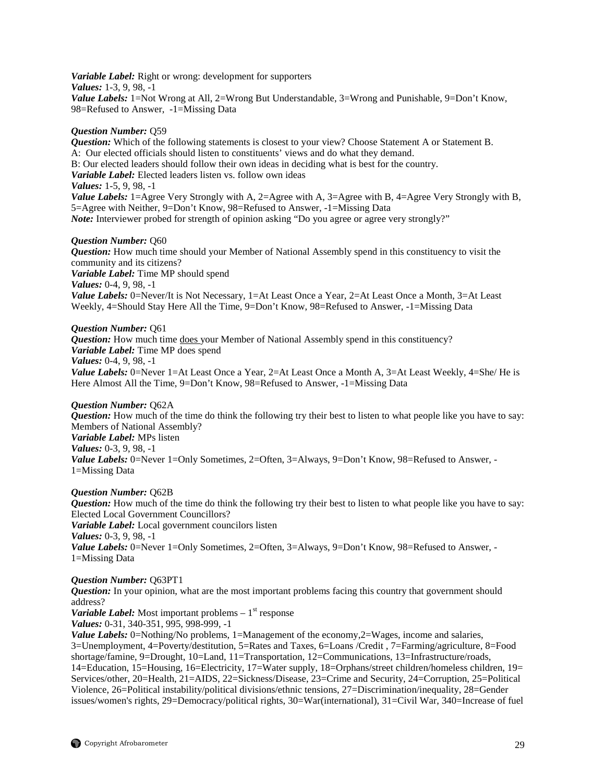*Variable Label:* Right or wrong: development for supporters *Values:* 1-3, 9, 98, -1 *Value Labels:* 1=Not Wrong at All, 2=Wrong But Understandable, 3=Wrong and Punishable, 9=Don't Know, 98=Refused to Answer, -1=Missing Data

#### *Question Number:* Q59

*Question:* Which of the following statements is closest to your view? Choose Statement A or Statement B. A: Our elected officials should listen to constituents' views and do what they demand. B: Our elected leaders should follow their own ideas in deciding what is best for the country. *Variable Label:* Elected leaders listen vs. follow own ideas *Values:* 1-5, 9, 98, -1 *Value Labels:* 1=Agree Very Strongly with A, 2=Agree with A, 3=Agree with B, 4=Agree Very Strongly with B, 5=Agree with Neither, 9=Don't Know, 98=Refused to Answer, -1=Missing Data *Note:* Interviewer probed for strength of opinion asking "Do you agree or agree very strongly?"

#### *Question Number:* Q60

*Question:* How much time should your Member of National Assembly spend in this constituency to visit the community and its citizens? *Variable Label:* Time MP should spend *Values:* 0-4, 9, 98, -1 *Value Labels:* 0=Never/It is Not Necessary, 1=At Least Once a Year, 2=At Least Once a Month, 3=At Least Weekly, 4=Should Stay Here All the Time, 9=Don't Know, 98=Refused to Answer, -1=Missing Data

### *Question Number:* Q61

**Question:** How much time does your Member of National Assembly spend in this constituency? *Variable Label:* Time MP does spend *Values:* 0-4, 9, 98, -1 *Value Labels:* 0=Never 1=At Least Once a Year, 2=At Least Once a Month A, 3=At Least Weekly, 4=She/ He is Here Almost All the Time, 9=Don't Know, 98=Refused to Answer, -1=Missing Data

*Question Number:* Q62A *Question:* How much of the time do think the following try their best to listen to what people like you have to say:

Members of National Assembly? *Variable Label:* MPs listen *Values:* 0-3, 9, 98, -1 *Value Labels:* 0=Never 1=Only Sometimes, 2=Often, 3=Always, 9=Don't Know, 98=Refused to Answer, -1=Missing Data

#### *Question Number:* Q62B

*Question:* How much of the time do think the following try their best to listen to what people like you have to say: Elected Local Government Councillors? *Variable Label:* Local government councilors listen *Values:* 0-3, 9, 98, -1 *Value Labels:* 0=Never 1=Only Sometimes, 2=Often, 3=Always, 9=Don't Know, 98=Refused to Answer, -1=Missing Data

#### *Question Number:* Q63PT1

*Question:* In your opinion, what are the most important problems facing this country that government should address?

*Variable Label:* Most important problems  $-1$ <sup>st</sup> response

*Values:* 0-31, 340-351, 995, 998-999, -1

*Value Labels:* 0=Nothing/No problems, 1=Management of the economy,2=Wages, income and salaries, 3=Unemployment, 4=Poverty/destitution, 5=Rates and Taxes, 6=Loans /Credit , 7=Farming/agriculture, 8=Food shortage/famine, 9=Drought, 10=Land, 11=Transportation, 12=Communications, 13=Infrastructure/roads, 14=Education, 15=Housing, 16=Electricity, 17=Water supply, 18=Orphans/street children/homeless children, 19= Services/other, 20=Health, 21=AIDS, 22=Sickness/Disease, 23=Crime and Security, 24=Corruption, 25=Political Violence, 26=Political instability/political divisions/ethnic tensions, 27=Discrimination/inequality, 28=Gender issues/women's rights, 29=Democracy/political rights, 30=War(international), 31=Civil War, 340=Increase of fuel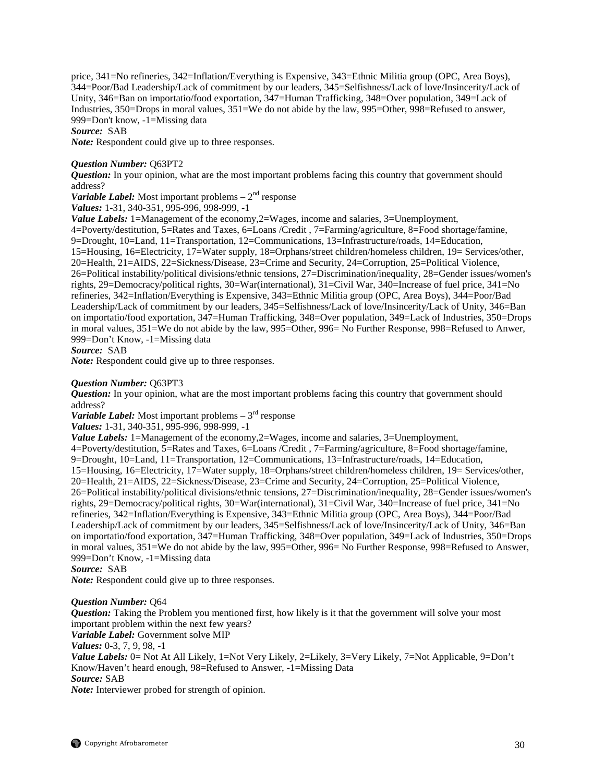price, 341=No refineries, 342=Inflation/Everything is Expensive, 343=Ethnic Militia group (OPC, Area Boys), 344=Poor/Bad Leadership/Lack of commitment by our leaders, 345=Selfishness/Lack of love/Insincerity/Lack of Unity, 346=Ban on importatio/food exportation, 347=Human Trafficking, 348=Over population, 349=Lack of Industries, 350=Drops in moral values, 351=We do not abide by the law, 995=Other, 998=Refused to answer, 999=Don't know, -1=Missing data

*Source:* SAB

*Note:* Respondent could give up to three responses.

#### *Question Number:* Q63PT2

*Question:* In your opinion, what are the most important problems facing this country that government should address?

*Variable Label:* Most important problems  $-2^{nd}$  response

*Values:* 1-31, 340-351, 995-996, 998-999, -1

*Value Labels:* 1=Management of the economy, 2=Wages, income and salaries, 3=Unemployment,

4=Poverty/destitution, 5=Rates and Taxes, 6=Loans /Credit , 7=Farming/agriculture, 8=Food shortage/famine, 9=Drought, 10=Land, 11=Transportation, 12=Communications, 13=Infrastructure/roads, 14=Education, 15=Housing, 16=Electricity, 17=Water supply, 18=Orphans/street children/homeless children, 19= Services/other, 20=Health, 21=AIDS, 22=Sickness/Disease, 23=Crime and Security, 24=Corruption, 25=Political Violence, 26=Political instability/political divisions/ethnic tensions, 27=Discrimination/inequality, 28=Gender issues/women's rights, 29=Democracy/political rights, 30=War(international), 31=Civil War, 340=Increase of fuel price, 341=No refineries, 342=Inflation/Everything is Expensive, 343=Ethnic Militia group (OPC, Area Boys), 344=Poor/Bad Leadership/Lack of commitment by our leaders, 345=Selfishness/Lack of love/Insincerity/Lack of Unity, 346=Ban on importatio/food exportation, 347=Human Trafficking, 348=Over population, 349=Lack of Industries, 350=Drops in moral values, 351=We do not abide by the law, 995=Other, 996= No Further Response, 998=Refused to Anwer, 999=Don't Know, -1=Missing data

*Source:* SAB

*Note:* Respondent could give up to three responses.

#### *Question Number:* Q63PT3

*Question:* In your opinion, what are the most important problems facing this country that government should address?

*Variable Label:* Most important problems  $-3^{rd}$  response

*Values:* 1-31, 340-351, 995-996, 998-999, -1

*Value Labels:* 1=Management of the economy, 2=Wages, income and salaries, 3=Unemployment,

4=Poverty/destitution, 5=Rates and Taxes, 6=Loans /Credit , 7=Farming/agriculture, 8=Food shortage/famine, 9=Drought, 10=Land, 11=Transportation, 12=Communications, 13=Infrastructure/roads, 14=Education, 15=Housing, 16=Electricity, 17=Water supply, 18=Orphans/street children/homeless children, 19= Services/other, 20=Health, 21=AIDS, 22=Sickness/Disease, 23=Crime and Security, 24=Corruption, 25=Political Violence, 26=Political instability/political divisions/ethnic tensions, 27=Discrimination/inequality, 28=Gender issues/women's rights, 29=Democracy/political rights, 30=War(international), 31=Civil War, 340=Increase of fuel price, 341=No refineries, 342=Inflation/Everything is Expensive, 343=Ethnic Militia group (OPC, Area Boys), 344=Poor/Bad

Leadership/Lack of commitment by our leaders, 345=Selfishness/Lack of love/Insincerity/Lack of Unity, 346=Ban on importatio/food exportation, 347=Human Trafficking, 348=Over population, 349=Lack of Industries, 350=Drops in moral values, 351=We do not abide by the law, 995=Other, 996= No Further Response, 998=Refused to Answer, 999=Don't Know, -1=Missing data

*Source:* SAB

*Note:* Respondent could give up to three responses.

#### *Question Number:* Q64

*Question:* Taking the Problem you mentioned first, how likely is it that the government will solve your most important problem within the next few years? *Variable Label:* Government solve MIP *Values:* 0-3, 7, 9, 98, -1 *Value Labels:* 0= Not At All Likely, 1=Not Very Likely, 2=Likely, 3=Very Likely, 7=Not Applicable, 9=Don't

Know/Haven't heard enough, 98=Refused to Answer, -1=Missing Data *Source:* SAB

*Note:* Interviewer probed for strength of opinion.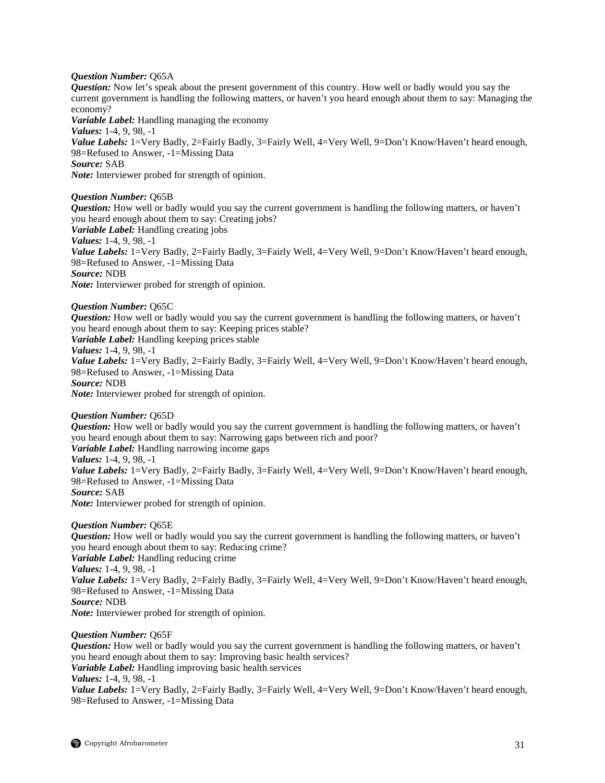#### *Question Number:* Q65A

*Question:* Now let's speak about the present government of this country. How well or badly would you say the current government is handling the following matters, or haven't you heard enough about them to say: Managing the economy?

*Variable Label:* Handling managing the economy *Values:* 1-4, 9, 98, -1 Value Labels: 1=Very Badly, 2=Fairly Badly, 3=Fairly Well, 4=Very Well, 9=Don't Know/Haven't heard enough, 98=Refused to Answer, -1=Missing Data *Source:* SAB *Note:* Interviewer probed for strength of opinion.

*Question Number:* Q65B

*Question:* How well or badly would you say the current government is handling the following matters, or haven't you heard enough about them to say: Creating jobs? *Variable Label:* Handling creating jobs *Values:* 1-4, 9, 98, -1

*Value Labels:* 1=Very Badly, 2=Fairly Badly, 3=Fairly Well, 4=Very Well, 9=Don't Know/Haven't heard enough, 98=Refused to Answer, -1=Missing Data *Source:* NDB

*Note:* Interviewer probed for strength of opinion.

*Question Number:* Q65C

*Question:* How well or badly would you say the current government is handling the following matters, or haven't you heard enough about them to say: Keeping prices stable?

*Variable Label:* Handling keeping prices stable

*Values:* 1-4, 9, 98, -1

*Value Labels:* 1=Very Badly, 2=Fairly Badly, 3=Fairly Well, 4=Very Well, 9=Don't Know/Haven't heard enough, 98=Refused to Answer, -1=Missing Data

*Source:* NDB

*Note:* Interviewer probed for strength of opinion.

#### *Question Number:* Q65D

*Question:* How well or badly would you say the current government is handling the following matters, or haven't you heard enough about them to say: Narrowing gaps between rich and poor? *Variable Label:* Handling narrowing income gaps *Values:* 1-4, 9, 98, -1 *Value Labels:* 1=Very Badly, 2=Fairly Badly, 3=Fairly Well, 4=Very Well, 9=Don't Know/Haven't heard enough, 98=Refused to Answer, -1=Missing Data *Source:* SAB *Note:* Interviewer probed for strength of opinion.

#### *Question Number:* Q65E

*Question:* How well or badly would you say the current government is handling the following matters, or haven't you heard enough about them to say: Reducing crime? *Variable Label:* Handling reducing crime *Values:* 1-4, 9, 98, -1 Value Labels: 1=Very Badly, 2=Fairly Badly, 3=Fairly Well, 4=Very Well, 9=Don't Know/Haven't heard enough, 98=Refused to Answer, -1=Missing Data *Source:* NDB *Note:* Interviewer probed for strength of opinion.

# *Question Number:* Q65F

*Question:* How well or badly would you say the current government is handling the following matters, or haven't you heard enough about them to say: Improving basic health services? *Variable Label:* Handling improving basic health services *Values:* 1-4, 9, 98, -1 *Value Labels:* 1=Very Badly, 2=Fairly Badly, 3=Fairly Well, 4=Very Well, 9=Don't Know/Haven't heard enough, 98=Refused to Answer, -1=Missing Data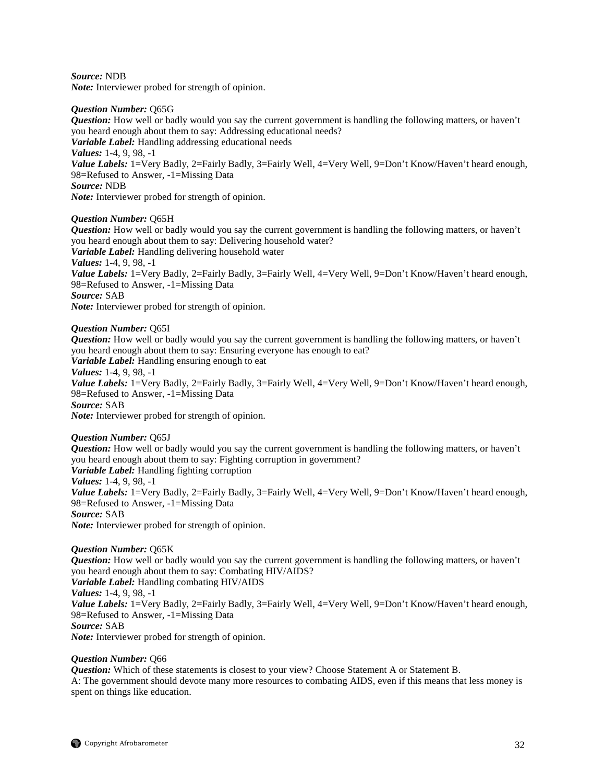*Source:* NDB

*Note:* Interviewer probed for strength of opinion.

#### *Question Number:* Q65G

*Question:* How well or badly would you say the current government is handling the following matters, or haven't you heard enough about them to say: Addressing educational needs? *Variable Label:* Handling addressing educational needs *Values:* 1-4, 9, 98, -1 *Value Labels:* 1=Very Badly, 2=Fairly Badly, 3=Fairly Well, 4=Very Well, 9=Don't Know/Haven't heard enough, 98=Refused to Answer, -1=Missing Data *Source:* NDB *Note:* Interviewer probed for strength of opinion.

# *Question Number:* Q65H

*Question:* How well or badly would you say the current government is handling the following matters, or haven't you heard enough about them to say: Delivering household water? *Variable Label:* Handling delivering household water *Values:* 1-4, 9, 98, -1 *Value Labels:* 1=Very Badly, 2=Fairly Badly, 3=Fairly Well, 4=Very Well, 9=Don't Know/Haven't heard enough, 98=Refused to Answer, -1=Missing Data *Source:* SAB *Note:* Interviewer probed for strength of opinion.

*Question Number:* Q65I

*Question:* How well or badly would you say the current government is handling the following matters, or haven't you heard enough about them to say: Ensuring everyone has enough to eat? *Variable Label:* Handling ensuring enough to eat *Values:* 1-4, 9, 98, -1 *Value Labels:* 1=Very Badly, 2=Fairly Badly, 3=Fairly Well, 4=Very Well, 9=Don't Know/Haven't heard enough, 98=Refused to Answer, -1=Missing Data *Source:* SAB *Note:* Interviewer probed for strength of opinion.

*Question Number:* Q65J

*Question:* How well or badly would you say the current government is handling the following matters, or haven't you heard enough about them to say: Fighting corruption in government? *Variable Label:* Handling fighting corruption *Values:* 1-4, 9, 98, -1 *Value Labels:* 1=Very Badly, 2=Fairly Badly, 3=Fairly Well, 4=Very Well, 9=Don't Know/Haven't heard enough, 98=Refused to Answer, -1=Missing Data *Source:* SAB *Note:* Interviewer probed for strength of opinion.

*Question Number:* Q65K

*Question:* How well or badly would you say the current government is handling the following matters, or haven't you heard enough about them to say: Combating HIV/AIDS? *Variable Label:* Handling combating HIV/AIDS *Values:* 1-4, 9, 98, -1 *Value Labels:* 1=Very Badly, 2=Fairly Badly, 3=Fairly Well, 4=Very Well, 9=Don't Know/Haven't heard enough, 98=Refused to Answer, -1=Missing Data *Source:* SAB *Note:* Interviewer probed for strength of opinion.

# *Question Number:* Q66

*Question:* Which of these statements is closest to your view? Choose Statement A or Statement B. A: The government should devote many more resources to combating AIDS, even if this means that less money is spent on things like education.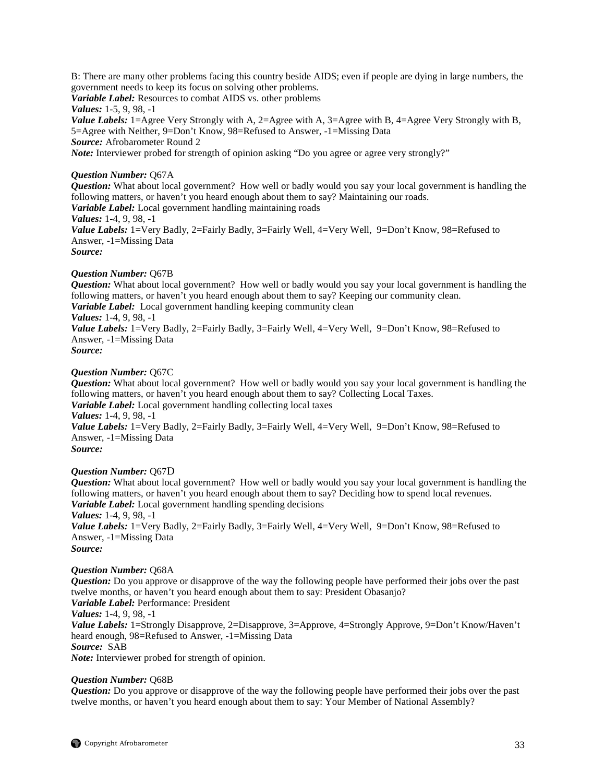B: There are many other problems facing this country beside AIDS; even if people are dying in large numbers, the government needs to keep its focus on solving other problems.

*Variable Label:* Resources to combat AIDS vs. other problems

*Values:* 1-5, 9, 98, -1

*Value Labels:* 1=Agree Very Strongly with A, 2=Agree with A, 3=Agree with B, 4=Agree Very Strongly with B, 5=Agree with Neither, 9=Don't Know, 98=Refused to Answer, -1=Missing Data *Source:* Afrobarometer Round 2

*Note:* Interviewer probed for strength of opinion asking "Do you agree or agree very strongly?"

# *Question Number:* Q67A

*Question:* What about local government? How well or badly would you say your local government is handling the following matters, or haven't you heard enough about them to say? Maintaining our roads.

*Variable Label:* Local government handling maintaining roads

*Values:* 1-4, 9, 98, -1

*Value Labels:* 1=Very Badly, 2=Fairly Badly, 3=Fairly Well, 4=Very Well, 9=Don't Know, 98=Refused to Answer, -1=Missing Data

*Source:*

### *Question Number:* Q67B

*Question:* What about local government? How well or badly would you say your local government is handling the following matters, or haven't you heard enough about them to say? Keeping our community clean. *Variable Label:* Local government handling keeping community clean

*Values:* 1-4, 9, 98, -1

*Value Labels:* 1=Very Badly, 2=Fairly Badly, 3=Fairly Well, 4=Very Well, 9=Don't Know, 98=Refused to Answer, -1=Missing Data

*Source:*

### *Question Number:* Q67C

*Question:* What about local government? How well or badly would you say your local government is handling the following matters, or haven't you heard enough about them to say? Collecting Local Taxes. *Variable Label:* Local government handling collecting local taxes *Values:* 1-4, 9, 98, -1 Value Labels: 1=Very Badly, 2=Fairly Badly, 3=Fairly Well, 4=Very Well, 9=Don't Know, 98=Refused to Answer, -1=Missing Data *Source:*

# *Question Number:* Q67D

*Question:* What about local government? How well or badly would you say your local government is handling the following matters, or haven't you heard enough about them to say? Deciding how to spend local revenues. *Variable Label:* Local government handling spending decisions *Values:* 1-4, 9, 98, -1

Value Labels: 1=Very Badly, 2=Fairly Badly, 3=Fairly Well, 4=Very Well, 9=Don't Know, 98=Refused to Answer, -1=Missing Data *Source:*

# *Question Number:* Q68A

*Question:* Do you approve or disapprove of the way the following people have performed their jobs over the past twelve months, or haven't you heard enough about them to say: President Obasanjo? *Variable Label:* Performance: President *Values:* 1-4, 9, 98, -1 *Value Labels:* 1=Strongly Disapprove, 2=Disapprove, 3=Approve, 4=Strongly Approve, 9=Don't Know/Haven't heard enough, 98=Refused to Answer, -1=Missing Data *Source:* SAB

*Note:* Interviewer probed for strength of opinion.

### *Question Number:* Q68B

*Question:* Do you approve or disapprove of the way the following people have performed their jobs over the past twelve months, or haven't you heard enough about them to say: Your Member of National Assembly?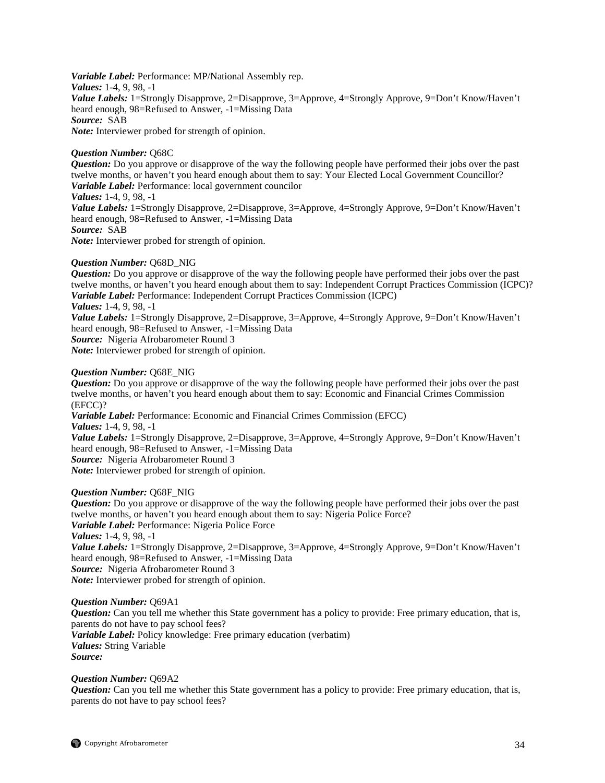*Variable Label:* Performance: MP/National Assembly rep. *Values:* 1-4, 9, 98, -1 *Value Labels:* 1=Strongly Disapprove, 2=Disapprove, 3=Approve, 4=Strongly Approve, 9=Don't Know/Haven't heard enough, 98=Refused to Answer, -1=Missing Data *Source:* SAB *Note:* Interviewer probed for strength of opinion.

#### *Question Number:* Q68C

*Question:* Do you approve or disapprove of the way the following people have performed their jobs over the past twelve months, or haven't you heard enough about them to say: Your Elected Local Government Councillor? *Variable Label:* Performance: local government councilor

*Values:* 1-4, 9, 98, -1

*Value Labels:* 1=Strongly Disapprove, 2=Disapprove, 3=Approve, 4=Strongly Approve, 9=Don't Know/Haven't heard enough, 98=Refused to Answer, -1=Missing Data *Source:* SAB

*Note:* Interviewer probed for strength of opinion.

### *Question Number:* Q68D\_NIG

*Question:* Do you approve or disapprove of the way the following people have performed their jobs over the past twelve months, or haven't you heard enough about them to say: Independent Corrupt Practices Commission (ICPC)? *Variable Label:* Performance: Independent Corrupt Practices Commission (ICPC) *Values:* 1-4, 9, 98, -1

*Value Labels:* 1=Strongly Disapprove, 2=Disapprove, 3=Approve, 4=Strongly Approve, 9=Don't Know/Haven't heard enough, 98=Refused to Answer, -1=Missing Data

*Source:* Nigeria Afrobarometer Round 3

*Note:* Interviewer probed for strength of opinion.

### *Question Number:* Q68E\_NIG

*Question:* Do you approve or disapprove of the way the following people have performed their jobs over the past twelve months, or haven't you heard enough about them to say: Economic and Financial Crimes Commission (EFCC)?

*Variable Label:* Performance: Economic and Financial Crimes Commission (EFCC) *Values:* 1-4, 9, 98, -1

*Value Labels:* 1=Strongly Disapprove, 2=Disapprove, 3=Approve, 4=Strongly Approve, 9=Don't Know/Haven't heard enough, 98=Refused to Answer, -1=Missing Data

*Source:* Nigeria Afrobarometer Round 3

*Note:* Interviewer probed for strength of opinion.

#### *Question Number:* Q68F\_NIG

*Question:* Do you approve or disapprove of the way the following people have performed their jobs over the past twelve months, or haven't you heard enough about them to say: Nigeria Police Force? *Variable Label:* Performance: Nigeria Police Force *Values:* 1-4, 9, 98, -1 *Value Labels:* 1=Strongly Disapprove, 2=Disapprove, 3=Approve, 4=Strongly Approve, 9=Don't Know/Haven't heard enough, 98=Refused to Answer, -1=Missing Data

*Source:* Nigeria Afrobarometer Round 3

*Note:* Interviewer probed for strength of opinion.

#### *Question Number:* Q69A1

*Question:* Can you tell me whether this State government has a policy to provide: Free primary education, that is, parents do not have to pay school fees? *Variable Label:* Policy knowledge: Free primary education (verbatim) *Values:* String Variable *Source:*

### *Question Number:* Q69A2

*Question:* Can you tell me whether this State government has a policy to provide: Free primary education, that is, parents do not have to pay school fees?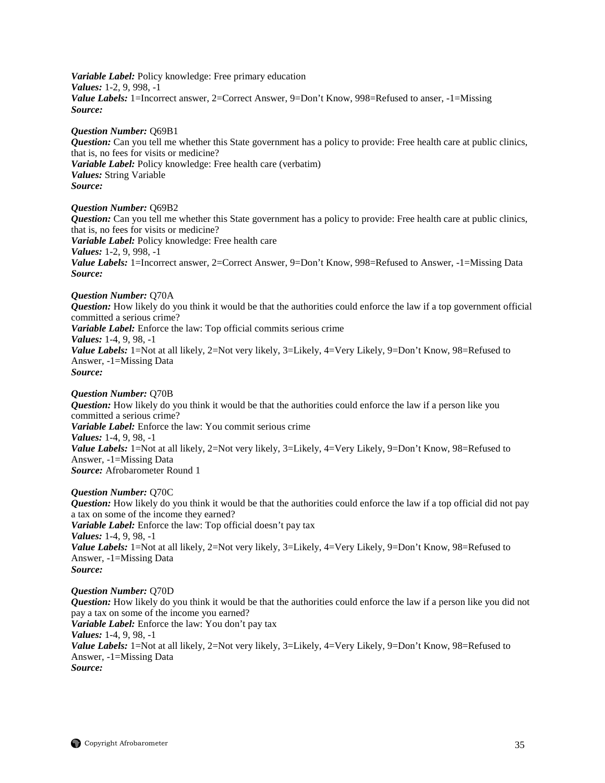*Variable Label:* Policy knowledge: Free primary education *Values:* 1-2, 9, 998, -1 *Value Labels:* 1=Incorrect answer, 2=Correct Answer, 9=Don't Know, 998=Refused to anser, -1=Missing *Source:* 

#### *Question Number:* Q69B1

*Question:* Can you tell me whether this State government has a policy to provide: Free health care at public clinics, that is, no fees for visits or medicine? *Variable Label:* Policy knowledge: Free health care (verbatim) *Values:* String Variable *Source:*

*Question Number:* Q69B2 *Question:* Can you tell me whether this State government has a policy to provide: Free health care at public clinics, that is, no fees for visits or medicine? *Variable Label:* Policy knowledge: Free health care *Values:* 1-2, 9, 998, -1 *Value Labels:* 1=Incorrect answer, 2=Correct Answer, 9=Don't Know, 998=Refused to Answer, -1=Missing Data *Source:*

*Question Number:* Q70A *Question:* How likely do you think it would be that the authorities could enforce the law if a top government official committed a serious crime? *Variable Label:* Enforce the law: Top official commits serious crime *Values:* 1-4, 9, 98, -1 *Value Labels:* 1=Not at all likely, 2=Not very likely, 3=Likely, 4=Very Likely, 9=Don't Know, 98=Refused to Answer, -1=Missing Data *Source:*

*Question Number:* Q70B *Question:* How likely do you think it would be that the authorities could enforce the law if a person like you committed a serious crime? *Variable Label:* Enforce the law: You commit serious crime *Values:* 1-4, 9, 98, -1 *Value Labels:* 1=Not at all likely, 2=Not very likely, 3=Likely, 4=Very Likely, 9=Don't Know, 98=Refused to Answer, -1=Missing Data *Source:* Afrobarometer Round 1

#### *Question Number:* Q70C

*Question:* How likely do you think it would be that the authorities could enforce the law if a top official did not pay a tax on some of the income they earned? *Variable Label:* Enforce the law: Top official doesn't pay tax *Values:* 1-4, 9, 98, -1 *Value Labels:* 1=Not at all likely, 2=Not very likely, 3=Likely, 4=Very Likely, 9=Don't Know, 98=Refused to Answer, -1=Missing Data *Source:*

*Question Number:* Q70D *Question:* How likely do you think it would be that the authorities could enforce the law if a person like you did not pay a tax on some of the income you earned? *Variable Label:* Enforce the law: You don't pay tax *Values:* 1-4, 9, 98, -1 *Value Labels:* 1=Not at all likely, 2=Not very likely, 3=Likely, 4=Very Likely, 9=Don't Know, 98=Refused to Answer, -1=Missing Data *Source:*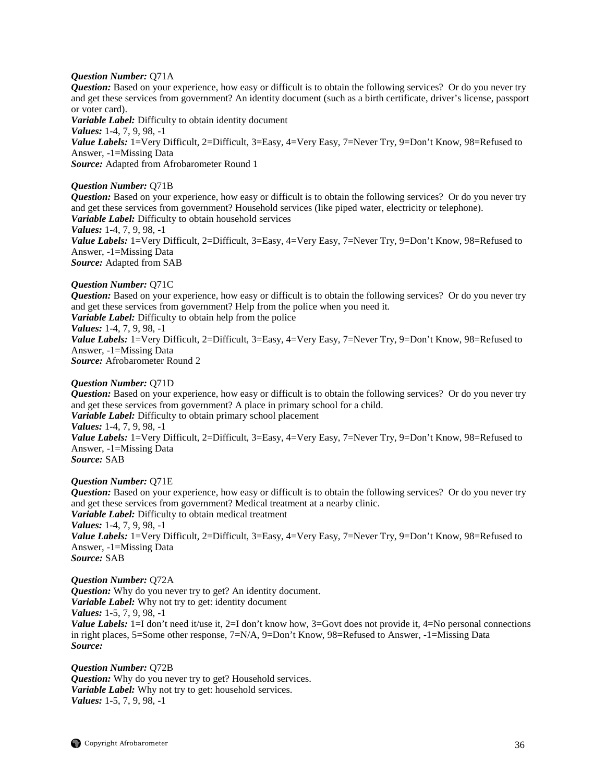#### *Question Number:* Q71A

*Question:* Based on your experience, how easy or difficult is to obtain the following services? Or do you never try and get these services from government? An identity document (such as a birth certificate, driver's license, passport or voter card).

*Variable Label:* Difficulty to obtain identity document *Values:* 1-4, 7, 9, 98, -1 Value Labels: 1=Very Difficult, 2=Difficult, 3=Easy, 4=Very Easy, 7=Never Try, 9=Don't Know, 98=Refused to Answer, -1=Missing Data *Source:* Adapted from Afrobarometer Round 1

### *Question Number:* Q71B

*Question:* Based on your experience, how easy or difficult is to obtain the following services? Or do you never try and get these services from government? Household services (like piped water, electricity or telephone). *Variable Label:* Difficulty to obtain household services *Values:* 1-4, 7, 9, 98, -1

*Value Labels:* 1=Very Difficult, 2=Difficult, 3=Easy, 4=Very Easy, 7=Never Try, 9=Don't Know, 98=Refused to Answer, -1=Missing Data

*Source:* Adapted from SAB

### *Question Number:* Q71C

*Question:* Based on your experience, how easy or difficult is to obtain the following services? Or do you never try and get these services from government? Help from the police when you need it. *Variable Label:* Difficulty to obtain help from the police

# *Values:* 1-4, 7, 9, 98, -1

*Value Labels:* 1=Very Difficult, 2=Difficult, 3=Easy, 4=Very Easy, 7=Never Try, 9=Don't Know, 98=Refused to Answer, -1=Missing Data

*Source:* Afrobarometer Round 2

### *Question Number:* Q71D

*Question:* Based on your experience, how easy or difficult is to obtain the following services? Or do you never try and get these services from government? A place in primary school for a child. *Variable Label:* Difficulty to obtain primary school placement *Values:* 1-4, 7, 9, 98, -1 *Value Labels:* 1=Very Difficult, 2=Difficult, 3=Easy, 4=Very Easy, 7=Never Try, 9=Don't Know, 98=Refused to Answer, -1=Missing Data *Source:* SAB

# *Question Number:* Q71E

*Question:* Based on your experience, how easy or difficult is to obtain the following services? Or do you never try and get these services from government? Medical treatment at a nearby clinic. *Variable Label:* Difficulty to obtain medical treatment *Values:* 1-4, 7, 9, 98, -1 Value Labels: 1=Very Difficult, 2=Difficult, 3=Easy, 4=Very Easy, 7=Never Try, 9=Don't Know, 98=Refused to Answer, -1=Missing Data *Source:* SAB

# *Question Number:* Q72A

*Question:* Why do you never try to get? An identity document. *Variable Label:* Why not try to get: identity document *Values:* 1-5, 7, 9, 98, -1 *Value Labels:* 1=I don't need it/use it, 2=I don't know how, 3=Govt does not provide it, 4=No personal connections in right places, 5=Some other response, 7=N/A, 9=Don't Know, 98=Refused to Answer, -1=Missing Data *Source:*

# *Question Number:* Q72B

*Question:* Why do you never try to get? Household services. *Variable Label:* Why not try to get: household services. *Values:* 1-5, 7, 9, 98, -1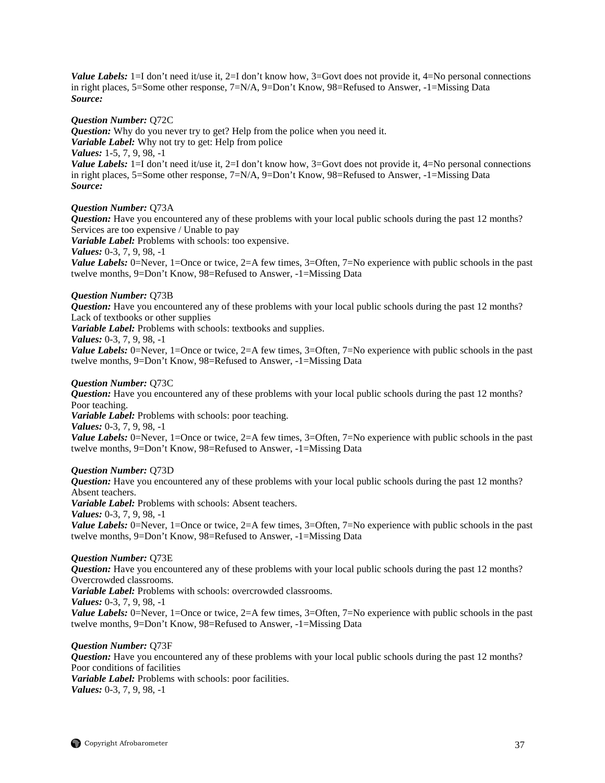*Value Labels:* 1=I don't need it/use it, 2=I don't know how, 3=Govt does not provide it, 4=No personal connections in right places, 5=Some other response, 7=N/A, 9=Don't Know, 98=Refused to Answer, -1=Missing Data *Source:*

#### *Question Number:* Q72C

*Question:* Why do you never try to get? Help from the police when you need it. *Variable Label:* Why not try to get: Help from police *Values:* 1-5, 7, 9, 98, -1 *Value Labels:* 1=I don't need it/use it, 2=I don't know how, 3=Govt does not provide it, 4=No personal connections in right places, 5=Some other response, 7=N/A, 9=Don't Know, 98=Refused to Answer, -1=Missing Data *Source:*

#### *Question Number:* Q73A

*Question:* Have you encountered any of these problems with your local public schools during the past 12 months? Services are too expensive / Unable to pay

*Variable Label:* Problems with schools: too expensive.

*Values:* 0-3, 7, 9, 98, -1

*Value Labels:* 0=Never, 1=Once or twice, 2=A few times, 3=Often, 7=No experience with public schools in the past twelve months, 9=Don't Know, 98=Refused to Answer, -1=Missing Data

#### *Question Number:* Q73B

*Question:* Have you encountered any of these problems with your local public schools during the past 12 months? Lack of textbooks or other supplies

*Variable Label:* Problems with schools: textbooks and supplies.

*Values:* 0-3, 7, 9, 98, -1

*Value Labels:* 0=Never, 1=Once or twice, 2=A few times, 3=Often, 7=No experience with public schools in the past twelve months, 9=Don't Know, 98=Refused to Answer, -1=Missing Data

#### *Question Number:* Q73C

*Question:* Have you encountered any of these problems with your local public schools during the past 12 months? Poor teaching.

*Variable Label:* Problems with schools: poor teaching.

*Values:* 0-3, 7, 9, 98, -1

*Value Labels:* 0=Never, 1=Once or twice, 2=A few times, 3=Often, 7=No experience with public schools in the past twelve months, 9=Don't Know, 98=Refused to Answer, -1=Missing Data

#### *Question Number:* Q73D

*Question:* Have you encountered any of these problems with your local public schools during the past 12 months? Absent teachers. *Variable Label:* Problems with schools: Absent teachers. *Values:* 0-3, 7, 9, 98, -1 *Value Labels:* 0=Never, 1=Once or twice, 2=A few times, 3=Often, 7=No experience with public schools in the past twelve months, 9=Don't Know, 98=Refused to Answer, -1=Missing Data

#### *Question Number:* Q73E

*Question:* Have you encountered any of these problems with your local public schools during the past 12 months? Overcrowded classrooms. *Variable Label:* Problems with schools: overcrowded classrooms. *Values:* 0-3, 7, 9, 98, -1 *Value Labels:* 0=Never, 1=Once or twice, 2=A few times, 3=Often, 7=No experience with public schools in the past twelve months, 9=Don't Know, 98=Refused to Answer, -1=Missing Data

#### *Question Number:* Q73F

*Question:* Have you encountered any of these problems with your local public schools during the past 12 months? Poor conditions of facilities

*Variable Label:* Problems with schools: poor facilities. *Values:* 0-3, 7, 9, 98, -1

 $\bigcirc$  Copyright Afrobarometer 37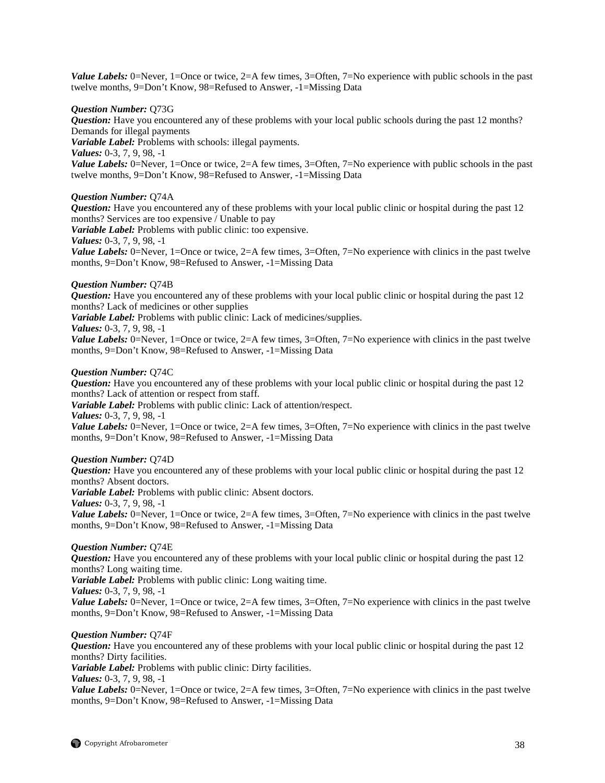*Value Labels:* 0=Never, 1=Once or twice, 2=A few times, 3=Often, 7=No experience with public schools in the past twelve months, 9=Don't Know, 98=Refused to Answer, -1=Missing Data

#### *Question Number:* Q73G

*Question:* Have you encountered any of these problems with your local public schools during the past 12 months? Demands for illegal payments

*Variable Label:* Problems with schools: illegal payments.

*Values:* 0-3, 7, 9, 98, -1

*Value Labels:* 0=Never, 1=Once or twice, 2=A few times, 3=Often, 7=No experience with public schools in the past twelve months, 9=Don't Know, 98=Refused to Answer, -1=Missing Data

#### *Question Number:* Q74A

*Question:* Have you encountered any of these problems with your local public clinic or hospital during the past 12 months? Services are too expensive / Unable to pay

*Variable Label:* Problems with public clinic: too expensive.

*Values:* 0-3, 7, 9, 98, -1

*Value Labels:* 0=Never, 1=Once or twice, 2=A few times, 3=Often, 7=No experience with clinics in the past twelve months, 9=Don't Know, 98=Refused to Answer, -1=Missing Data

#### *Question Number:* Q74B

*Question:* Have you encountered any of these problems with your local public clinic or hospital during the past 12 months? Lack of medicines or other supplies

*Variable Label:* Problems with public clinic: Lack of medicines/supplies.

*Values:* 0-3, 7, 9, 98, -1

*Value Labels:* 0=Never, 1=Once or twice, 2=A few times, 3=Often, 7=No experience with clinics in the past twelve months, 9=Don't Know, 98=Refused to Answer, -1=Missing Data

### *Question Number:* Q74C

*Question:* Have you encountered any of these problems with your local public clinic or hospital during the past 12 months? Lack of attention or respect from staff.

*Variable Label:* Problems with public clinic: Lack of attention/respect. *Values:* 0-3, 7, 9, 98, -1

*Value Labels:* 0=Never, 1=Once or twice, 2=A few times, 3=Often, 7=No experience with clinics in the past twelve months, 9=Don't Know, 98=Refused to Answer, -1=Missing Data

# *Question Number:* Q74D

*Question:* Have you encountered any of these problems with your local public clinic or hospital during the past 12 months? Absent doctors.

*Variable Label:* Problems with public clinic: Absent doctors.

*Values:* 0-3, 7, 9, 98, -1

*Value Labels:* 0=Never, 1=Once or twice, 2=A few times, 3=Often, 7=No experience with clinics in the past twelve months, 9=Don't Know, 98=Refused to Answer, -1=Missing Data

# *Question Number:* Q74E

*Question:* Have you encountered any of these problems with your local public clinic or hospital during the past 12 months? Long waiting time.

*Variable Label:* Problems with public clinic: Long waiting time.

*Values:* 0-3, 7, 9, 98, -1

*Value Labels:* 0=Never, 1=Once or twice, 2=A few times, 3=Often, 7=No experience with clinics in the past twelve months, 9=Don't Know, 98=Refused to Answer, -1=Missing Data

#### *Question Number:* Q74F

*Question:* Have you encountered any of these problems with your local public clinic or hospital during the past 12 months? Dirty facilities.

*Variable Label:* Problems with public clinic: Dirty facilities.

*Values:* 0-3, 7, 9, 98, -1

*Value Labels:* 0=Never, 1=Once or twice, 2=A few times, 3=Often, 7=No experience with clinics in the past twelve months, 9=Don't Know, 98=Refused to Answer, -1=Missing Data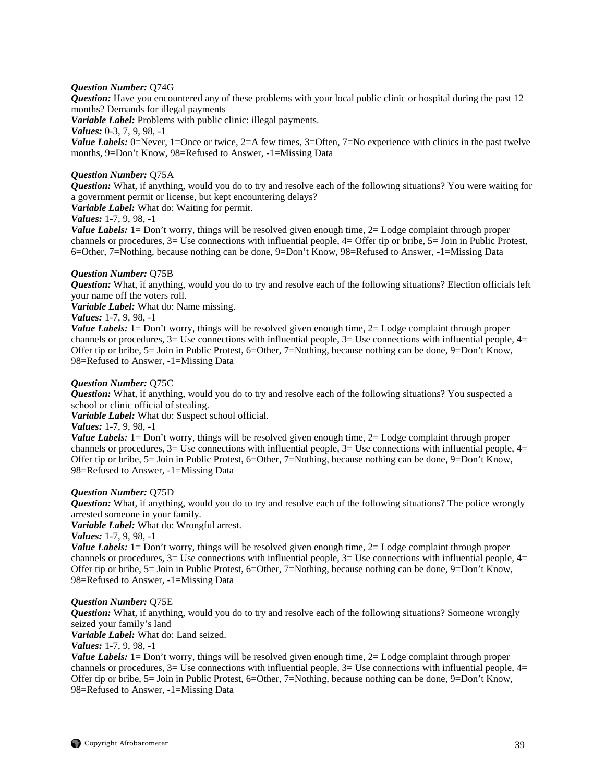#### *Question Number:* Q74G

*Question:* Have you encountered any of these problems with your local public clinic or hospital during the past 12 months? Demands for illegal payments

*Variable Label:* Problems with public clinic: illegal payments.

*Values:* 0-3, 7, 9, 98, -1

*Value Labels:* 0=Never, 1=Once or twice, 2=A few times, 3=Often, 7=No experience with clinics in the past twelve months, 9=Don't Know, 98=Refused to Answer, -1=Missing Data

#### *Question Number:* Q75A

*Question:* What, if anything, would you do to try and resolve each of the following situations? You were waiting for a government permit or license, but kept encountering delays?

*Variable Label:* What do: Waiting for permit.

# *Values:* 1-7, 9, 98, -1

*Value Labels:* 1= Don't worry, things will be resolved given enough time, 2= Lodge complaint through proper channels or procedures, 3= Use connections with influential people, 4= Offer tip or bribe, 5= Join in Public Protest, 6=Other, 7=Nothing, because nothing can be done, 9=Don't Know, 98=Refused to Answer, -1=Missing Data

#### *Question Number:* Q75B

*Question:* What, if anything, would you do to try and resolve each of the following situations? Election officials left your name off the voters roll.

*Variable Label:* What do: Name missing.

*Values:* 1-7, 9, 98, -1

*Value Labels:* 1= Don't worry, things will be resolved given enough time, 2= Lodge complaint through proper channels or procedures,  $3=$  Use connections with influential people,  $3=$  Use connections with influential people,  $4=$ Offer tip or bribe, 5= Join in Public Protest, 6=Other, 7=Nothing, because nothing can be done, 9=Don't Know, 98=Refused to Answer, -1=Missing Data

#### *Question Number:* Q75C

*Question:* What, if anything, would you do to try and resolve each of the following situations? You suspected a school or clinic official of stealing.

*Variable Label:* What do: Suspect school official.

*Values:* 1-7, 9, 98, -1

*Value Labels:* 1 = Don't worry, things will be resolved given enough time, 2 = Lodge complaint through proper channels or procedures,  $3=$  Use connections with influential people,  $3=$  Use connections with influential people,  $4=$ Offer tip or bribe, 5= Join in Public Protest, 6=Other, 7=Nothing, because nothing can be done, 9=Don't Know, 98=Refused to Answer, -1=Missing Data

#### *Question Number:* Q75D

*Question:* What, if anything, would you do to try and resolve each of the following situations? The police wrongly arrested someone in your family.

*Variable Label:* What do: Wrongful arrest.

*Values:* 1-7, 9, 98, -1

*Value Labels:* 1= Don't worry, things will be resolved given enough time, 2= Lodge complaint through proper channels or procedures,  $3=$  Use connections with influential people,  $3=$  Use connections with influential people,  $4=$ Offer tip or bribe, 5= Join in Public Protest, 6=Other, 7=Nothing, because nothing can be done, 9=Don't Know, 98=Refused to Answer, -1=Missing Data

#### *Question Number:* Q75E

*Question:* What, if anything, would you do to try and resolve each of the following situations? Someone wrongly seized your family's land

*Variable Label:* What do: Land seized.

*Values:* 1-7, 9, 98, -1

*Value Labels:* 1 = Don't worry, things will be resolved given enough time, 2 = Lodge complaint through proper channels or procedures,  $3=$  Use connections with influential people,  $3=$  Use connections with influential people,  $4=$ Offer tip or bribe, 5= Join in Public Protest, 6=Other, 7=Nothing, because nothing can be done, 9=Don't Know, 98=Refused to Answer, -1=Missing Data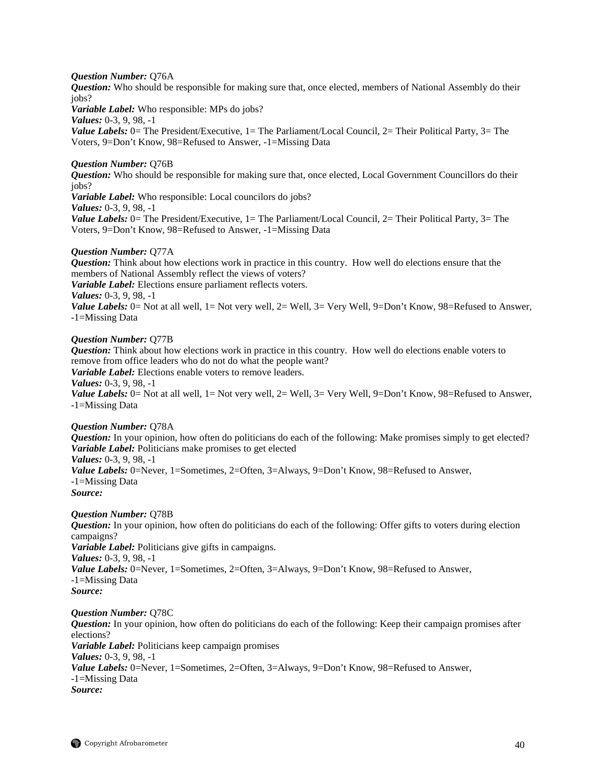#### *Question Number:* Q76A

*Question:* Who should be responsible for making sure that, once elected, members of National Assembly do their jobs?

*Variable Label:* Who responsible: MPs do jobs?

*Values:* 0-3, 9, 98, -1

*Value Labels:* 0 = The President/Executive, 1 = The Parliament/Local Council, 2 = Their Political Party, 3 = The Voters, 9=Don't Know, 98=Refused to Answer, -1=Missing Data

#### *Question Number:* Q76B

*Question:* Who should be responsible for making sure that, once elected, Local Government Councillors do their jobs? *Variable Label:* Who responsible: Local councilors do jobs?

*Values:* 0-3, 9, 98, -1

*Value Labels:* 0 = The President/Executive, 1 = The Parliament/Local Council, 2 = Their Political Party, 3 = The Voters, 9=Don't Know, 98=Refused to Answer, -1=Missing Data

#### *Question Number:* Q77A

*Question:* Think about how elections work in practice in this country. How well do elections ensure that the members of National Assembly reflect the views of voters? *Variable Label:* Elections ensure parliament reflects voters. *Values:* 0-3, 9, 98, -1 *Value Labels:* 0= Not at all well, 1= Not very well, 2= Well, 3= Very Well, 9=Don't Know, 98=Refused to Answer, -1=Missing Data

#### *Question Number:* Q77B

*Question:* Think about how elections work in practice in this country. How well do elections enable voters to remove from office leaders who do not do what the people want? *Variable Label:* Elections enable voters to remove leaders. *Values:* 0-3, 9, 98, -1

*Value Labels:* 0= Not at all well, 1= Not very well, 2= Well, 3= Very Well, 9=Don't Know, 98=Refused to Answer, -1=Missing Data

#### *Question Number:* Q78A

*Question:* In your opinion, how often do politicians do each of the following: Make promises simply to get elected? *Variable Label:* Politicians make promises to get elected *Values:* 0-3, 9, 98, -1

*Value Labels:* 0=Never, 1=Sometimes, 2=Often, 3=Always, 9=Don't Know, 98=Refused to Answer, -1=Missing Data

*Source:*

#### *Question Number:* Q78B

*Question:* In your opinion, how often do politicians do each of the following: Offer gifts to voters during election campaigns? *Variable Label:* Politicians give gifts in campaigns. *Values:* 0-3, 9, 98, -1 *Value Labels:* 0=Never, 1=Sometimes, 2=Often, 3=Always, 9=Don't Know, 98=Refused to Answer, -1=Missing Data *Source:*

#### *Question Number:* Q78C

*Question:* In your opinion, how often do politicians do each of the following: Keep their campaign promises after elections? *Variable Label:* Politicians keep campaign promises *Values:* 0-3, 9, 98, -1 *Value Labels:* 0=Never, 1=Sometimes, 2=Often, 3=Always, 9=Don't Know, 98=Refused to Answer, -1=Missing Data *Source:*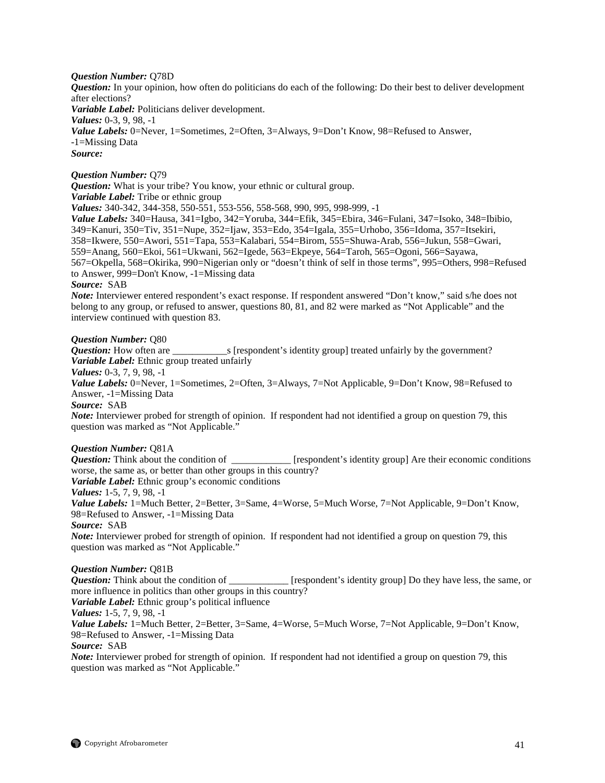### *Question Number:* Q78D

*Question:* In your opinion, how often do politicians do each of the following: Do their best to deliver development after elections?

*Variable Label:* Politicians deliver development.

*Values:* 0-3, 9, 98, -1

Value Labels: 0=Never, 1=Sometimes, 2=Often, 3=Always, 9=Don't Know, 98=Refused to Answer, -1=Missing Data *Source:*

# *Question Number:* Q79

*Question:* What is your tribe? You know, your ethnic or cultural group.

*Variable Label:* Tribe or ethnic group

*Values:* 340-342, 344-358, 550-551, 553-556, 558-568, 990, 995, 998-999, -1

*Value Labels:* 340=Hausa, 341=Igbo, 342=Yoruba, 344=Efik, 345=Ebira, 346=Fulani, 347=Isoko, 348=Ibibio, 349=Kanuri, 350=Tiv, 351=Nupe, 352=Ijaw, 353=Edo, 354=Igala, 355=Urhobo, 356=Idoma, 357=Itsekiri, 358=Ikwere, 550=Awori, 551=Tapa, 553=Kalabari, 554=Birom, 555=Shuwa-Arab, 556=Jukun, 558=Gwari, 559=Anang, 560=Ekoi, 561=Ukwani, 562=Igede, 563=Ekpeye, 564=Taroh, 565=Ogoni, 566=Sayawa, 567=Okpella, 568=Okirika, 990=Nigerian only or "doesn't think of self in those terms", 995=Others, 998=Refused to Answer, 999=Don't Know, -1=Missing data

#### *Source:* SAB

*Note:* Interviewer entered respondent's exact response. If respondent answered "Don't know," said s/he does not belong to any group, or refused to answer, questions 80, 81, and 82 were marked as "Not Applicable" and the interview continued with question 83.

# *Question Number:* Q80

*Question:* How often are \_\_\_\_\_\_\_\_\_\_\_s [respondent's identity group] treated unfairly by the government? *Variable Label:* Ethnic group treated unfairly

*Values:* 0-3, 7, 9, 98, -1

*Value Labels:* 0=Never, 1=Sometimes, 2=Often, 3=Always, 7=Not Applicable, 9=Don't Know, 98=Refused to Answer, -1=Missing Data

*Source:* SAB

*Note:* Interviewer probed for strength of opinion. If respondent had not identified a group on question 79, this question was marked as "Not Applicable."

*Question Number:* Q81A<br>*Question:* Think about the condition of \_\_\_\_\_\_ *L* [respondent's identity group] Are their economic conditions worse, the same as, or better than other groups in this country?

*Variable Label:* Ethnic group's economic conditions *Values:* 1-5, 7, 9, 98, -1

*Value Labels:* 1=Much Better, 2=Better, 3=Same, 4=Worse, 5=Much Worse, 7=Not Applicable, 9=Don't Know, 98=Refused to Answer, -1=Missing Data

*Source:* SAB

*Note:* Interviewer probed for strength of opinion. If respondent had not identified a group on question 79, this question was marked as "Not Applicable."

# *Question Number:* Q81B

*Question:* Think about the condition of \_\_\_\_\_\_\_\_\_\_\_\_ [respondent's identity group] Do they have less, the same, or more influence in politics than other groups in this country?

*Variable Label:* Ethnic group's political influence

*Values:* 1-5, 7, 9, 98, -1

*Value Labels:* 1=Much Better, 2=Better, 3=Same, 4=Worse, 5=Much Worse, 7=Not Applicable, 9=Don't Know, 98=Refused to Answer, -1=Missing Data *Source:* SAB

*Note:* Interviewer probed for strength of opinion. If respondent had not identified a group on question 79, this question was marked as "Not Applicable."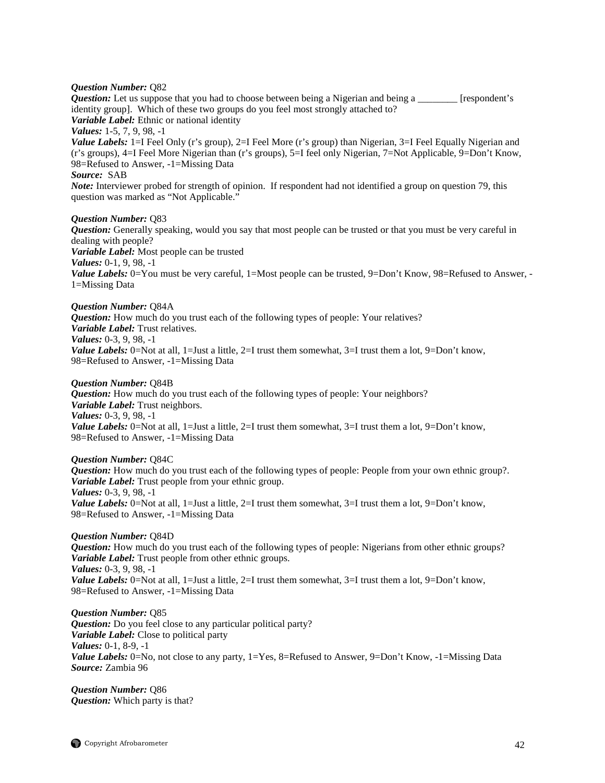#### *Question Number:* Q82

*Question:* Let us suppose that you had to choose between being a Nigerian and being a \_\_\_\_\_\_\_\_ [respondent's identity group]. Which of these two groups do you feel most strongly attached to? *Variable Label:* Ethnic or national identity *Values:* 1-5, 7, 9, 98, -1 *Value Labels:* 1=I Feel Only (r's group), 2=I Feel More (r's group) than Nigerian, 3=I Feel Equally Nigerian and (r's groups), 4=I Feel More Nigerian than (r's groups), 5=I feel only Nigerian, 7=Not Applicable, 9=Don't Know*,*  98=Refused to Answer, -1=Missing Data *Source:* SAB *Note:* Interviewer probed for strength of opinion. If respondent had not identified a group on question 79, this question was marked as "Not Applicable." *Question Number:* Q83 *Question:* Generally speaking, would you say that most people can be trusted or that you must be very careful in dealing with people? *Variable Label:* Most people can be trusted *Values:* 0-1, 9, 98, -1 *Value Labels:* 0=You must be very careful, 1=Most people can be trusted, 9=Don't Know, 98=Refused to Answer, -1=Missing Data

#### *Question Number:* Q84A *Question:* How much do you trust each of the following types of people: Your relatives? *Variable Label:* Trust relatives. *Values:* 0-3, 9, 98, -1 *Value Labels:* 0=Not at all, 1=Just a little, 2=I trust them somewhat, 3=I trust them a lot, 9=Don't know, 98=Refused to Answer, -1=Missing Data

#### *Question Number:* Q84B

*Question:* How much do you trust each of the following types of people: Your neighbors? *Variable Label:* Trust neighbors. *Values:* 0-3, 9, 98, -1 *Value Labels:* 0=Not at all, 1=Just a little, 2=I trust them somewhat, 3=I trust them a lot, 9=Don't know, 98=Refused to Answer, -1=Missing Data

*Question Number:* Q84C *Question:* How much do you trust each of the following types of people: People from your own ethnic group?. *Variable Label:* Trust people from your ethnic group. *Values:* 0-3, 9, 98, -1 *Value Labels:* 0=Not at all, 1=Just a little, 2=I trust them somewhat, 3=I trust them a lot, 9=Don't know, 98=Refused to Answer, -1=Missing Data

*Question Number:* Q84D *Question:* How much do you trust each of the following types of people: Nigerians from other ethnic groups? *Variable Label:* Trust people from other ethnic groups. *Values:* 0-3, 9, 98, -1 *Value Labels:* 0=Not at all, 1=Just a little, 2=I trust them somewhat, 3=I trust them a lot, 9=Don't know, 98=Refused to Answer, -1=Missing Data

*Question Number:* Q85 *Question:* Do you feel close to any particular political party? *Variable Label:* Close to political party *Values:* 0-1, 8-9, -1 *Value Labels:* 0=No, not close to any party, 1=Yes, 8=Refused to Answer, 9=Don't Know, -1=Missing Data *Source:* Zambia 96

*Question Number:* Q86 *Question:* Which party is that?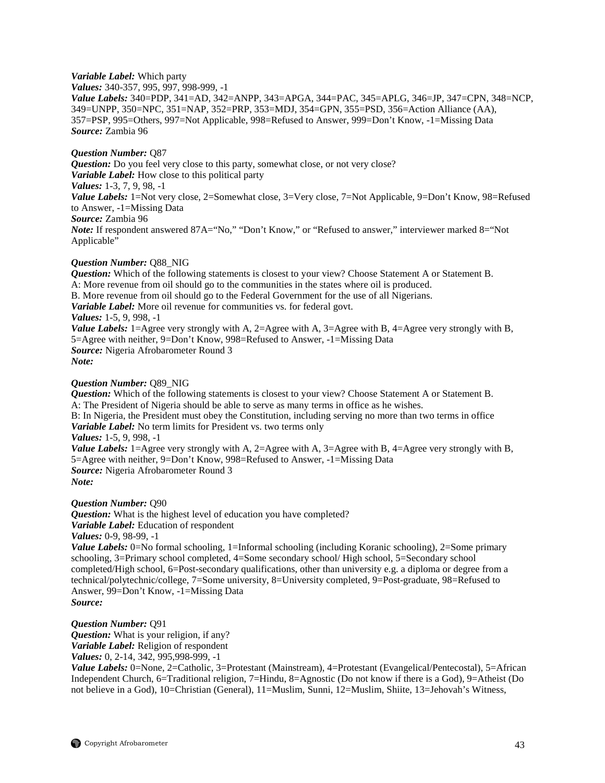#### *Variable Label:* Which party

*Values:* 340-357, 995, 997, 998-999, -1

*Value Labels:* 340=PDP, 341=AD, 342=ANPP, 343=APGA, 344=PAC, 345=APLG, 346=JP, 347=CPN, 348=NCP, 349=UNPP, 350=NPC, 351=NAP, 352=PRP, 353=MDJ, 354=GPN, 355=PSD, 356=Action Alliance (AA), 357=PSP, 995=Others, 997=Not Applicable, 998=Refused to Answer, 999=Don't Know, -1=Missing Data *Source:* Zambia 96

# *Question Number:* Q87

*Question:* Do you feel very close to this party, somewhat close, or not very close? *Variable Label:* How close to this political party *Values:* 1-3, 7, 9, 98, -1 *Value Labels:* 1=Not very close, 2=Somewhat close, 3=Very close, 7=Not Applicable, 9=Don't Know, 98=Refused to Answer, -1=Missing Data *Source:* Zambia 96 *Note:* If respondent answered 87A="No," "Don't Know," or "Refused to answer," interviewer marked 8="Not Applicable"

### *Question Number:* Q88\_NIG

*Question:* Which of the following statements is closest to your view? Choose Statement A or Statement B. A: More revenue from oil should go to the communities in the states where oil is produced. B. More revenue from oil should go to the Federal Government for the use of all Nigerians. *Variable Label:* More oil revenue for communities vs. for federal govt. *Values:* 1-5, 9, 998, -1 *Value Labels:* 1=Agree very strongly with A, 2=Agree with A, 3=Agree with B, 4=Agree very strongly with B, 5=Agree with neither, 9=Don't Know, 998=Refused to Answer, -1=Missing Data *Source:* Nigeria Afrobarometer Round 3 *Note:*

### *Question Number:* Q89\_NIG

*Question:* Which of the following statements is closest to your view? Choose Statement A or Statement B. A: The President of Nigeria should be able to serve as many terms in office as he wishes. B: In Nigeria, the President must obey the Constitution, including serving no more than two terms in office *Variable Label:* No term limits for President vs. two terms only *Values:* 1-5, 9, 998, -1 *Value Labels:* 1=Agree very strongly with A, 2=Agree with A, 3=Agree with B, 4=Agree very strongly with B, 5=Agree with neither, 9=Don't Know, 998=Refused to Answer, -1=Missing Data *Source:* Nigeria Afrobarometer Round 3 *Note:*

#### *Question Number:* Q90

*Question:* What is the highest level of education you have completed? *Variable Label:* Education of respondent

*Values:* 0-9, 98-99, -1

*Value Labels:* 0=No formal schooling, 1=Informal schooling (including Koranic schooling), 2=Some primary schooling, 3=Primary school completed, 4=Some secondary school/ High school, 5=Secondary school completed/High school, 6=Post-secondary qualifications, other than university e.g. a diploma or degree from a technical/polytechnic/college, 7=Some university, 8=University completed, 9=Post-graduate, 98=Refused to Answer, 99=Don't Know, -1=Missing Data

*Source:*

*Question Number:* Q91

*Question:* What is your religion, if any? *Variable Label:* Religion of respondent

*Values:* 0, 2-14, 342, 995,998-999, -1

*Value Labels:* 0=None, 2=Catholic, 3=Protestant (Mainstream), 4=Protestant (Evangelical/Pentecostal), 5=African Independent Church, 6=Traditional religion, 7=Hindu, 8=Agnostic (Do not know if there is a God), 9=Atheist (Do not believe in a God), 10=Christian (General), 11=Muslim, Sunni, 12=Muslim, Shiite, 13=Jehovah's Witness,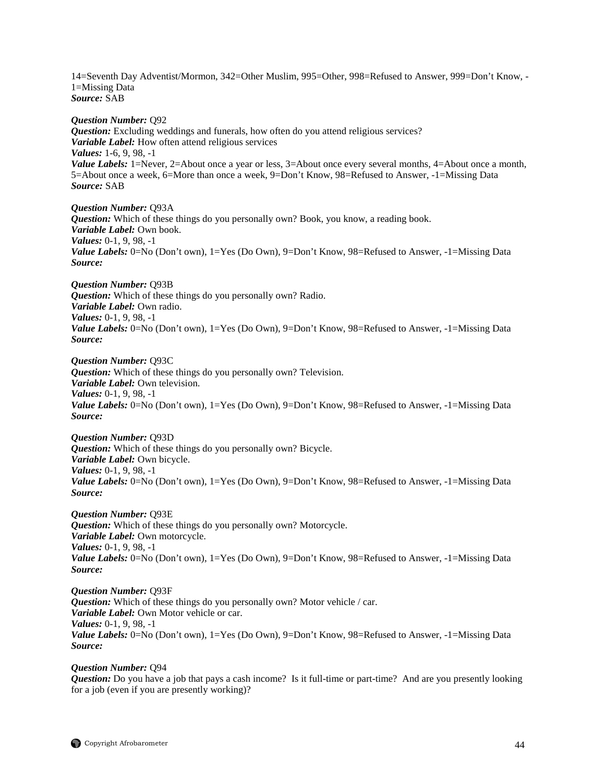14=Seventh Day Adventist/Mormon, 342=Other Muslim, 995=Other, 998=Refused to Answer, 999=Don't Know, - 1=Missing Data *Source:* SAB

*Question Number:* Q92 *Question:* Excluding weddings and funerals, how often do you attend religious services? *Variable Label:* How often attend religious services *Values:* 1-6, 9, 98, -1 *Value Labels:* 1=Never, 2=About once a year or less, 3=About once every several months, 4=About once a month, 5=About once a week, 6=More than once a week, 9=Don't Know, 98=Refused to Answer, -1=Missing Data *Source:* SAB

*Question Number:* Q93A *Question:* Which of these things do you personally own? Book, you know, a reading book. *Variable Label:* Own book. *Values:* 0-1, 9, 98, -1 *Value Labels:* 0=No (Don't own), 1=Yes (Do Own), 9=Don't Know, 98=Refused to Answer, -1=Missing Data *Source:*

*Question Number:* Q93B *Question:* Which of these things do you personally own? Radio. *Variable Label:* Own radio. *Values:* 0-1, 9, 98, -1 *Value Labels:* 0=No (Don't own), 1=Yes (Do Own), 9=Don't Know, 98=Refused to Answer, -1=Missing Data *Source:*

*Question Number:* Q93C *Question:* Which of these things do you personally own? Television. *Variable Label:* Own television. *Values:* 0-1, 9, 98, -1 *Value Labels:* 0=No (Don't own), 1=Yes (Do Own), 9=Don't Know, 98=Refused to Answer, -1=Missing Data *Source:*

*Question Number:* Q93D *Question:* Which of these things do you personally own? Bicycle. *Variable Label:* Own bicycle. *Values:* 0-1, 9, 98, -1 *Value Labels:* 0=No (Don't own), 1=Yes (Do Own), 9=Don't Know, 98=Refused to Answer, -1=Missing Data *Source:*

*Question Number:* Q93E *Question:* Which of these things do you personally own? Motorcycle. *Variable Label:* Own motorcycle. *Values:* 0-1, 9, 98, -1 *Value Labels:* 0=No (Don't own), 1=Yes (Do Own), 9=Don't Know, 98=Refused to Answer, -1=Missing Data *Source:*

*Question Number:* Q93F *Question:* Which of these things do you personally own? Motor vehicle / car. *Variable Label:* Own Motor vehicle or car. *Values:* 0-1, 9, 98, -1 Value Labels: 0=No (Don't own), 1=Yes (Do Own), 9=Don't Know, 98=Refused to Answer, -1=Missing Data *Source:*

*Question Number:* Q94 *Question:* Do you have a job that pays a cash income? Is it full-time or part-time? And are you presently looking for a job (even if you are presently working)?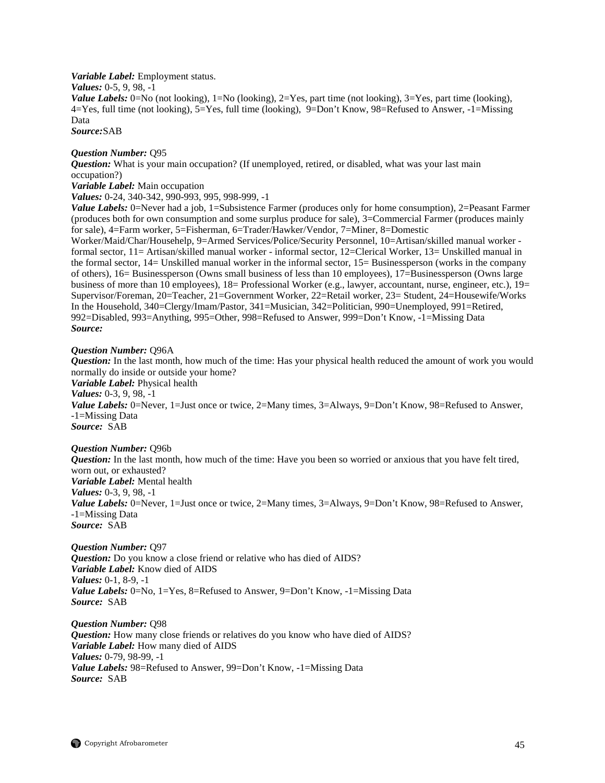*Variable Label:* Employment status. *Values:* 0-5, 9, 98, -1 *Value Labels:* 0=No (not looking), 1=No (looking), 2=Yes, part time (not looking), 3=Yes, part time (looking), 4=Yes, full time (not looking), 5=Yes, full time (looking), 9=Don't Know, 98=Refused to Answer, -1=Missing Data

*Source:*SAB

#### *Question Number:* Q95

*Question:* What is your main occupation? (If unemployed, retired, or disabled, what was your last main occupation?)

*Variable Label:* Main occupation

*Values:* 0-24, 340-342, 990-993, 995, 998-999, -1

*Value Labels:* 0=Never had a job, 1=Subsistence Farmer (produces only for home consumption), 2=Peasant Farmer (produces both for own consumption and some surplus produce for sale), 3=Commercial Farmer (produces mainly for sale), 4=Farm worker, 5=Fisherman, 6=Trader/Hawker/Vendor, 7=Miner, 8=Domestic

Worker/Maid/Char/Househelp, 9=Armed Services/Police/Security Personnel, 10=Artisan/skilled manual worker formal sector, 11= Artisan/skilled manual worker - informal sector, 12=Clerical Worker, 13= Unskilled manual in the formal sector, 14= Unskilled manual worker in the informal sector, 15= Businessperson (works in the company of others), 16= Businessperson (Owns small business of less than 10 employees), 17=Businessperson (Owns large business of more than 10 employees),  $18=$  Professional Worker (e.g., lawyer, accountant, nurse, engineer, etc.),  $19=$ Supervisor/Foreman, 20=Teacher, 21=Government Worker, 22=Retail worker, 23= Student, 24=Housewife/Works In the Household, 340=Clergy/Imam/Pastor, 341=Musician, 342=Politician, 990=Unemployed, 991=Retired, 992=Disabled, 993=Anything, 995=Other, 998=Refused to Answer, 999=Don't Know, -1=Missing Data *Source:*

#### *Question Number:* Q96A

*Question:* In the last month, how much of the time: Has your physical health reduced the amount of work you would normally do inside or outside your home? *Variable Label:* Physical health *Values:* 0-3, 9, 98, -1 *Value Labels:* 0=Never, 1=Just once or twice, 2=Many times, 3=Always, 9=Don't Know, 98=Refused to Answer, -1=Missing Data *Source:* SAB

#### *Question Number:* Q96b

*Question:* In the last month, how much of the time: Have you been so worried or anxious that you have felt tired, worn out, or exhausted? *Variable Label:* Mental health *Values:* 0-3, 9, 98, -1 *Value Labels:* 0=Never, 1=Just once or twice, 2=Many times, 3=Always, 9=Don't Know, 98=Refused to Answer, -1=Missing Data *Source:* SAB

*Question Number:* Q97 *Question:* Do you know a close friend or relative who has died of AIDS? *Variable Label:* Know died of AIDS *Values:* 0-1, 8-9, -1 *Value Labels:* 0=No, 1=Yes, 8=Refused to Answer, 9=Don't Know, -1=Missing Data *Source:* SAB

*Question Number:* Q98 *Question:* How many close friends or relatives do you know who have died of AIDS? *Variable Label:* How many died of AIDS *Values:* 0-79, 98-99, -1 *Value Labels:* 98=Refused to Answer, 99=Don't Know, -1=Missing Data *Source:* SAB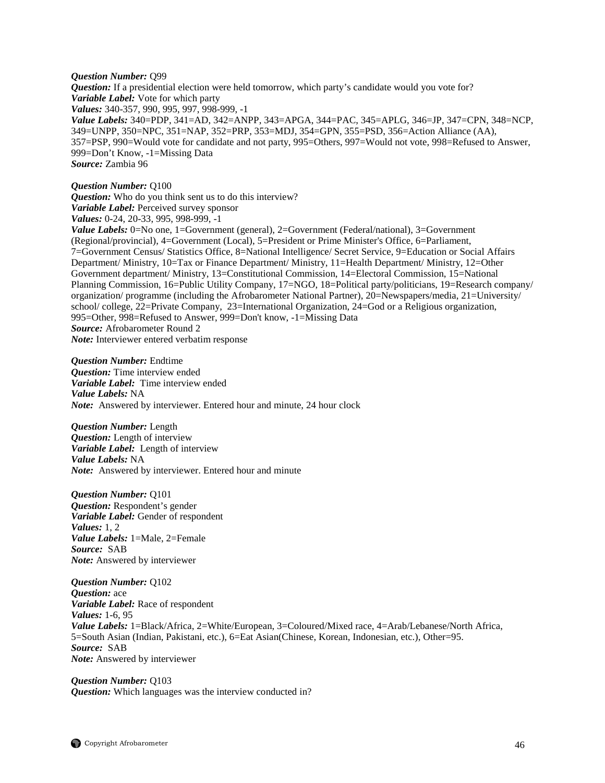#### *Question Number:* Q99

*Question:* If a presidential election were held tomorrow, which party's candidate would you vote for? *Variable Label:* Vote for which party *Values:* 340-357, 990, 995, 997, 998-999, -1 *Value Labels:* 340=PDP, 341=AD, 342=ANPP, 343=APGA, 344=PAC, 345=APLG, 346=JP, 347=CPN, 348=NCP, 349=UNPP, 350=NPC, 351=NAP, 352=PRP, 353=MDJ, 354=GPN, 355=PSD, 356=Action Alliance (AA), 357=PSP, 990=Would vote for candidate and not party, 995=Others, 997=Would not vote, 998=Refused to Answer, 999=Don't Know, -1=Missing Data *Source:* Zambia 96

#### *Question Number:* Q100

*Question:* Who do you think sent us to do this interview? *Variable Label:* Perceived survey sponsor *Values:* 0-24, 20-33, 995, 998-999, -1

*Value Labels:* 0=No one, 1=Government (general), 2=Government (Federal/national), 3=Government (Regional/provincial), 4=Government (Local), 5=President or Prime Minister's Office, 6=Parliament, 7=Government Census/ Statistics Office, 8=National Intelligence/ Secret Service, 9=Education or Social Affairs Department/ Ministry, 10=Tax or Finance Department/ Ministry, 11=Health Department/ Ministry, 12=Other Government department/ Ministry, 13=Constitutional Commission, 14=Electoral Commission, 15=National Planning Commission, 16=Public Utility Company, 17=NGO, 18=Political party/politicians, 19=Research company/ organization/ programme (including the Afrobarometer National Partner), 20=Newspapers/media, 21=University/ school/ college, 22=Private Company, 23=International Organization, 24=God or a Religious organization, 995=Other, 998=Refused to Answer, 999=Don't know, -1=Missing Data *Source:* Afrobarometer Round 2 *Note:* Interviewer entered verbatim response

*Question Number:* Endtime *Question:* Time interview ended *Variable Label:* Time interview ended *Value Labels:* NA *Note:* Answered by interviewer. Entered hour and minute, 24 hour clock

*Question Number:* Length *Question:* Length of interview *Variable Label:* Length of interview *Value Labels:* NA *Note:* Answered by interviewer. Entered hour and minute

*Question Number:* Q101 *Question:* Respondent's gender *Variable Label:* Gender of respondent *Values:* 1, 2 *Value Labels:* 1=Male, 2=Female *Source:* SAB *Note:* Answered by interviewer

*Question Number:* Q102 *Question:* ace *Variable Label:* Race of respondent *Values:* 1-6, 95 *Value Labels:* 1=Black/Africa, 2=White/European, 3=Coloured/Mixed race, 4=Arab/Lebanese/North Africa, 5=South Asian (Indian, Pakistani, etc.), 6=Eat Asian(Chinese, Korean, Indonesian, etc.), Other=95. *Source:* SAB *Note:* Answered by interviewer

*Question Number:* Q103 *Question:* Which languages was the interview conducted in?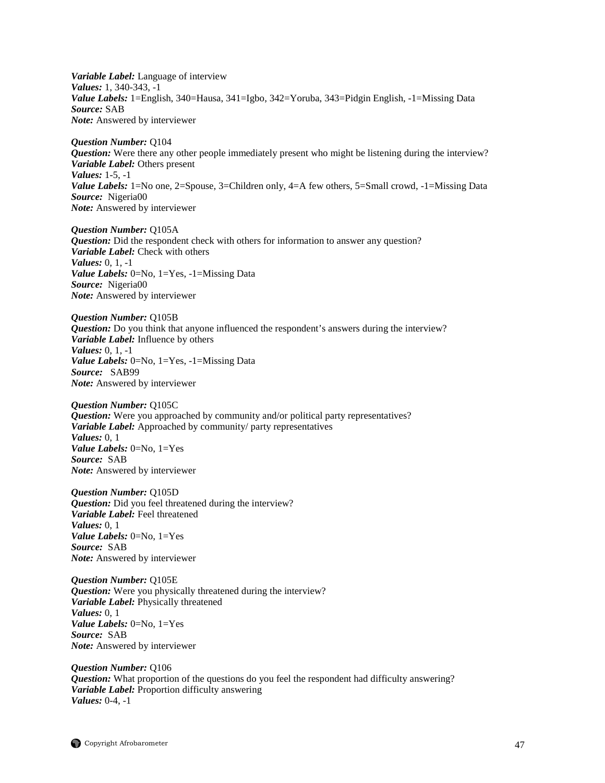*Variable Label:* Language of interview *Values:* 1, 340-343, -1 *Value Labels:* 1=English, 340=Hausa, 341=Igbo, 342=Yoruba, 343=Pidgin English, -1=Missing Data *Source:* SAB *Note:* Answered by interviewer

*Question Number:* Q104 *Question:* Were there any other people immediately present who might be listening during the interview? *Variable Label:* Others present *Values:* 1-5, -1 *Value Labels:* 1=No one, 2=Spouse, 3=Children only, 4=A few others, 5=Small crowd, -1=Missing Data *Source:* Nigeria00 *Note:* Answered by interviewer

*Question Number:* Q105A *Question:* Did the respondent check with others for information to answer any question? *Variable Label:* Check with others *Values:* 0, 1, -1 *Value Labels:* 0=No, 1=Yes, -1=Missing Data *Source:* Nigeria00 *Note:* Answered by interviewer

*Question Number:* Q105B *Question:* Do you think that anyone influenced the respondent's answers during the interview? *Variable Label:* Influence by others *Values:* 0, 1, -1 *Value Labels:* 0=No, 1=Yes, -1=Missing Data *Source:* SAB99 *Note:* Answered by interviewer

*Question Number:* Q105C *Question:* Were you approached by community and/or political party representatives? *Variable Label:* Approached by community/ party representatives *Values:* 0, 1 *Value Labels:* 0=No, 1=Yes *Source:* SAB *Note:* Answered by interviewer

*Question Number:* Q105D *Question:* Did you feel threatened during the interview? *Variable Label:* Feel threatened *Values:* 0, 1 *Value Labels:* 0=No, 1=Yes *Source:* SAB *Note:* Answered by interviewer

*Question Number:* Q105E *Question:* Were you physically threatened during the interview? *Variable Label:* Physically threatened *Values:* 0, 1 *Value Labels:* 0=No, 1=Yes *Source:* SAB *Note:* Answered by interviewer

*Question Number:* Q106 *Question:* What proportion of the questions do you feel the respondent had difficulty answering? *Variable Label:* Proportion difficulty answering *Values:* 0-4, -1

 $\bigcirc$  Copyright Afrobarometer 47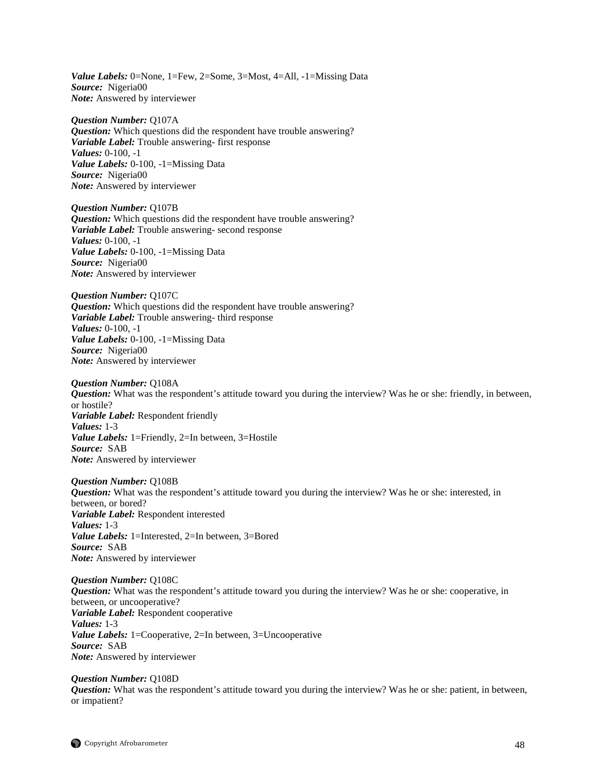*Value Labels:* 0=None, 1=Few, 2=Some, 3=Most, 4=All, -1=Missing Data *Source:* Nigeria00 *Note:* Answered by interviewer

*Question Number:* Q107A *Question:* Which questions did the respondent have trouble answering? *Variable Label:* Trouble answering- first response *Values:* 0-100, -1 *Value Labels:* 0-100, -1=Missing Data *Source:* Nigeria00 *Note:* Answered by interviewer

*Question Number:* Q107B *Question:* Which questions did the respondent have trouble answering? *Variable Label:* Trouble answering- second response *Values:* 0-100, -1 *Value Labels:* 0-100, -1=Missing Data *Source:* Nigeria00 *Note:* Answered by interviewer

*Question Number:* Q107C *Question:* Which questions did the respondent have trouble answering? *Variable Label:* Trouble answering- third response *Values:* 0-100, -1 *Value Labels:* 0-100, -1=Missing Data *Source:* Nigeria00 *Note:* Answered by interviewer

*Question Number:* Q108A *Question:* What was the respondent's attitude toward you during the interview? Was he or she: friendly, in between, or hostile? *Variable Label:* Respondent friendly *Values:* 1-3 *Value Labels:* 1=Friendly, 2=In between, 3=Hostile *Source:* SAB *Note:* Answered by interviewer

*Question Number:* Q108B *Question:* What was the respondent's attitude toward you during the interview? Was he or she: interested, in between, or bored? *Variable Label:* Respondent interested *Values:* 1-3 *Value Labels:* 1=Interested, 2=In between, 3=Bored *Source:* SAB *Note:* Answered by interviewer

*Question Number:* Q108C *Question:* What was the respondent's attitude toward you during the interview? Was he or she: cooperative, in between, or uncooperative? *Variable Label:* Respondent cooperative *Values:* 1-3 *Value Labels:* 1=Cooperative, 2=In between, 3=Uncooperative *Source:* SAB *Note:* Answered by interviewer

*Question Number:* Q108D *Question:* What was the respondent's attitude toward you during the interview? Was he or she: patient, in between, or impatient?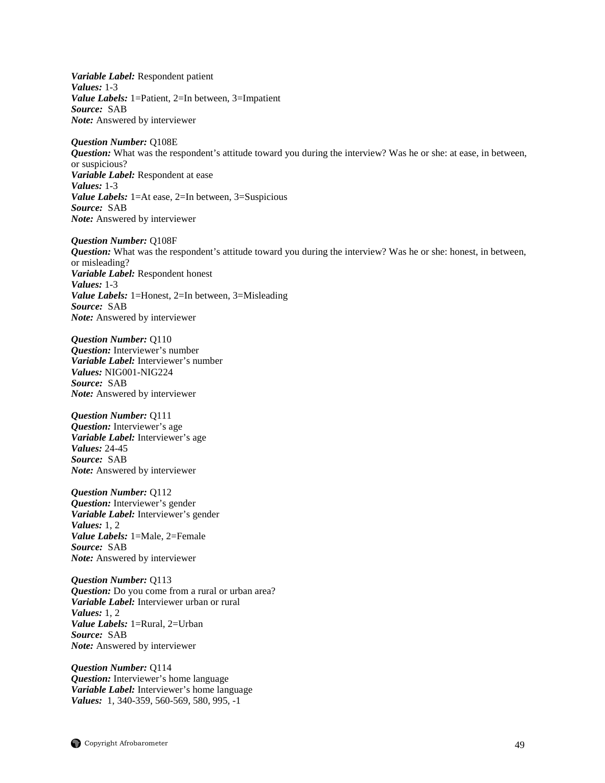*Variable Label:* Respondent patient *Values:* 1-3 *Value Labels:* 1=Patient, 2=In between, 3=Impatient *Source:* SAB *Note:* Answered by interviewer

*Question Number:* Q108E *Question:* What was the respondent's attitude toward you during the interview? Was he or she: at ease, in between, or suspicious? *Variable Label:* Respondent at ease *Values:* 1-3 *Value Labels:* 1=At ease, 2=In between, 3=Suspicious *Source:* SAB *Note:* Answered by interviewer

*Question Number:* Q108F *Question:* What was the respondent's attitude toward you during the interview? Was he or she: honest, in between, or misleading? *Variable Label:* Respondent honest *Values:* 1-3 *Value Labels:* 1=Honest, 2=In between, 3=Misleading *Source:* SAB *Note:* Answered by interviewer

*Question Number:* Q110 *Question:* Interviewer's number *Variable Label:* Interviewer's number *Values:* NIG001-NIG224 *Source:* SAB *Note:* Answered by interviewer

*Question Number:* Q111 *Question:* Interviewer's age *Variable Label:* Interviewer's age *Values:* 24-45 *Source:* SAB *Note:* Answered by interviewer

*Question Number:* Q112 *Question:* Interviewer's gender *Variable Label:* Interviewer's gender *Values:* 1, 2 *Value Labels:* 1=Male, 2=Female *Source:* SAB *Note:* Answered by interviewer

*Question Number:* Q113 *Question:* Do you come from a rural or urban area? *Variable Label:* Interviewer urban or rural *Values:* 1, 2 *Value Labels:* 1=Rural, 2=Urban *Source:* SAB *Note:* Answered by interviewer

*Question Number:* Q114 *Question:* Interviewer's home language *Variable Label:* Interviewer's home language *Values:* 1, 340-359, 560-569, 580, 995, -1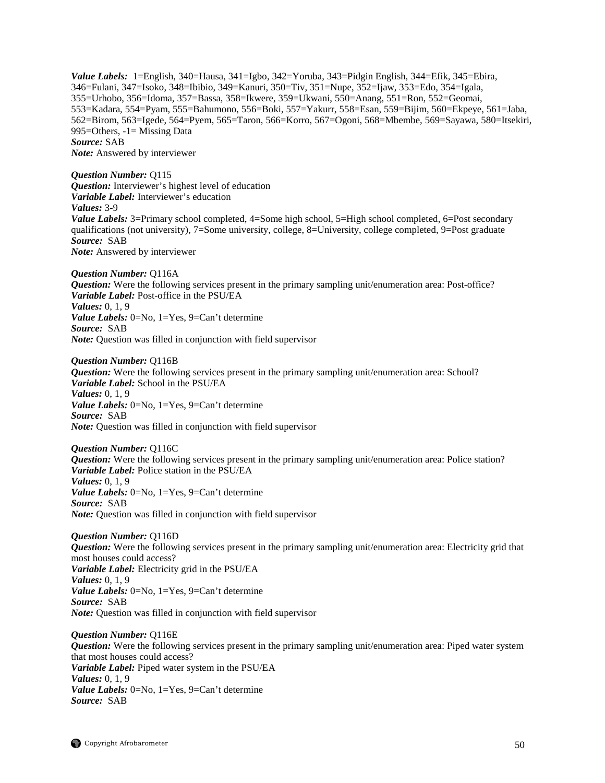*Value Labels:* 1=English, 340=Hausa, 341=Igbo, 342=Yoruba, 343=Pidgin English, 344=Efik, 345=Ebira, 346=Fulani, 347=Isoko, 348=Ibibio, 349=Kanuri, 350=Tiv, 351=Nupe, 352=Ijaw, 353=Edo, 354=Igala, 355=Urhobo, 356=Idoma*,* 357=Bassa, 358=Ikwere, 359=Ukwani, 550=Anang, 551=Ron, 552=Geomai, 553=Kadara, 554=Pyam, 555=Bahumono, 556=Boki, 557=Yakurr, 558=Esan, 559=Bijim, 560=Ekpeye, 561=Jaba, 562=Birom, 563=Igede, 564=Pyem, 565=Taron, 566=Korro, 567=Ogoni, 568=Mbembe, 569=Sayawa, 580=Itsekiri, 995=Others, -1= Missing Data *Source:* SAB *Note:* Answered by interviewer

*Question Number:* Q115 *Question:* Interviewer's highest level of education *Variable Label:* Interviewer's education *Values:* 3-9 *Value Labels:* 3=Primary school completed, 4=Some high school, 5=High school completed, 6=Post secondary qualifications (not university), 7=Some university, college, 8=University, college completed, 9=Post graduate *Source:* SAB *Note:* Answered by interviewer

*Question Number:* Q116A *Question:* Were the following services present in the primary sampling unit/enumeration area: Post-office? *Variable Label:* Post-office in the PSU/EA *Values:* 0, 1, 9 *Value Labels:* 0=No, 1=Yes, 9=Can't determine *Source:* SAB *Note:* Question was filled in conjunction with field supervisor

*Question Number:* Q116B *Question:* Were the following services present in the primary sampling unit/enumeration area: School? *Variable Label:* School in the PSU/EA *Values:* 0, 1, 9 *Value Labels:* 0=No, 1=Yes, 9=Can't determine *Source:* SAB *Note:* Question was filled in conjunction with field supervisor

*Question Number:* Q116C *Question:* Were the following services present in the primary sampling unit/enumeration area: Police station? *Variable Label:* Police station in the PSU/EA *Values:* 0, 1, 9 *Value Labels:* 0=No, 1=Yes, 9=Can't determine *Source:* SAB *Note:* Question was filled in conjunction with field supervisor

*Question Number:* Q116D *Question:* Were the following services present in the primary sampling unit/enumeration area: Electricity grid that most houses could access? *Variable Label:* Electricity grid in the PSU/EA *Values:* 0, 1, 9 *Value Labels:* 0=No, 1=Yes, 9=Can't determine *Source:* SAB *Note:* Question was filled in conjunction with field supervisor

*Question Number:* Q116E *Question:* Were the following services present in the primary sampling unit/enumeration area: Piped water system that most houses could access? *Variable Label:* Piped water system in the PSU/EA *Values:* 0, 1, 9 *Value Labels:* 0=No, 1=Yes, 9=Can't determine *Source:* SAB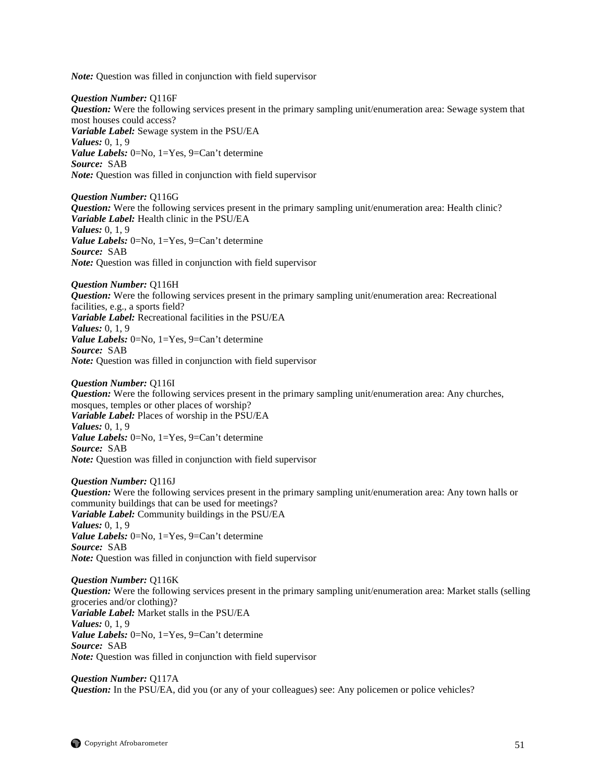*Note:* Question was filled in conjunction with field supervisor

*Question Number:* Q116F *Question:* Were the following services present in the primary sampling unit/enumeration area: Sewage system that most houses could access? *Variable Label:* Sewage system in the PSU/EA *Values:* 0, 1, 9 *Value Labels:* 0=No, 1=Yes, 9=Can't determine *Source:* SAB *Note:* Question was filled in conjunction with field supervisor

*Question Number:* Q116G *Question:* Were the following services present in the primary sampling unit/enumeration area: Health clinic? *Variable Label:* Health clinic in the PSU/EA *Values:* 0, 1, 9 *Value Labels:* 0=No, 1=Yes, 9=Can't determine *Source:* SAB *Note:* Question was filled in conjunction with field supervisor

*Question Number:* Q116H *Question:* Were the following services present in the primary sampling unit/enumeration area: Recreational facilities, e.g., a sports field? *Variable Label:* Recreational facilities in the PSU/EA *Values:* 0, 1, 9 *Value Labels:* 0=No, 1=Yes, 9=Can't determine *Source:* SAB *Note:* Question was filled in conjunction with field supervisor

*Question Number:* Q116I *Question:* Were the following services present in the primary sampling unit/enumeration area: Any churches, mosques, temples or other places of worship? *Variable Label:* Places of worship in the PSU/EA *Values:* 0, 1, 9 *Value Labels:* 0=No, 1=Yes, 9=Can't determine *Source:* SAB *Note:* Question was filled in conjunction with field supervisor

*Question Number:* Q116J *Question:* Were the following services present in the primary sampling unit/enumeration area: Any town halls or community buildings that can be used for meetings? *Variable Label:* Community buildings in the PSU/EA *Values:* 0, 1, 9 *Value Labels:* 0=No, 1=Yes, 9=Can't determine *Source:* SAB *Note:* Question was filled in conjunction with field supervisor

*Question Number:* Q116K *Question:* Were the following services present in the primary sampling unit/enumeration area: Market stalls (selling groceries and/or clothing)? *Variable Label:* Market stalls in the PSU/EA *Values:* 0, 1, 9 *Value Labels:* 0=No, 1=Yes, 9=Can't determine *Source:* SAB *Note:* Question was filled in conjunction with field supervisor

*Question Number:* Q117A *Question:* In the PSU/EA, did you (or any of your colleagues) see: Any policemen or police vehicles?